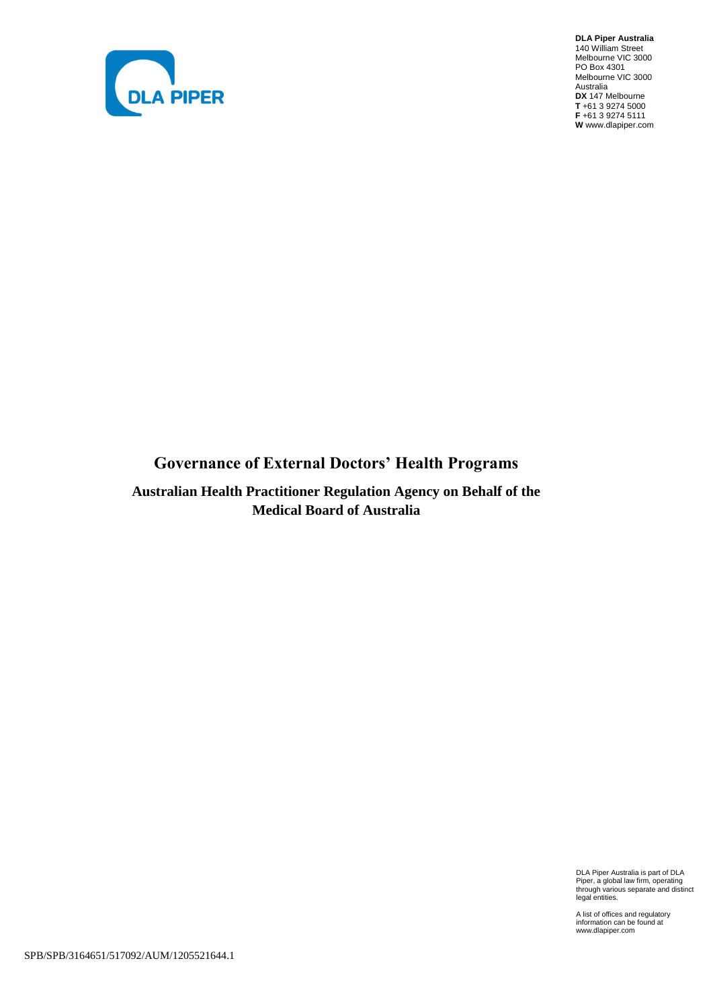

**DLA Piper Australia** 140 William Street Melbourne VIC 3000 PO Box 4301 Melbourne VIC 3000 Australia **DX** 147 Melbourne **T** +61 3 9274 5000 **F** +61 3 9274 5111 **W** www.dlapiper.com

# **Governance of External Doctors' Health Programs**

**Australian Health Practitioner Regulation Agency on Behalf of the Medical Board of Australia**

DLA Piper Australia is part of DLA Piper, a global law firm, operating through various separate and distinct legal entities.

A list of offices and regulatory information can be found at www.dlapiper.com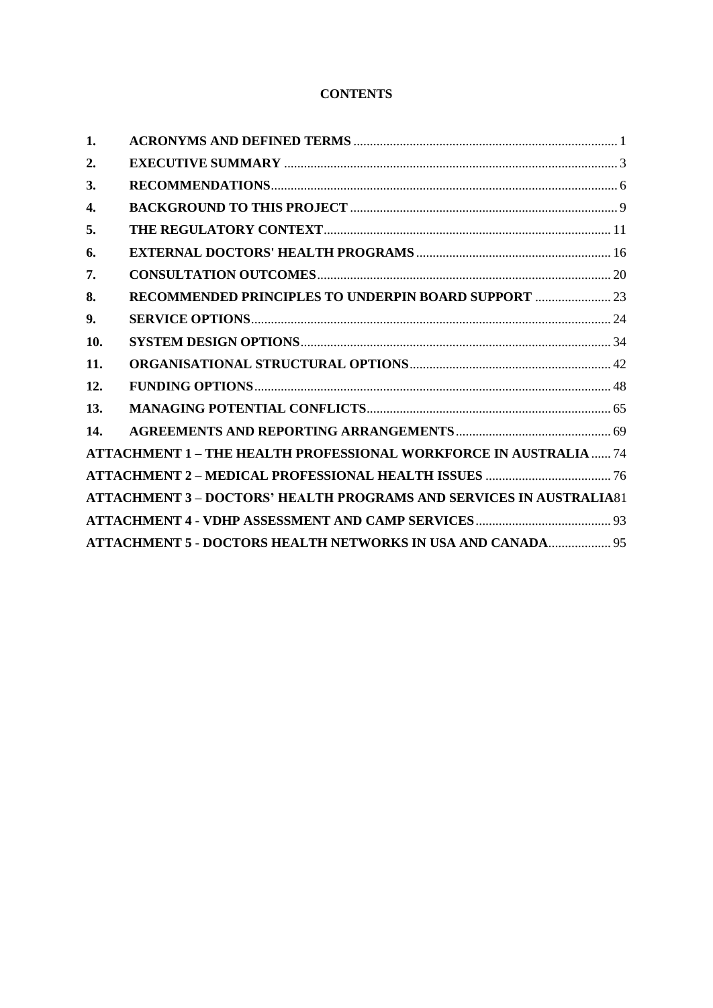# **CONTENTS**

| 1.  |                                                                            |  |
|-----|----------------------------------------------------------------------------|--|
| 2.  |                                                                            |  |
| 3.  |                                                                            |  |
| 4.  |                                                                            |  |
| 5.  |                                                                            |  |
| 6.  |                                                                            |  |
| 7.  |                                                                            |  |
| 8.  | RECOMMENDED PRINCIPLES TO UNDERPIN BOARD SUPPORT  23                       |  |
| 9.  |                                                                            |  |
| 10. |                                                                            |  |
| 11. |                                                                            |  |
| 12. |                                                                            |  |
| 13. |                                                                            |  |
| 14. |                                                                            |  |
|     | <b>ATTACHMENT 1 - THE HEALTH PROFESSIONAL WORKFORCE IN AUSTRALIA  74</b>   |  |
|     |                                                                            |  |
|     | <b>ATTACHMENT 3 - DOCTORS' HEALTH PROGRAMS AND SERVICES IN AUSTRALIA81</b> |  |
|     |                                                                            |  |
|     | ATTACHMENT 5 - DOCTORS HEALTH NETWORKS IN USA AND CANADA 95                |  |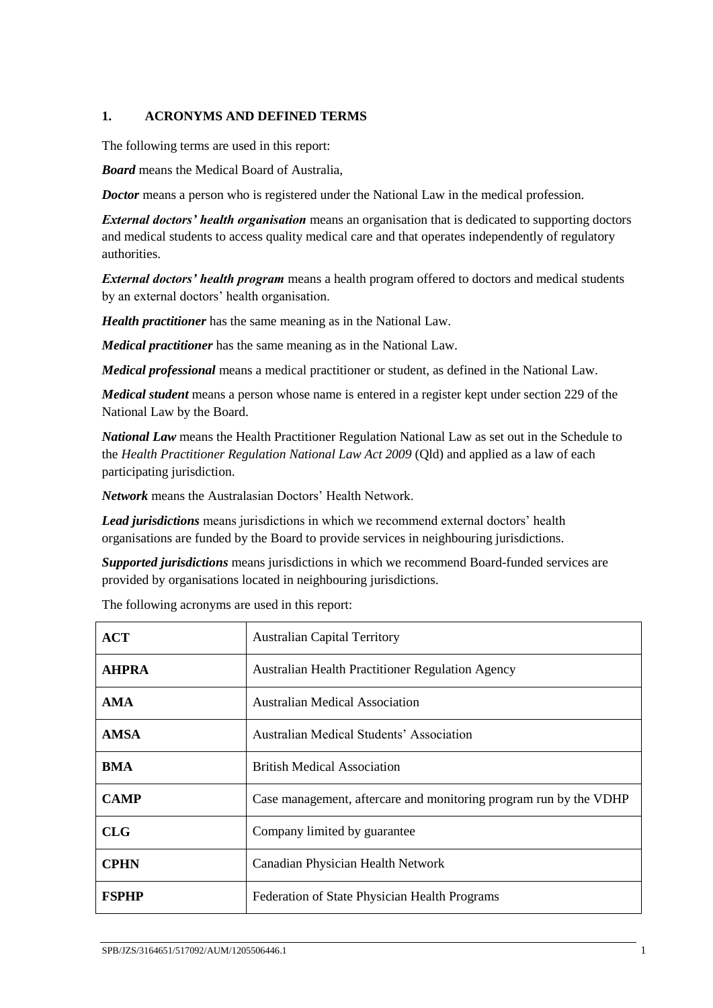## <span id="page-2-0"></span>**1. ACRONYMS AND DEFINED TERMS**

The following terms are used in this report:

*Board* means the Medical Board of Australia,

*Doctor* means a person who is registered under the National Law in the medical profession.

*External doctors' health organisation* means an organisation that is dedicated to supporting doctors and medical students to access quality medical care and that operates independently of regulatory authorities.

*External doctors' health program* means a health program offered to doctors and medical students by an external doctors' health organisation.

*Health practitioner* has the same meaning as in the National Law.

*Medical practitioner* has the same meaning as in the National Law.

*Medical professional* means a medical practitioner or student, as defined in the National Law.

*Medical student* means a person whose name is entered in a register kept under section 229 of the National Law by the Board.

*National Law* means the Health Practitioner Regulation National Law as set out in the Schedule to the *Health Practitioner Regulation National Law Act 2009* (Qld) and applied as a law of each participating jurisdiction.

*Network* means the Australasian Doctors' Health Network.

*Lead jurisdictions* means jurisdictions in which we recommend external doctors' health organisations are funded by the Board to provide services in neighbouring jurisdictions.

*Supported jurisdictions* means jurisdictions in which we recommend Board-funded services are provided by organisations located in neighbouring jurisdictions.

| ACT          | <b>Australian Capital Territory</b>                               |
|--------------|-------------------------------------------------------------------|
| <b>AHPRA</b> | <b>Australian Health Practitioner Regulation Agency</b>           |
| <b>AMA</b>   | <b>Australian Medical Association</b>                             |
| <b>AMSA</b>  | <b>Australian Medical Students' Association</b>                   |
| BMA          | <b>British Medical Association</b>                                |
| <b>CAMP</b>  | Case management, aftercare and monitoring program run by the VDHP |
| CLG          | Company limited by guarantee                                      |
| <b>CPHN</b>  | Canadian Physician Health Network                                 |
| <b>FSPHP</b> | Federation of State Physician Health Programs                     |

The following acronyms are used in this report: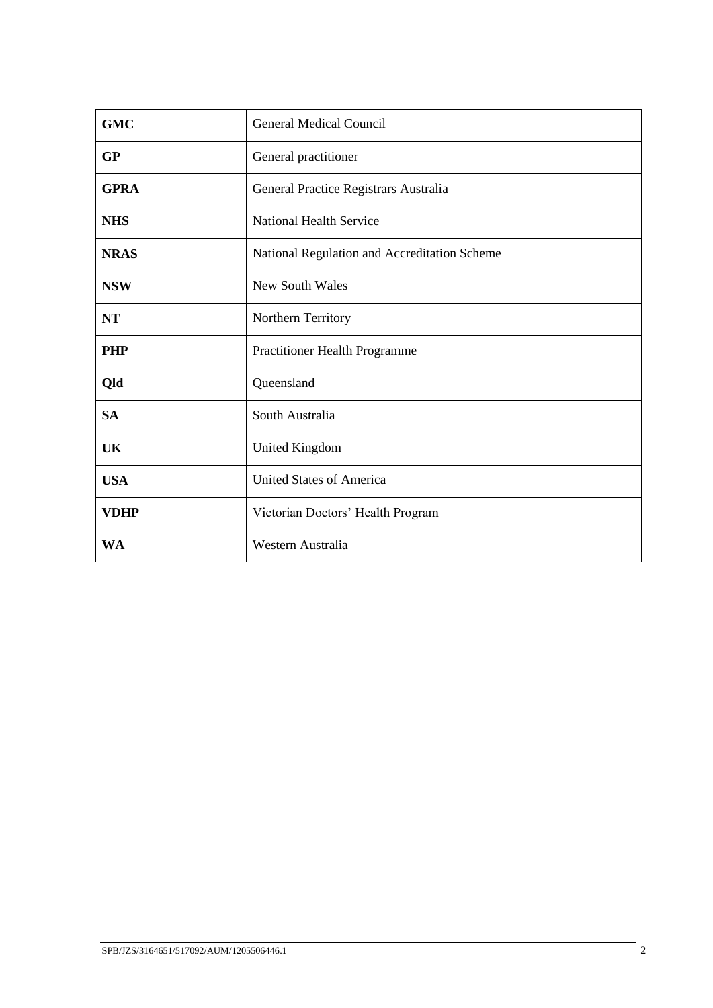| <b>GMC</b>  | <b>General Medical Council</b>               |
|-------------|----------------------------------------------|
| <b>GP</b>   | General practitioner                         |
| <b>GPRA</b> | General Practice Registrars Australia        |
| <b>NHS</b>  | <b>National Health Service</b>               |
| <b>NRAS</b> | National Regulation and Accreditation Scheme |
| <b>NSW</b>  | <b>New South Wales</b>                       |
| <b>NT</b>   | Northern Territory                           |
| <b>PHP</b>  | Practitioner Health Programme                |
| Qld         | Queensland                                   |
| <b>SA</b>   | South Australia                              |
| UK          | <b>United Kingdom</b>                        |
| <b>USA</b>  | <b>United States of America</b>              |
| <b>VDHP</b> | Victorian Doctors' Health Program            |
| <b>WA</b>   | Western Australia                            |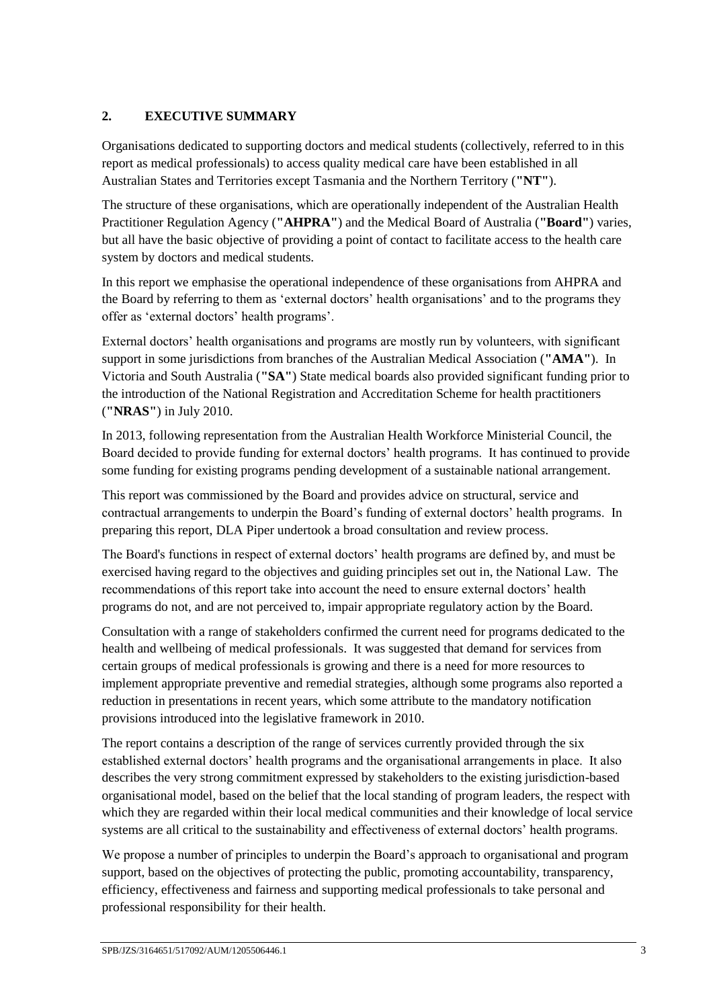# <span id="page-4-0"></span>**2. EXECUTIVE SUMMARY**

Organisations dedicated to supporting doctors and medical students (collectively, referred to in this report as medical professionals) to access quality medical care have been established in all Australian States and Territories except Tasmania and the Northern Territory (**"NT"**).

The structure of these organisations, which are operationally independent of the Australian Health Practitioner Regulation Agency (**"AHPRA"**) and the Medical Board of Australia (**"Board"**) varies, but all have the basic objective of providing a point of contact to facilitate access to the health care system by doctors and medical students.

In this report we emphasise the operational independence of these organisations from AHPRA and the Board by referring to them as 'external doctors' health organisations' and to the programs they offer as 'external doctors' health programs'.

External doctors' health organisations and programs are mostly run by volunteers, with significant support in some jurisdictions from branches of the Australian Medical Association (**"AMA"**). In Victoria and South Australia (**"SA"**) State medical boards also provided significant funding prior to the introduction of the National Registration and Accreditation Scheme for health practitioners (**"NRAS"**) in July 2010.

In 2013, following representation from the Australian Health Workforce Ministerial Council, the Board decided to provide funding for external doctors' health programs. It has continued to provide some funding for existing programs pending development of a sustainable national arrangement.

This report was commissioned by the Board and provides advice on structural, service and contractual arrangements to underpin the Board's funding of external doctors' health programs. In preparing this report, DLA Piper undertook a broad consultation and review process.

The Board's functions in respect of external doctors' health programs are defined by, and must be exercised having regard to the objectives and guiding principles set out in, the National Law. The recommendations of this report take into account the need to ensure external doctors' health programs do not, and are not perceived to, impair appropriate regulatory action by the Board.

Consultation with a range of stakeholders confirmed the current need for programs dedicated to the health and wellbeing of medical professionals. It was suggested that demand for services from certain groups of medical professionals is growing and there is a need for more resources to implement appropriate preventive and remedial strategies, although some programs also reported a reduction in presentations in recent years, which some attribute to the mandatory notification provisions introduced into the legislative framework in 2010.

The report contains a description of the range of services currently provided through the six established external doctors' health programs and the organisational arrangements in place. It also describes the very strong commitment expressed by stakeholders to the existing jurisdiction-based organisational model, based on the belief that the local standing of program leaders, the respect with which they are regarded within their local medical communities and their knowledge of local service systems are all critical to the sustainability and effectiveness of external doctors' health programs.

We propose a number of principles to underpin the Board's approach to organisational and program support, based on the objectives of protecting the public, promoting accountability, transparency, efficiency, effectiveness and fairness and supporting medical professionals to take personal and professional responsibility for their health.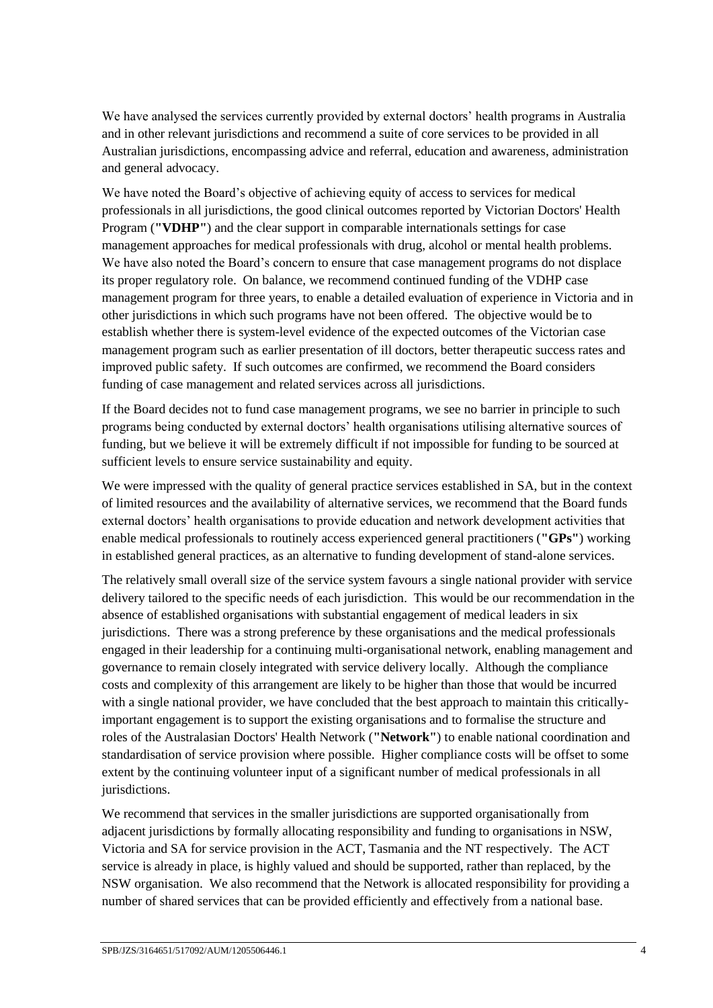We have analysed the services currently provided by external doctors' health programs in Australia and in other relevant jurisdictions and recommend a suite of core services to be provided in all Australian jurisdictions, encompassing advice and referral, education and awareness, administration and general advocacy.

We have noted the Board's objective of achieving equity of access to services for medical professionals in all jurisdictions, the good clinical outcomes reported by Victorian Doctors' Health Program (**"VDHP"**) and the clear support in comparable internationals settings for case management approaches for medical professionals with drug, alcohol or mental health problems. We have also noted the Board's concern to ensure that case management programs do not displace its proper regulatory role. On balance, we recommend continued funding of the VDHP case management program for three years, to enable a detailed evaluation of experience in Victoria and in other jurisdictions in which such programs have not been offered. The objective would be to establish whether there is system-level evidence of the expected outcomes of the Victorian case management program such as earlier presentation of ill doctors, better therapeutic success rates and improved public safety. If such outcomes are confirmed, we recommend the Board considers funding of case management and related services across all jurisdictions.

If the Board decides not to fund case management programs, we see no barrier in principle to such programs being conducted by external doctors' health organisations utilising alternative sources of funding, but we believe it will be extremely difficult if not impossible for funding to be sourced at sufficient levels to ensure service sustainability and equity.

We were impressed with the quality of general practice services established in SA, but in the context of limited resources and the availability of alternative services, we recommend that the Board funds external doctors' health organisations to provide education and network development activities that enable medical professionals to routinely access experienced general practitioners (**"GPs"**) working in established general practices, as an alternative to funding development of stand-alone services.

The relatively small overall size of the service system favours a single national provider with service delivery tailored to the specific needs of each jurisdiction. This would be our recommendation in the absence of established organisations with substantial engagement of medical leaders in six jurisdictions. There was a strong preference by these organisations and the medical professionals engaged in their leadership for a continuing multi-organisational network, enabling management and governance to remain closely integrated with service delivery locally. Although the compliance costs and complexity of this arrangement are likely to be higher than those that would be incurred with a single national provider, we have concluded that the best approach to maintain this criticallyimportant engagement is to support the existing organisations and to formalise the structure and roles of the Australasian Doctors' Health Network (**"Network"**) to enable national coordination and standardisation of service provision where possible. Higher compliance costs will be offset to some extent by the continuing volunteer input of a significant number of medical professionals in all jurisdictions.

We recommend that services in the smaller jurisdictions are supported organisationally from adjacent jurisdictions by formally allocating responsibility and funding to organisations in NSW, Victoria and SA for service provision in the ACT, Tasmania and the NT respectively. The ACT service is already in place, is highly valued and should be supported, rather than replaced, by the NSW organisation. We also recommend that the Network is allocated responsibility for providing a number of shared services that can be provided efficiently and effectively from a national base.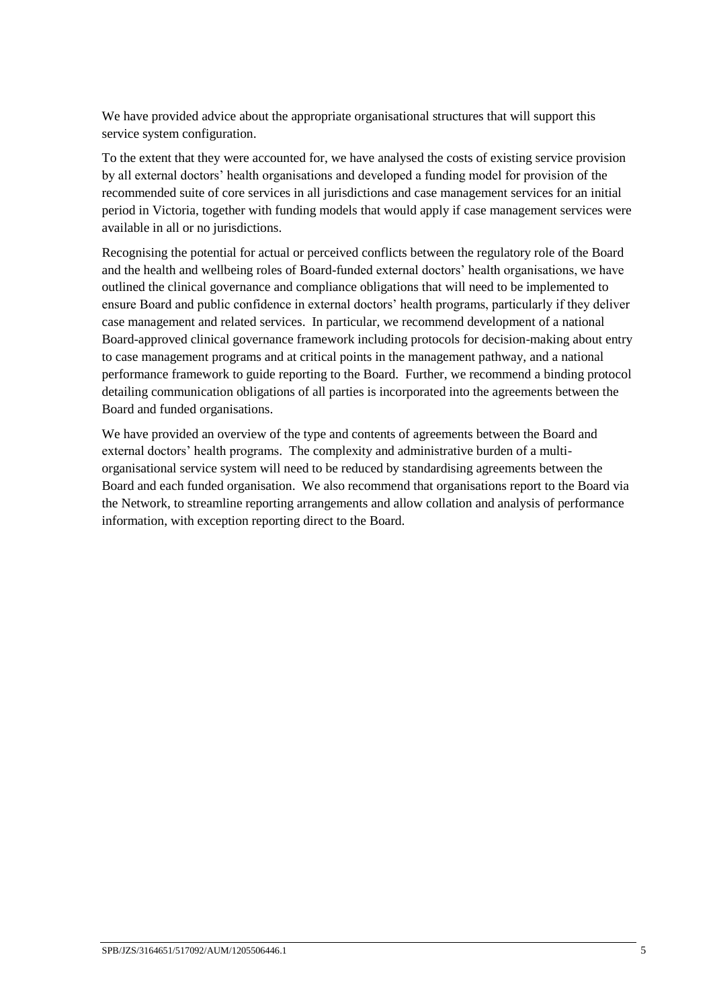We have provided advice about the appropriate organisational structures that will support this service system configuration.

To the extent that they were accounted for, we have analysed the costs of existing service provision by all external doctors' health organisations and developed a funding model for provision of the recommended suite of core services in all jurisdictions and case management services for an initial period in Victoria, together with funding models that would apply if case management services were available in all or no jurisdictions.

Recognising the potential for actual or perceived conflicts between the regulatory role of the Board and the health and wellbeing roles of Board-funded external doctors' health organisations, we have outlined the clinical governance and compliance obligations that will need to be implemented to ensure Board and public confidence in external doctors' health programs, particularly if they deliver case management and related services. In particular, we recommend development of a national Board-approved clinical governance framework including protocols for decision-making about entry to case management programs and at critical points in the management pathway, and a national performance framework to guide reporting to the Board. Further, we recommend a binding protocol detailing communication obligations of all parties is incorporated into the agreements between the Board and funded organisations.

We have provided an overview of the type and contents of agreements between the Board and external doctors' health programs. The complexity and administrative burden of a multiorganisational service system will need to be reduced by standardising agreements between the Board and each funded organisation. We also recommend that organisations report to the Board via the Network, to streamline reporting arrangements and allow collation and analysis of performance information, with exception reporting direct to the Board.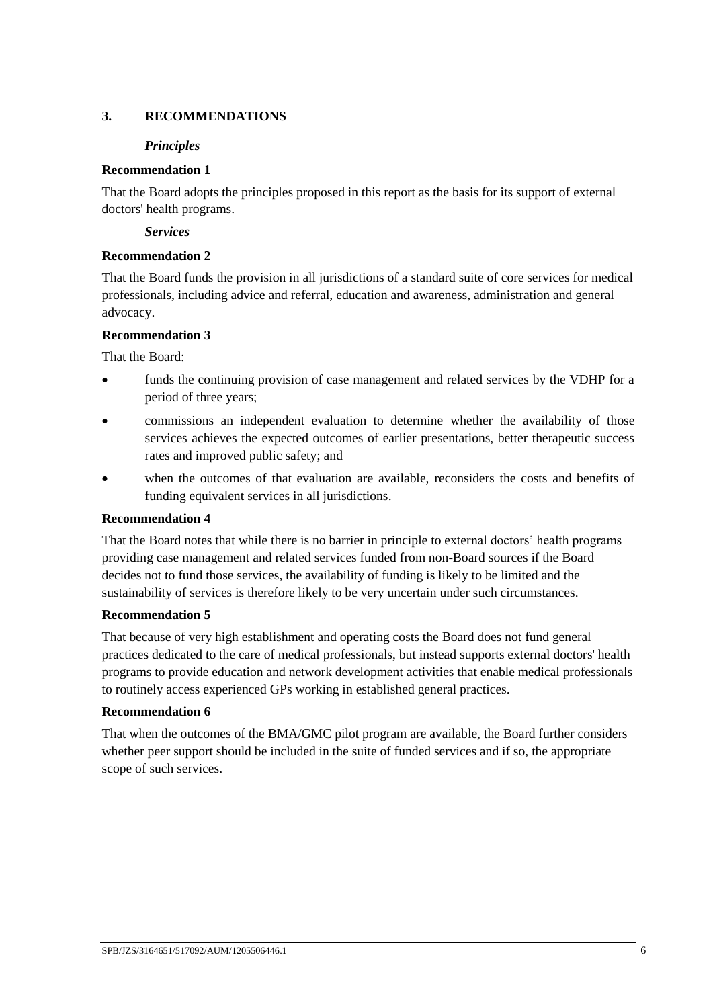## <span id="page-7-0"></span>**3. RECOMMENDATIONS**

#### *Principles*

### **Recommendation 1**

That the Board adopts the principles proposed in this report as the basis for its support of external doctors' health programs.

*Services*

### **Recommendation 2**

That the Board funds the provision in all jurisdictions of a standard suite of core services for medical professionals, including advice and referral, education and awareness, administration and general advocacy.

### **Recommendation 3**

That the Board:

- funds the continuing provision of case management and related services by the VDHP for a period of three years;
- commissions an independent evaluation to determine whether the availability of those services achieves the expected outcomes of earlier presentations, better therapeutic success rates and improved public safety; and
- when the outcomes of that evaluation are available, reconsiders the costs and benefits of funding equivalent services in all jurisdictions.

#### **Recommendation 4**

That the Board notes that while there is no barrier in principle to external doctors' health programs providing case management and related services funded from non-Board sources if the Board decides not to fund those services, the availability of funding is likely to be limited and the sustainability of services is therefore likely to be very uncertain under such circumstances.

#### **Recommendation 5**

That because of very high establishment and operating costs the Board does not fund general practices dedicated to the care of medical professionals, but instead supports external doctors' health programs to provide education and network development activities that enable medical professionals to routinely access experienced GPs working in established general practices.

#### **Recommendation 6**

That when the outcomes of the BMA/GMC pilot program are available, the Board further considers whether peer support should be included in the suite of funded services and if so, the appropriate scope of such services.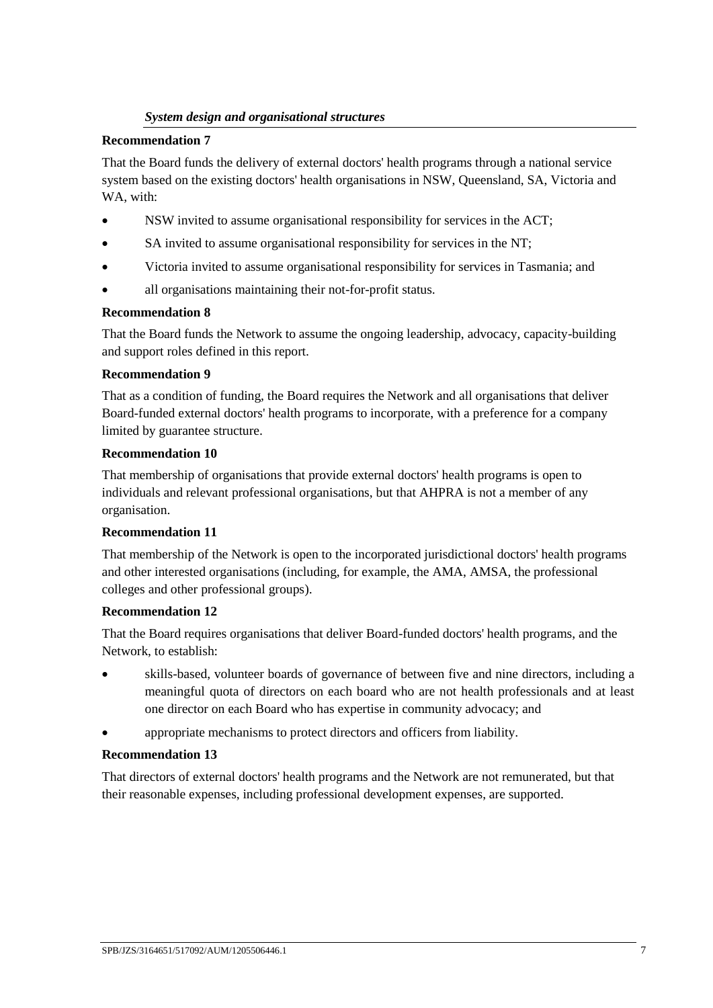# *System design and organisational structures*

### **Recommendation 7**

That the Board funds the delivery of external doctors' health programs through a national service system based on the existing doctors' health organisations in NSW, Queensland, SA, Victoria and WA, with:

- NSW invited to assume organisational responsibility for services in the ACT;
- SA invited to assume organisational responsibility for services in the NT;
- Victoria invited to assume organisational responsibility for services in Tasmania; and
- all organisations maintaining their not-for-profit status.

### **Recommendation 8**

That the Board funds the Network to assume the ongoing leadership, advocacy, capacity-building and support roles defined in this report.

### **Recommendation 9**

That as a condition of funding, the Board requires the Network and all organisations that deliver Board-funded external doctors' health programs to incorporate, with a preference for a company limited by guarantee structure.

### **Recommendation 10**

That membership of organisations that provide external doctors' health programs is open to individuals and relevant professional organisations, but that AHPRA is not a member of any organisation.

#### **Recommendation 11**

That membership of the Network is open to the incorporated jurisdictional doctors' health programs and other interested organisations (including, for example, the AMA, AMSA, the professional colleges and other professional groups).

## **Recommendation 12**

That the Board requires organisations that deliver Board-funded doctors' health programs, and the Network, to establish:

- skills-based, volunteer boards of governance of between five and nine directors, including a meaningful quota of directors on each board who are not health professionals and at least one director on each Board who has expertise in community advocacy; and
- appropriate mechanisms to protect directors and officers from liability.

## **Recommendation 13**

That directors of external doctors' health programs and the Network are not remunerated, but that their reasonable expenses, including professional development expenses, are supported.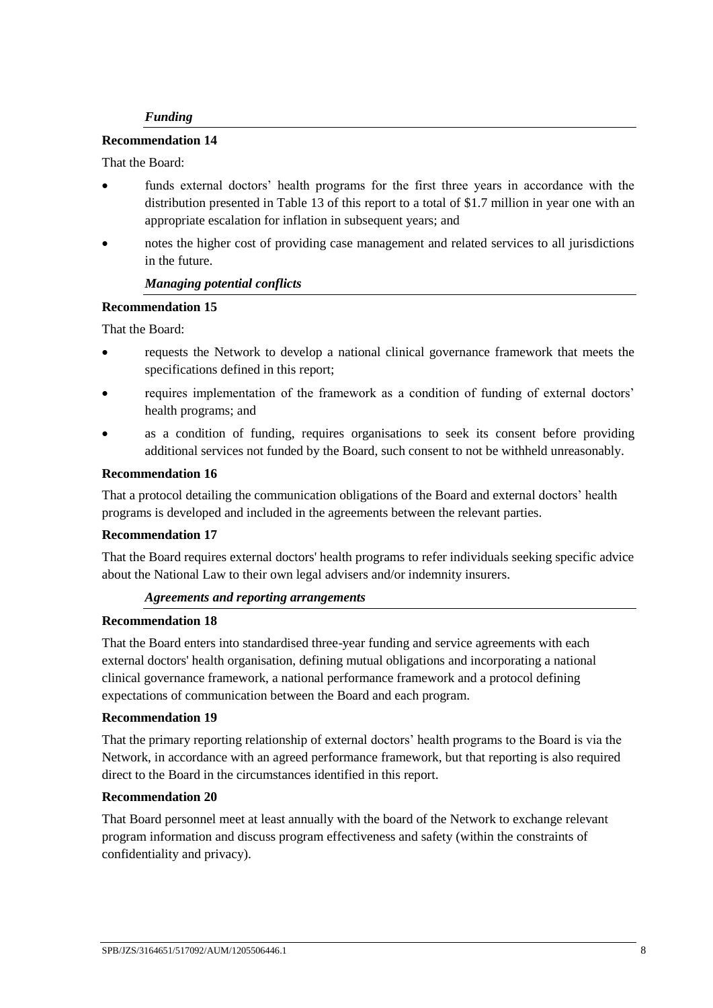## *Funding*

#### **Recommendation 14**

#### That the Board:

- funds external doctors' health programs for the first three years in accordance with the distribution presented in Table 13 of this report to a total of \$1.7 million in year one with an appropriate escalation for inflation in subsequent years; and
- notes the higher cost of providing case management and related services to all jurisdictions in the future.

#### *Managing potential conflicts*

### **Recommendation 15**

That the Board:

- requests the Network to develop a national clinical governance framework that meets the specifications defined in this report;
- requires implementation of the framework as a condition of funding of external doctors' health programs; and
- as a condition of funding, requires organisations to seek its consent before providing additional services not funded by the Board, such consent to not be withheld unreasonably.

#### **Recommendation 16**

That a protocol detailing the communication obligations of the Board and external doctors' health programs is developed and included in the agreements between the relevant parties.

#### **Recommendation 17**

That the Board requires external doctors' health programs to refer individuals seeking specific advice about the National Law to their own legal advisers and/or indemnity insurers.

#### *Agreements and reporting arrangements*

#### **Recommendation 18**

That the Board enters into standardised three-year funding and service agreements with each external doctors' health organisation, defining mutual obligations and incorporating a national clinical governance framework, a national performance framework and a protocol defining expectations of communication between the Board and each program.

#### **Recommendation 19**

That the primary reporting relationship of external doctors' health programs to the Board is via the Network, in accordance with an agreed performance framework, but that reporting is also required direct to the Board in the circumstances identified in this report.

#### **Recommendation 20**

That Board personnel meet at least annually with the board of the Network to exchange relevant program information and discuss program effectiveness and safety (within the constraints of confidentiality and privacy).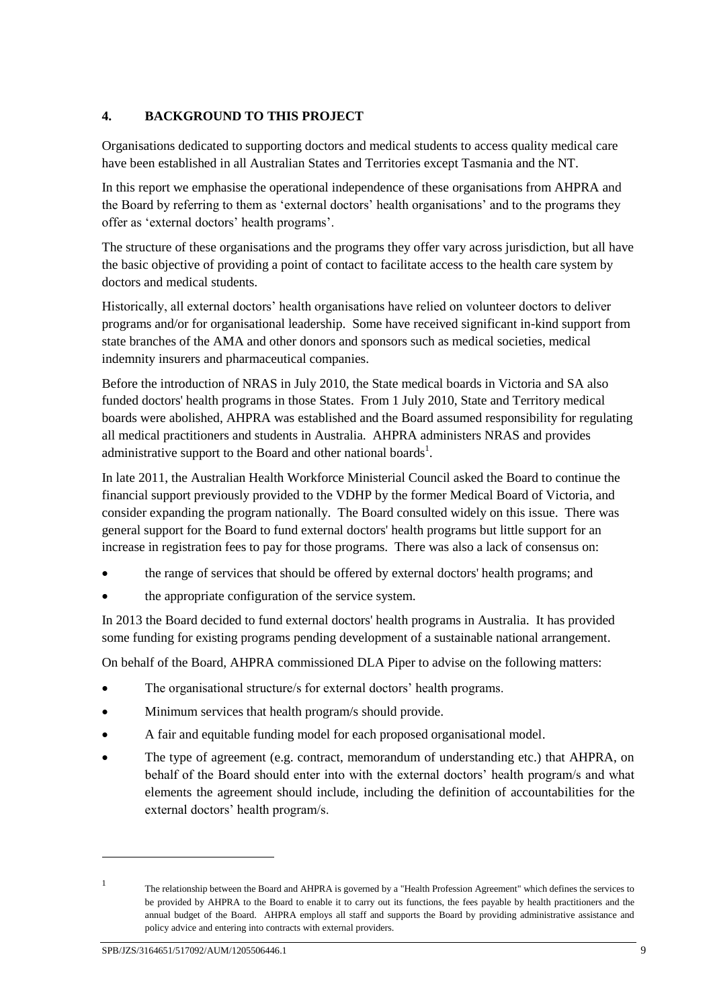# <span id="page-10-0"></span>**4. BACKGROUND TO THIS PROJECT**

Organisations dedicated to supporting doctors and medical students to access quality medical care have been established in all Australian States and Territories except Tasmania and the NT.

In this report we emphasise the operational independence of these organisations from AHPRA and the Board by referring to them as 'external doctors' health organisations' and to the programs they offer as 'external doctors' health programs'.

The structure of these organisations and the programs they offer vary across jurisdiction, but all have the basic objective of providing a point of contact to facilitate access to the health care system by doctors and medical students.

Historically, all external doctors' health organisations have relied on volunteer doctors to deliver programs and/or for organisational leadership. Some have received significant in-kind support from state branches of the AMA and other donors and sponsors such as medical societies, medical indemnity insurers and pharmaceutical companies.

Before the introduction of NRAS in July 2010, the State medical boards in Victoria and SA also funded doctors' health programs in those States. From 1 July 2010, State and Territory medical boards were abolished, AHPRA was established and the Board assumed responsibility for regulating all medical practitioners and students in Australia. AHPRA administers NRAS and provides administrative support to the Board and other national boards<sup>1</sup>.

In late 2011, the Australian Health Workforce Ministerial Council asked the Board to continue the financial support previously provided to the VDHP by the former Medical Board of Victoria, and consider expanding the program nationally. The Board consulted widely on this issue. There was general support for the Board to fund external doctors' health programs but little support for an increase in registration fees to pay for those programs. There was also a lack of consensus on:

- the range of services that should be offered by external doctors' health programs; and
- the appropriate configuration of the service system.

In 2013 the Board decided to fund external doctors' health programs in Australia. It has provided some funding for existing programs pending development of a sustainable national arrangement.

On behalf of the Board, AHPRA commissioned DLA Piper to advise on the following matters:

- The organisational structure/s for external doctors' health programs.
- Minimum services that health program/s should provide.
- A fair and equitable funding model for each proposed organisational model.
- The type of agreement (e.g. contract, memorandum of understanding etc.) that AHPRA, on behalf of the Board should enter into with the external doctors' health program/s and what elements the agreement should include, including the definition of accountabilities for the external doctors' health program/s.

-

<sup>1</sup> The relationship between the Board and AHPRA is governed by a "Health Profession Agreement" which defines the services to be provided by AHPRA to the Board to enable it to carry out its functions, the fees payable by health practitioners and the annual budget of the Board. AHPRA employs all staff and supports the Board by providing administrative assistance and policy advice and entering into contracts with external providers.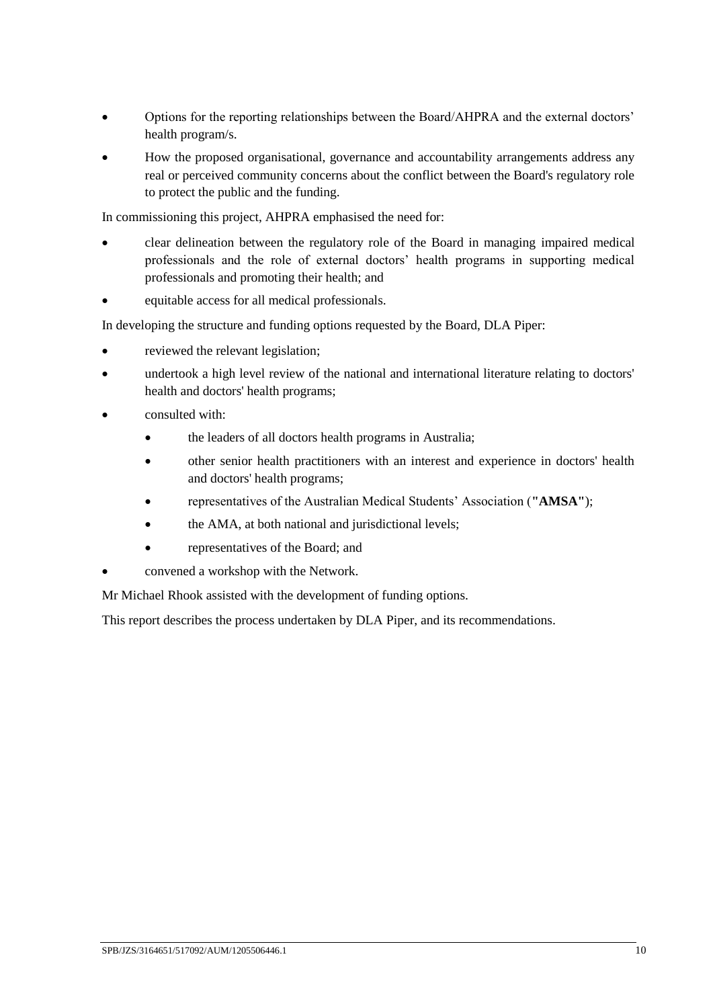- Options for the reporting relationships between the Board/AHPRA and the external doctors' health program/s.
- How the proposed organisational, governance and accountability arrangements address any real or perceived community concerns about the conflict between the Board's regulatory role to protect the public and the funding.

In commissioning this project, AHPRA emphasised the need for:

- clear delineation between the regulatory role of the Board in managing impaired medical professionals and the role of external doctors' health programs in supporting medical professionals and promoting their health; and
- equitable access for all medical professionals.

In developing the structure and funding options requested by the Board, DLA Piper:

- reviewed the relevant legislation;
- undertook a high level review of the national and international literature relating to doctors' health and doctors' health programs;
- consulted with:
	- the leaders of all doctors health programs in Australia;
	- other senior health practitioners with an interest and experience in doctors' health and doctors' health programs;
	- representatives of the Australian Medical Students' Association (**"AMSA"**);
	- the AMA, at both national and jurisdictional levels;
	- representatives of the Board; and
- convened a workshop with the Network.

Mr Michael Rhook assisted with the development of funding options.

This report describes the process undertaken by DLA Piper, and its recommendations.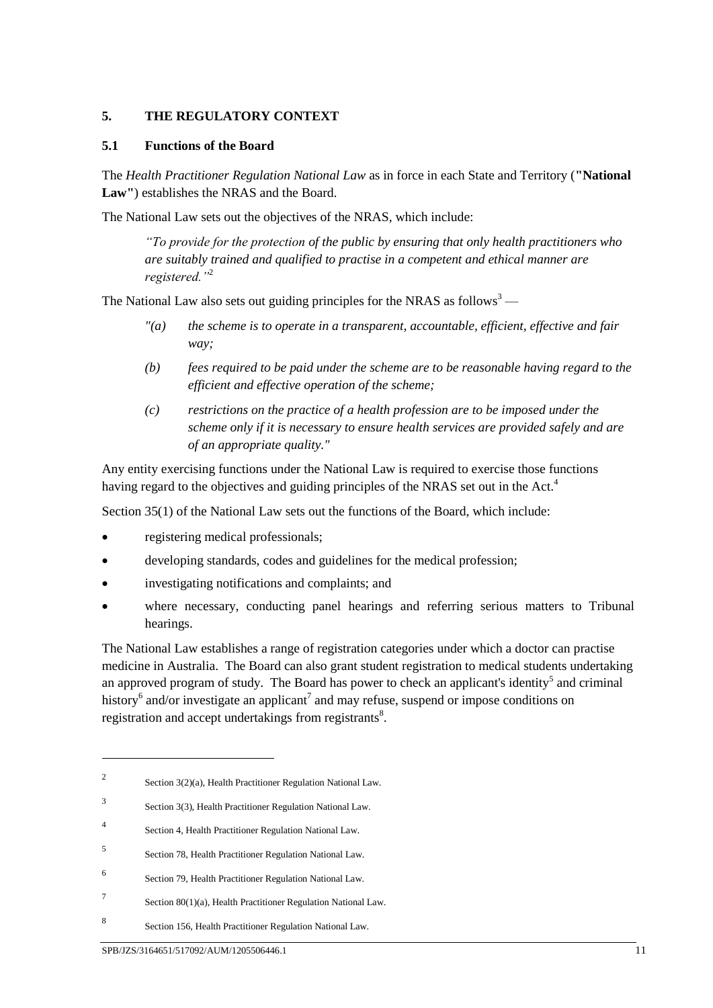## <span id="page-12-0"></span>**5. THE REGULATORY CONTEXT**

#### **5.1 Functions of the Board**

The *Health Practitioner Regulation National Law* as in force in each State and Territory (**"National Law"**) establishes the NRAS and the Board.

The National Law sets out the objectives of the NRAS, which include:

*"To provide for the protection of the public by ensuring that only health practitioners who are suitably trained and qualified to practise in a competent and ethical manner are registered."*<sup>2</sup>

The National Law also sets out guiding principles for the NRAS as follows<sup>3</sup> —

- *"(a) the scheme is to operate in a transparent, accountable, efficient, effective and fair way;*
- *(b) fees required to be paid under the scheme are to be reasonable having regard to the efficient and effective operation of the scheme;*
- *(c) restrictions on the practice of a health profession are to be imposed under the scheme only if it is necessary to ensure health services are provided safely and are of an appropriate quality."*

Any entity exercising functions under the National Law is required to exercise those functions having regard to the objectives and guiding principles of the NRAS set out in the Act.<sup>4</sup>

Section 35(1) of the National Law sets out the functions of the Board, which include:

- registering medical professionals;
- developing standards, codes and guidelines for the medical profession;
- investigating notifications and complaints; and
- where necessary, conducting panel hearings and referring serious matters to Tribunal hearings.

The National Law establishes a range of registration categories under which a doctor can practise medicine in Australia. The Board can also grant student registration to medical students undertaking an approved program of study. The Board has power to check an applicant's identity<sup>5</sup> and criminal history<sup>6</sup> and/or investigate an applicant<sup>7</sup> and may refuse, suspend or impose conditions on registration and accept undertakings from registrants $8$ .

<sup>2</sup> Section 3(2)(a), Health Practitioner Regulation National Law.

<sup>3</sup> Section 3(3), Health Practitioner Regulation National Law.

<sup>4</sup> Section 4, Health Practitioner Regulation National Law.

<sup>5</sup> Section 78, Health Practitioner Regulation National Law.

<sup>6</sup> Section 79, Health Practitioner Regulation National Law.

<sup>7</sup> Section 80(1)(a), Health Practitioner Regulation National Law.

<sup>8</sup> Section 156, Health Practitioner Regulation National Law.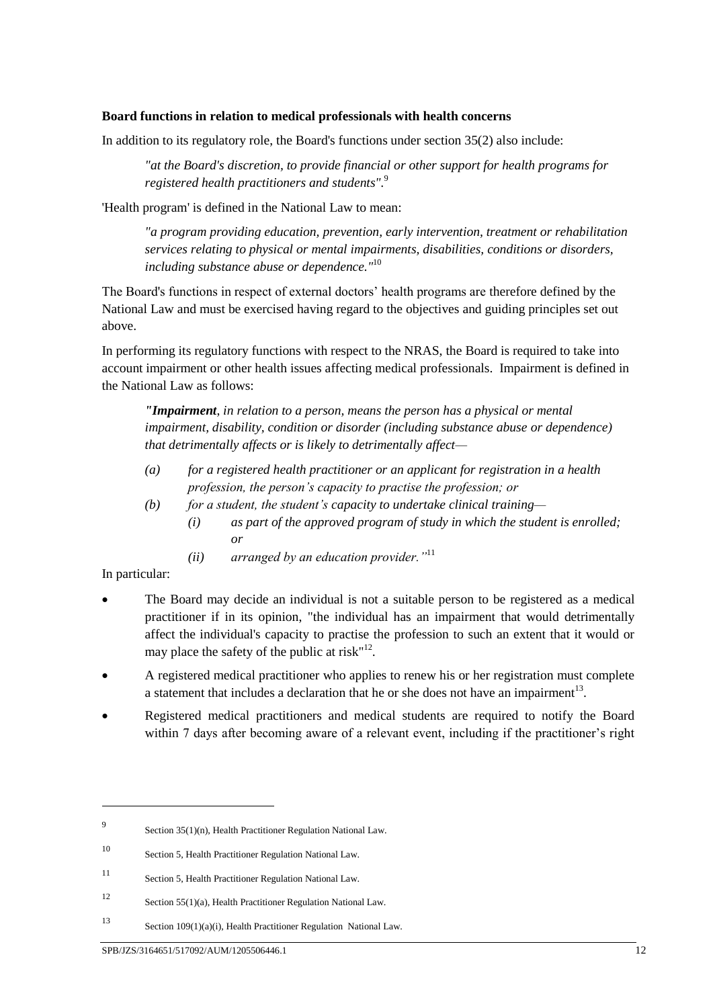#### **Board functions in relation to medical professionals with health concerns**

In addition to its regulatory role, the Board's functions under section 35(2) also include:

*"at the Board's discretion, to provide financial or other support for health programs for registered health practitioners and students".*<sup>9</sup>

'Health program' is defined in the National Law to mean:

*"a program providing education, prevention, early intervention, treatment or rehabilitation services relating to physical or mental impairments, disabilities, conditions or disorders, including substance abuse or dependence."* 10

The Board's functions in respect of external doctors' health programs are therefore defined by the National Law and must be exercised having regard to the objectives and guiding principles set out above.

In performing its regulatory functions with respect to the NRAS, the Board is required to take into account impairment or other health issues affecting medical professionals. Impairment is defined in the National Law as follows:

*"Impairment*, *in relation to a person, means the person has a physical or mental impairment, disability, condition or disorder (including substance abuse or dependence) that detrimentally affects or is likely to detrimentally affect—*

- *(a) for a registered health practitioner or an applicant for registration in a health profession, the person's capacity to practise the profession; or*
- *(b) for a student, the student's capacity to undertake clinical training—*
	- *(i) as part of the approved program of study in which the student is enrolled; or*
	- *(ii) arranged by an education provider."*<sup>11</sup>

In particular:

- The Board may decide an individual is not a suitable person to be registered as a medical practitioner if in its opinion, "the individual has an impairment that would detrimentally affect the individual's capacity to practise the profession to such an extent that it would or may place the safety of the public at  $risk$ <sup> $n12$ </sup>.
- A registered medical practitioner who applies to renew his or her registration must complete a statement that includes a declaration that he or she does not have an impairment $^{13}$ .
- Registered medical practitioners and medical students are required to notify the Board within 7 days after becoming aware of a relevant event, including if the practitioner's right

 $\overline{Q}$ Section 35(1)(n), Health Practitioner Regulation National Law.

<sup>10</sup> Section 5, Health Practitioner Regulation National Law.

<sup>11</sup> Section 5, Health Practitioner Regulation National Law.

<sup>12</sup> Section 55(1)(a), Health Practitioner Regulation National Law.

<sup>13</sup> Section 109(1)(a)(i), Health Practitioner Regulation National Law.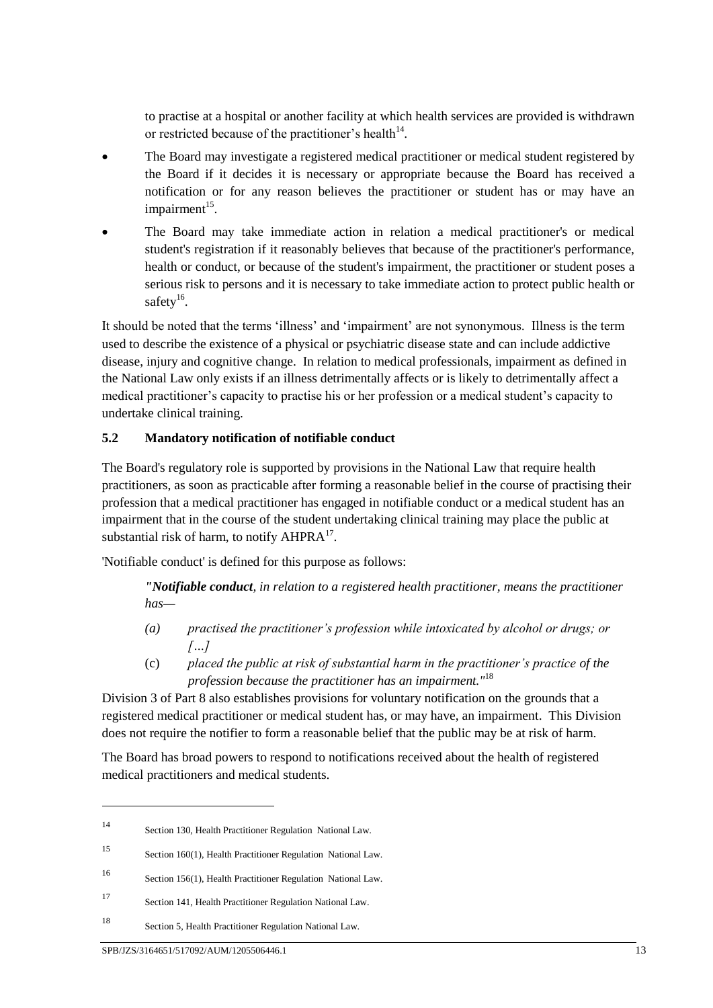to practise at a hospital or another facility at which health services are provided is withdrawn or restricted because of the practitioner's health $14$ .

- The Board may investigate a registered medical practitioner or medical student registered by the Board if it decides it is necessary or appropriate because the Board has received a notification or for any reason believes the practitioner or student has or may have an impairment<sup>15</sup>.
- The Board may take immediate action in relation a medical practitioner's or medical student's registration if it reasonably believes that because of the practitioner's performance, health or conduct, or because of the student's impairment, the practitioner or student poses a serious risk to persons and it is necessary to take immediate action to protect public health or safety<sup>16</sup>.

It should be noted that the terms 'illness' and 'impairment' are not synonymous. Illness is the term used to describe the existence of a physical or psychiatric disease state and can include addictive disease, injury and cognitive change. In relation to medical professionals, impairment as defined in the National Law only exists if an illness detrimentally affects or is likely to detrimentally affect a medical practitioner's capacity to practise his or her profession or a medical student's capacity to undertake clinical training.

# **5.2 Mandatory notification of notifiable conduct**

The Board's regulatory role is supported by provisions in the National Law that require health practitioners, as soon as practicable after forming a reasonable belief in the course of practising their profession that a medical practitioner has engaged in notifiable conduct or a medical student has an impairment that in the course of the student undertaking clinical training may place the public at substantial risk of harm, to notify  $AHPRA<sup>17</sup>$ .

'Notifiable conduct' is defined for this purpose as follows:

*"Notifiable conduct, in relation to a registered health practitioner, means the practitioner has—*

- *(a) practised the practitioner's profession while intoxicated by alcohol or drugs; or […]*
- (c) *placed the public at risk of substantial harm in the practitioner's practice of the profession because the practitioner has an impairment."*<sup>18</sup>

Division 3 of Part 8 also establishes provisions for voluntary notification on the grounds that a registered medical practitioner or medical student has, or may have, an impairment. This Division does not require the notifier to form a reasonable belief that the public may be at risk of harm.

The Board has broad powers to respond to notifications received about the health of registered medical practitioners and medical students.

<sup>14</sup> Section 130, Health Practitioner Regulation National Law.

<sup>15</sup> Section 160(1), Health Practitioner Regulation National Law.

<sup>16</sup> Section 156(1), Health Practitioner Regulation National Law.

<sup>17</sup> Section 141, Health Practitioner Regulation National Law.

<sup>18</sup> Section 5, Health Practitioner Regulation National Law.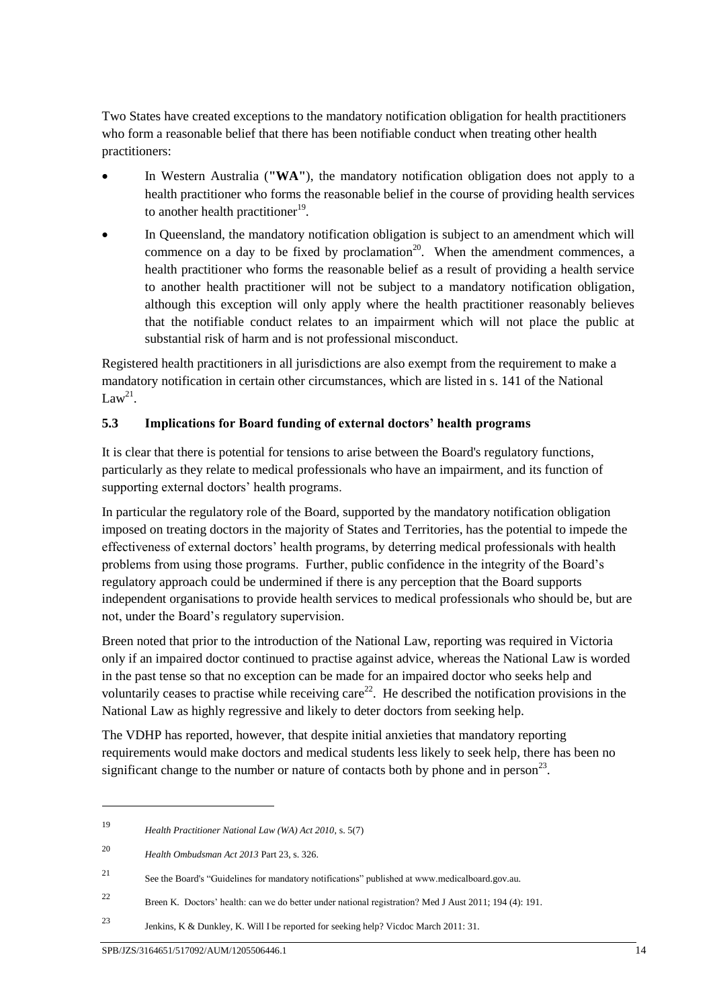Two States have created exceptions to the mandatory notification obligation for health practitioners who form a reasonable belief that there has been notifiable conduct when treating other health practitioners:

- In Western Australia (**"WA"**), the mandatory notification obligation does not apply to a health practitioner who forms the reasonable belief in the course of providing health services to another health practitioner<sup>19</sup>.
- In Queensland, the mandatory notification obligation is subject to an amendment which will commence on a day to be fixed by proclamation<sup>20</sup>. When the amendment commences, a health practitioner who forms the reasonable belief as a result of providing a health service to another health practitioner will not be subject to a mandatory notification obligation, although this exception will only apply where the health practitioner reasonably believes that the notifiable conduct relates to an impairment which will not place the public at substantial risk of harm and is not professional misconduct.

Registered health practitioners in all jurisdictions are also exempt from the requirement to make a mandatory notification in certain other circumstances, which are listed in s. 141 of the National Law<sup>21</sup>.

# **5.3 Implications for Board funding of external doctors' health programs**

It is clear that there is potential for tensions to arise between the Board's regulatory functions, particularly as they relate to medical professionals who have an impairment, and its function of supporting external doctors' health programs.

In particular the regulatory role of the Board, supported by the mandatory notification obligation imposed on treating doctors in the majority of States and Territories, has the potential to impede the effectiveness of external doctors' health programs, by deterring medical professionals with health problems from using those programs. Further, public confidence in the integrity of the Board's regulatory approach could be undermined if there is any perception that the Board supports independent organisations to provide health services to medical professionals who should be, but are not, under the Board's regulatory supervision.

Breen noted that prior to the introduction of the National Law, reporting was required in Victoria only if an impaired doctor continued to practise against advice, whereas the National Law is worded in the past tense so that no exception can be made for an impaired doctor who seeks help and voluntarily ceases to practise while receiving care<sup>22</sup>. He described the notification provisions in the National Law as highly regressive and likely to deter doctors from seeking help.

The VDHP has reported, however, that despite initial anxieties that mandatory reporting requirements would make doctors and medical students less likely to seek help, there has been no significant change to the number or nature of contacts both by phone and in person<sup>23</sup>.

<sup>19</sup> *Health Practitioner National Law (WA) Act 2010*, s. 5(7)

<sup>20</sup> *Health Ombudsman Act 2013* Part 23, s. 326.

<sup>21</sup> See the Board's "Guidelines for mandatory notifications" published at www.medicalboard.gov.au.

<sup>22</sup> Breen K. Doctors' health: can we do better under national registration? Med J Aust 2011; 194 (4): 191.

<sup>23</sup> Jenkins, K & Dunkley, K. Will I be reported for seeking help? Vicdoc March 2011: 31.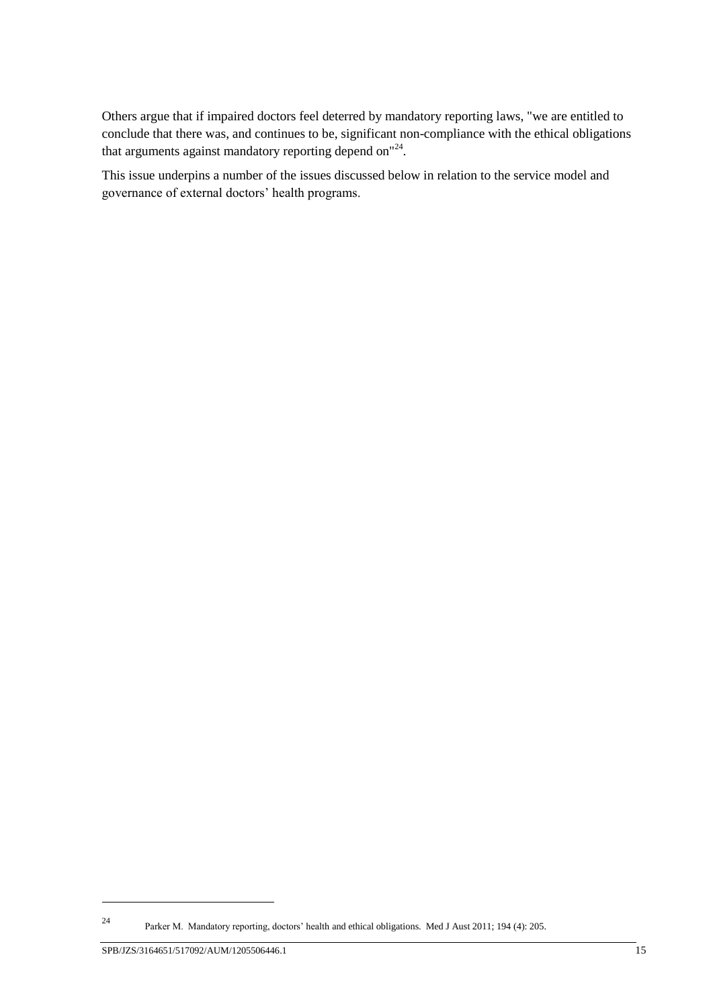Others argue that if impaired doctors feel deterred by mandatory reporting laws, "we are entitled to conclude that there was, and continues to be, significant non-compliance with the ethical obligations that arguments against mandatory reporting depend on"<sup>24</sup>.

This issue underpins a number of the issues discussed below in relation to the service model and governance of external doctors' health programs.

-

<sup>24</sup> Parker M. Mandatory reporting, doctors' health and ethical obligations. Med J Aust 2011; 194 (4): 205.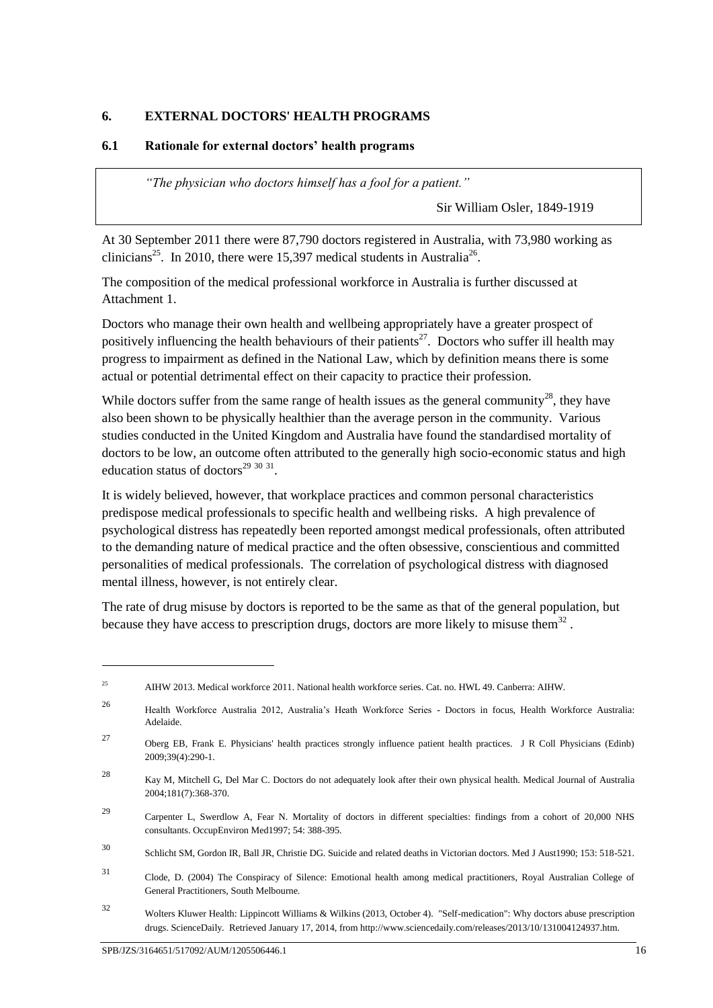# <span id="page-17-0"></span>**6. EXTERNAL DOCTORS' HEALTH PROGRAMS**

### **6.1 Rationale for external doctors' health programs**

*"The physician who doctors himself has a fool for a patient."*

<span id="page-17-1"></span>Sir William Osler, 1849-1919

At 30 September 2011 there were 87,790 doctors registered in Australia, with 73,980 working as clinicians<sup>25</sup>. In 2010, there were 15,397 medical students in Australia<sup>26</sup>.

The composition of the medical professional workforce in Australia is further discussed at Attachment 1.

Doctors who manage their own health and wellbeing appropriately have a greater prospect of positively influencing the health behaviours of their patients<sup>27</sup>. Doctors who suffer ill health may progress to impairment as defined in the National Law, which by definition means there is some actual or potential detrimental effect on their capacity to practice their profession.

While doctors suffer from the same range of health issues as the general community<sup>28</sup>, they have also been shown to be physically healthier than the average person in the community. Various studies conducted in the United Kingdom and Australia have found the standardised mortality of doctors to be low, an outcome often attributed to the generally high socio-economic status and high education status of doctors<sup>29 30 31</sup>.

It is widely believed, however, that workplace practices and common personal characteristics predispose medical professionals to specific health and wellbeing risks. A high prevalence of psychological distress has repeatedly been reported amongst medical professionals, often attributed to the demanding nature of medical practice and the often obsessive, conscientious and committed personalities of medical professionals. The correlation of psychological distress with diagnosed mental illness, however, is not entirely clear.

The rate of drug misuse by doctors is reported to be the same as that of the general population, but because they have access to prescription drugs, doctors are more likely to misuse them<sup>32</sup>.

<sup>25</sup> AIHW 2013. Medical workforce 2011. National health workforce series. Cat. no. HWL 49. Canberra: AIHW.

<sup>26</sup> Health Workforce Australia 2012, Australia's Heath Workforce Series - Doctors in focus, Health Workforce Australia: Adelaide.

<sup>27</sup> Oberg EB, Frank E. Physicians' health practices strongly influence patient health practices. J R Coll Physicians (Edinb) 2009;39(4):290-1.

<sup>28</sup> Kay M, Mitchell G, Del Mar C. Doctors do not adequately look after their own physical health. Medical Journal of Australia 2004;181(7):368-370.

<sup>29</sup> Carpenter L, Swerdlow A, Fear N. Mortality of doctors in different specialties: findings from a cohort of 20,000 NHS consultants. OccupEnviron Med1997; 54: 388-395.

<sup>30</sup> Schlicht SM, Gordon IR, Ball JR, Christie DG. Suicide and related deaths in Victorian doctors. Med J Aust1990; 153: 518-521.

<sup>31</sup> Clode, D. (2004) The Conspiracy of Silence: Emotional health among medical practitioners, Royal Australian College of General Practitioners, South Melbourne.

<sup>32</sup> Wolters Kluwer Health: Lippincott Williams & Wilkins (2013, October 4). "Self-medication": Why doctors abuse prescription drugs. ScienceDaily. Retrieved January 17, 2014, from http://www.sciencedaily.com/releases/2013/10/131004124937.htm.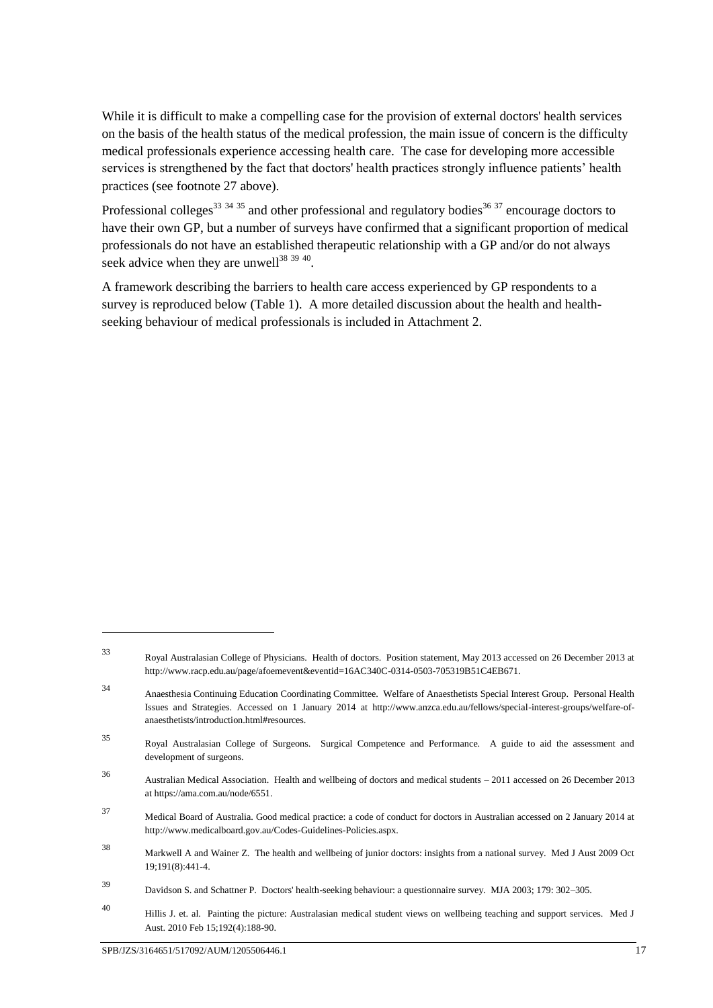While it is difficult to make a compelling case for the provision of external doctors' health services on the basis of the health status of the medical profession, the main issue of concern is the difficulty medical professionals experience accessing health care. The case for developing more accessible services is strengthened by the fact that doctors' health practices strongly influence patients' health practices (see footnot[e 27](#page-17-1) above).

Professional colleges<sup>33 34 35</sup> and other professional and regulatory bodies<sup>36 37</sup> encourage doctors to have their own GP, but a number of surveys have confirmed that a significant proportion of medical professionals do not have an established therapeutic relationship with a GP and/or do not always seek advice when they are unwell $^{38}$   $^{39}$   $^{40}$ .

A framework describing the barriers to health care access experienced by GP respondents to a survey is reproduced below (Table 1). A more detailed discussion about the health and healthseeking behaviour of medical professionals is included in Attachment 2.

<sup>33</sup> Royal Australasian College of Physicians. Health of doctors. Position statement, May 2013 accessed on 26 December 2013 at http://www.racp.edu.au/page/afoemevent&eventid=16AC340C-0314-0503-705319B51C4EB671.

<sup>34</sup> Anaesthesia Continuing Education Coordinating Committee. Welfare of Anaesthetists Special Interest Group. Personal Health Issues and Strategies. Accessed on 1 January 2014 at http://www.anzca.edu.au/fellows/special-interest-groups/welfare-ofanaesthetists/introduction.html#resources.

<sup>35</sup> Royal Australasian College of Surgeons. Surgical Competence and Performance. A guide to aid the assessment and development of surgeons.

<sup>36</sup> Australian Medical Association. Health and wellbeing of doctors and medical students – 2011 accessed on 26 December 2013 at https://ama.com.au/node/6551.

<sup>37</sup> Medical Board of Australia. Good medical practice: a code of conduct for doctors in Australian accessed on 2 January 2014 at http://www.medicalboard.gov.au/Codes-Guidelines-Policies.aspx.

<sup>38</sup> Markwell A and Wainer Z. The health and wellbeing of junior doctors: insights from a national survey. Med J Aust 2009 Oct 19;191(8):441-4.

<sup>39</sup> Davidson S. and Schattner P. Doctors' health-seeking behaviour: a questionnaire survey. MJA 2003; 179: 302–305.

<sup>40</sup> Hillis J. et. al. Painting the picture: Australasian medical student views on wellbeing teaching and support services. Med J Aust. 2010 Feb 15;192(4):188-90.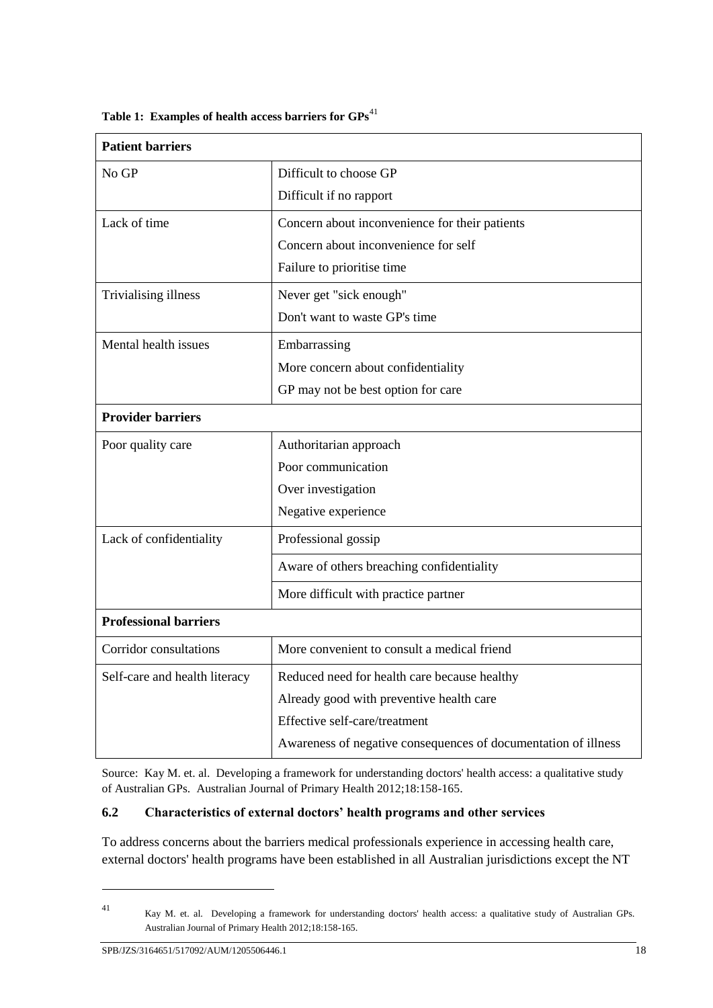| <b>Patient barriers</b>       |                                                                |  |  |  |
|-------------------------------|----------------------------------------------------------------|--|--|--|
| No GP                         | Difficult to choose GP                                         |  |  |  |
|                               | Difficult if no rapport                                        |  |  |  |
| Lack of time                  | Concern about inconvenience for their patients                 |  |  |  |
|                               | Concern about inconvenience for self                           |  |  |  |
|                               | Failure to prioritise time                                     |  |  |  |
| Trivialising illness          | Never get "sick enough"                                        |  |  |  |
|                               | Don't want to waste GP's time                                  |  |  |  |
| Mental health issues          | Embarrassing                                                   |  |  |  |
|                               | More concern about confidentiality                             |  |  |  |
|                               | GP may not be best option for care                             |  |  |  |
| <b>Provider barriers</b>      |                                                                |  |  |  |
| Poor quality care             | Authoritarian approach                                         |  |  |  |
|                               | Poor communication                                             |  |  |  |
|                               | Over investigation                                             |  |  |  |
|                               | Negative experience                                            |  |  |  |
| Lack of confidentiality       | Professional gossip                                            |  |  |  |
|                               | Aware of others breaching confidentiality                      |  |  |  |
|                               | More difficult with practice partner                           |  |  |  |
| <b>Professional barriers</b>  |                                                                |  |  |  |
| Corridor consultations        | More convenient to consult a medical friend                    |  |  |  |
| Self-care and health literacy | Reduced need for health care because healthy                   |  |  |  |
|                               | Already good with preventive health care                       |  |  |  |
|                               | Effective self-care/treatment                                  |  |  |  |
|                               | Awareness of negative consequences of documentation of illness |  |  |  |

Table 1: Examples of health access barriers for  $GPs<sup>41</sup>$ 

Source: Kay M. et. al. Developing a framework for understanding doctors' health access: a qualitative study of Australian GPs. Australian Journal of Primary Health 2012;18:158-165.

## **6.2 Characteristics of external doctors' health programs and other services**

To address concerns about the barriers medical professionals experience in accessing health care, external doctors' health programs have been established in all Australian jurisdictions except the NT

<sup>1</sup> 

<sup>41</sup> Kay M. et. al. Developing a framework for understanding doctors' health access: a qualitative study of Australian GPs. Australian Journal of Primary Health 2012;18:158-165.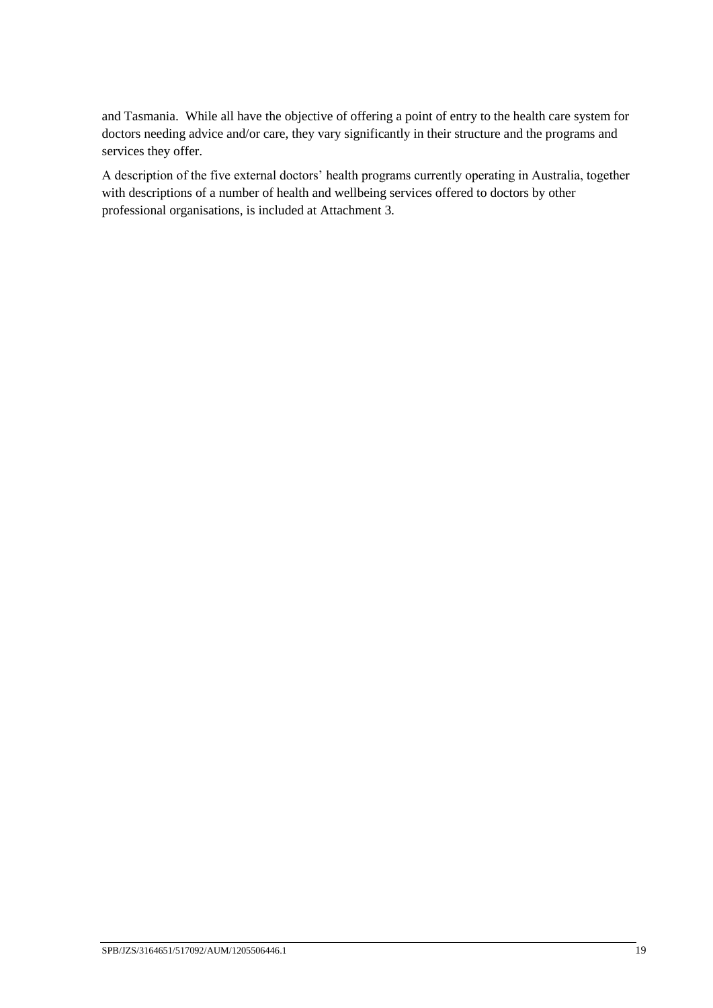and Tasmania. While all have the objective of offering a point of entry to the health care system for doctors needing advice and/or care, they vary significantly in their structure and the programs and services they offer.

A description of the five external doctors' health programs currently operating in Australia, together with descriptions of a number of health and wellbeing services offered to doctors by other professional organisations, is included at Attachment 3.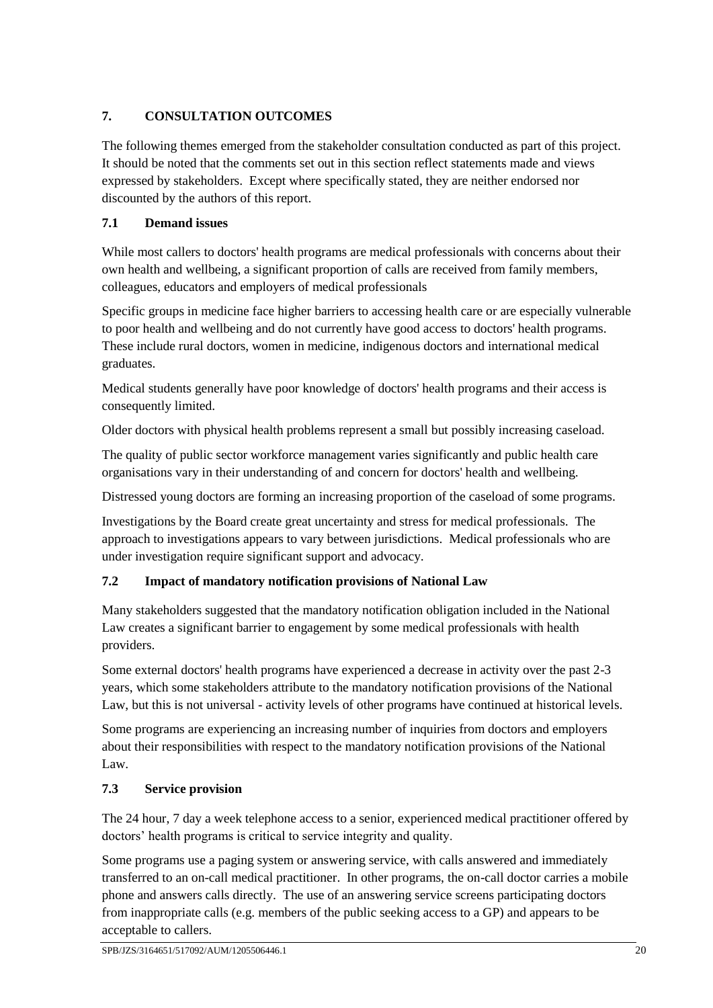# <span id="page-21-0"></span>**7. CONSULTATION OUTCOMES**

The following themes emerged from the stakeholder consultation conducted as part of this project. It should be noted that the comments set out in this section reflect statements made and views expressed by stakeholders. Except where specifically stated, they are neither endorsed nor discounted by the authors of this report.

# **7.1 Demand issues**

While most callers to doctors' health programs are medical professionals with concerns about their own health and wellbeing, a significant proportion of calls are received from family members, colleagues, educators and employers of medical professionals

Specific groups in medicine face higher barriers to accessing health care or are especially vulnerable to poor health and wellbeing and do not currently have good access to doctors' health programs. These include rural doctors, women in medicine, indigenous doctors and international medical graduates.

Medical students generally have poor knowledge of doctors' health programs and their access is consequently limited.

Older doctors with physical health problems represent a small but possibly increasing caseload.

The quality of public sector workforce management varies significantly and public health care organisations vary in their understanding of and concern for doctors' health and wellbeing.

Distressed young doctors are forming an increasing proportion of the caseload of some programs.

Investigations by the Board create great uncertainty and stress for medical professionals. The approach to investigations appears to vary between jurisdictions. Medical professionals who are under investigation require significant support and advocacy.

# **7.2 Impact of mandatory notification provisions of National Law**

Many stakeholders suggested that the mandatory notification obligation included in the National Law creates a significant barrier to engagement by some medical professionals with health providers.

Some external doctors' health programs have experienced a decrease in activity over the past 2-3 years, which some stakeholders attribute to the mandatory notification provisions of the National Law, but this is not universal - activity levels of other programs have continued at historical levels.

Some programs are experiencing an increasing number of inquiries from doctors and employers about their responsibilities with respect to the mandatory notification provisions of the National Law.

# **7.3 Service provision**

The 24 hour, 7 day a week telephone access to a senior, experienced medical practitioner offered by doctors' health programs is critical to service integrity and quality.

Some programs use a paging system or answering service, with calls answered and immediately transferred to an on-call medical practitioner. In other programs, the on-call doctor carries a mobile phone and answers calls directly. The use of an answering service screens participating doctors from inappropriate calls (e.g. members of the public seeking access to a GP) and appears to be acceptable to callers.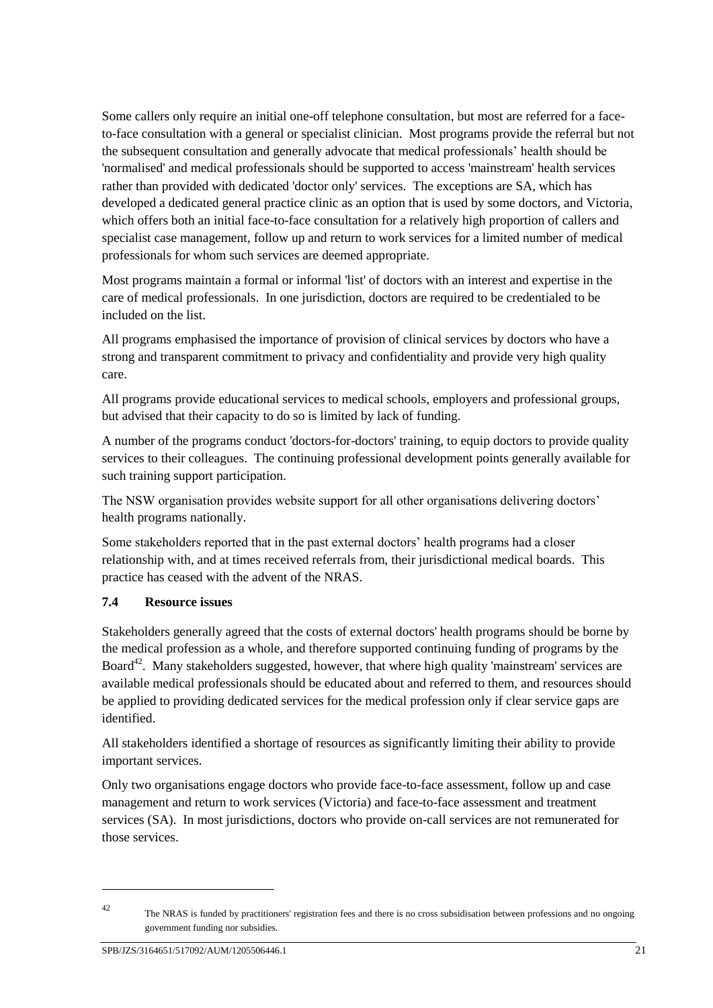Some callers only require an initial one-off telephone consultation, but most are referred for a faceto-face consultation with a general or specialist clinician. Most programs provide the referral but not the subsequent consultation and generally advocate that medical professionals' health should be 'normalised' and medical professionals should be supported to access 'mainstream' health services rather than provided with dedicated 'doctor only' services. The exceptions are SA, which has developed a dedicated general practice clinic as an option that is used by some doctors, and Victoria, which offers both an initial face-to-face consultation for a relatively high proportion of callers and specialist case management, follow up and return to work services for a limited number of medical professionals for whom such services are deemed appropriate.

Most programs maintain a formal or informal 'list' of doctors with an interest and expertise in the care of medical professionals. In one jurisdiction, doctors are required to be credentialed to be included on the list.

All programs emphasised the importance of provision of clinical services by doctors who have a strong and transparent commitment to privacy and confidentiality and provide very high quality care.

All programs provide educational services to medical schools, employers and professional groups, but advised that their capacity to do so is limited by lack of funding.

A number of the programs conduct 'doctors-for-doctors' training, to equip doctors to provide quality services to their colleagues. The continuing professional development points generally available for such training support participation.

The NSW organisation provides website support for all other organisations delivering doctors' health programs nationally.

Some stakeholders reported that in the past external doctors' health programs had a closer relationship with, and at times received referrals from, their jurisdictional medical boards. This practice has ceased with the advent of the NRAS.

# **7.4 Resource issues**

Stakeholders generally agreed that the costs of external doctors' health programs should be borne by the medical profession as a whole, and therefore supported continuing funding of programs by the Board<sup>42</sup>. Many stakeholders suggested, however, that where high quality 'mainstream' services are available medical professionals should be educated about and referred to them, and resources should be applied to providing dedicated services for the medical profession only if clear service gaps are identified.

All stakeholders identified a shortage of resources as significantly limiting their ability to provide important services.

Only two organisations engage doctors who provide face-to-face assessment, follow up and case management and return to work services (Victoria) and face-to-face assessment and treatment services (SA). In most jurisdictions, doctors who provide on-call services are not remunerated for those services.

<sup>1</sup> 

<sup>42</sup> The NRAS is funded by practitioners' registration fees and there is no cross subsidisation between professions and no ongoing government funding nor subsidies.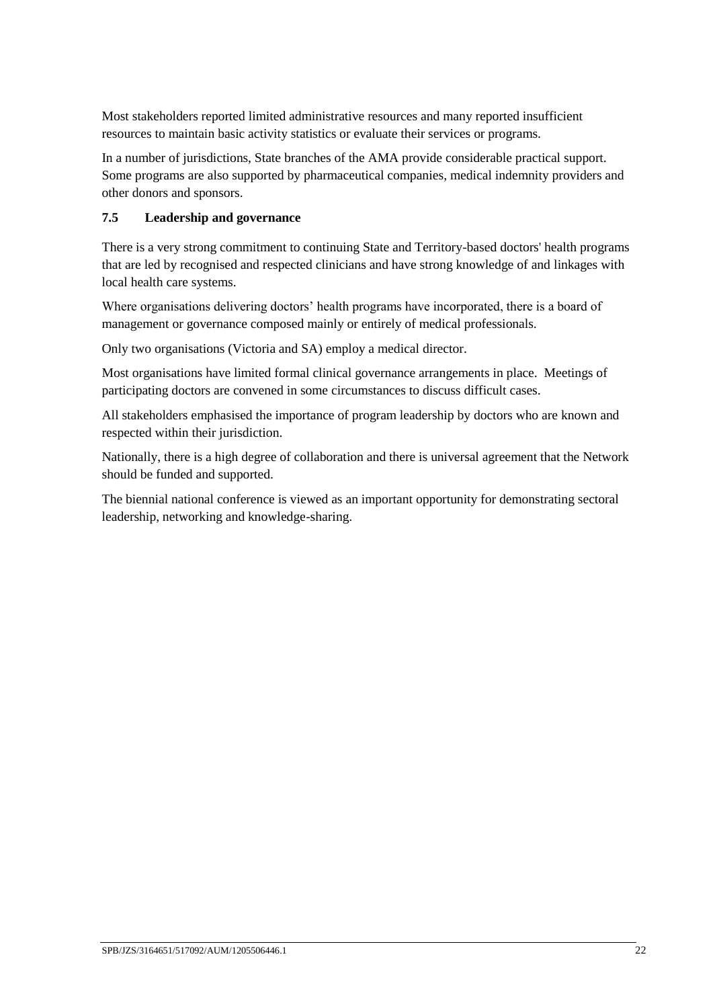Most stakeholders reported limited administrative resources and many reported insufficient resources to maintain basic activity statistics or evaluate their services or programs.

In a number of jurisdictions, State branches of the AMA provide considerable practical support. Some programs are also supported by pharmaceutical companies, medical indemnity providers and other donors and sponsors.

# **7.5 Leadership and governance**

There is a very strong commitment to continuing State and Territory-based doctors' health programs that are led by recognised and respected clinicians and have strong knowledge of and linkages with local health care systems.

Where organisations delivering doctors' health programs have incorporated, there is a board of management or governance composed mainly or entirely of medical professionals.

Only two organisations (Victoria and SA) employ a medical director.

Most organisations have limited formal clinical governance arrangements in place. Meetings of participating doctors are convened in some circumstances to discuss difficult cases.

All stakeholders emphasised the importance of program leadership by doctors who are known and respected within their jurisdiction.

Nationally, there is a high degree of collaboration and there is universal agreement that the Network should be funded and supported.

The biennial national conference is viewed as an important opportunity for demonstrating sectoral leadership, networking and knowledge-sharing.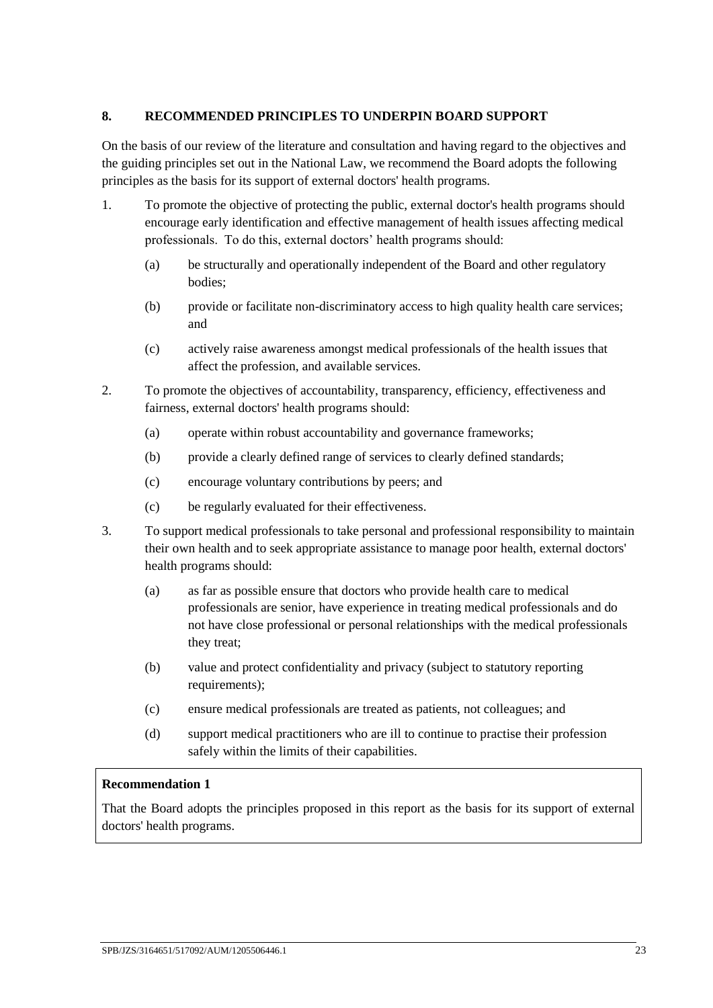# <span id="page-24-0"></span>**8. RECOMMENDED PRINCIPLES TO UNDERPIN BOARD SUPPORT**

On the basis of our review of the literature and consultation and having regard to the objectives and the guiding principles set out in the National Law, we recommend the Board adopts the following principles as the basis for its support of external doctors' health programs.

- 1. To promote the objective of protecting the public, external doctor's health programs should encourage early identification and effective management of health issues affecting medical professionals. To do this, external doctors' health programs should:
	- (a) be structurally and operationally independent of the Board and other regulatory bodies;
	- (b) provide or facilitate non-discriminatory access to high quality health care services; and
	- (c) actively raise awareness amongst medical professionals of the health issues that affect the profession, and available services.
- 2. To promote the objectives of accountability, transparency, efficiency, effectiveness and fairness, external doctors' health programs should:
	- (a) operate within robust accountability and governance frameworks;
	- (b) provide a clearly defined range of services to clearly defined standards;
	- (c) encourage voluntary contributions by peers; and
	- (c) be regularly evaluated for their effectiveness.
- 3. To support medical professionals to take personal and professional responsibility to maintain their own health and to seek appropriate assistance to manage poor health, external doctors' health programs should:
	- (a) as far as possible ensure that doctors who provide health care to medical professionals are senior, have experience in treating medical professionals and do not have close professional or personal relationships with the medical professionals they treat;
	- (b) value and protect confidentiality and privacy (subject to statutory reporting requirements);
	- (c) ensure medical professionals are treated as patients, not colleagues; and
	- (d) support medical practitioners who are ill to continue to practise their profession safely within the limits of their capabilities.

## **Recommendation 1**

That the Board adopts the principles proposed in this report as the basis for its support of external doctors' health programs.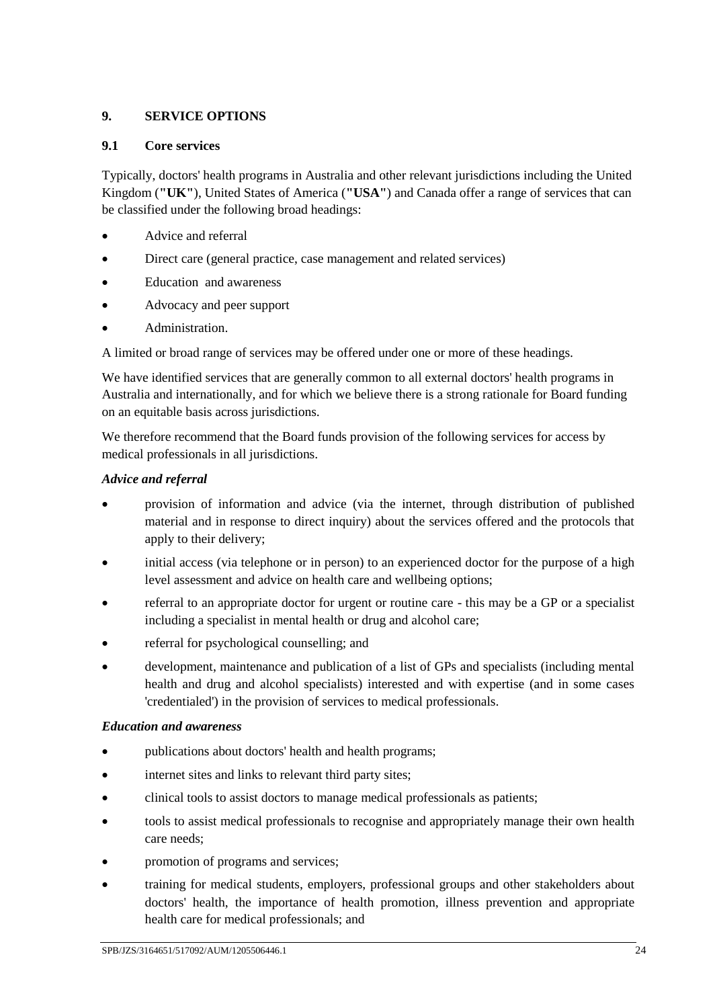# <span id="page-25-0"></span>**9. SERVICE OPTIONS**

## **9.1 Core services**

Typically, doctors' health programs in Australia and other relevant jurisdictions including the United Kingdom (**"UK"**), United States of America (**"USA"**) and Canada offer a range of services that can be classified under the following broad headings:

- Advice and referral
- Direct care (general practice, case management and related services)
- Education and awareness
- Advocacy and peer support
- Administration.

A limited or broad range of services may be offered under one or more of these headings.

We have identified services that are generally common to all external doctors' health programs in Australia and internationally, and for which we believe there is a strong rationale for Board funding on an equitable basis across jurisdictions.

We therefore recommend that the Board funds provision of the following services for access by medical professionals in all jurisdictions.

# *Advice and referral*

- provision of information and advice (via the internet, through distribution of published material and in response to direct inquiry) about the services offered and the protocols that apply to their delivery;
- initial access (via telephone or in person) to an experienced doctor for the purpose of a high level assessment and advice on health care and wellbeing options;
- referral to an appropriate doctor for urgent or routine care this may be a GP or a specialist including a specialist in mental health or drug and alcohol care;
- referral for psychological counselling; and
- development, maintenance and publication of a list of GPs and specialists (including mental health and drug and alcohol specialists) interested and with expertise (and in some cases 'credentialed') in the provision of services to medical professionals.

# *Education and awareness*

- publications about doctors' health and health programs;
- internet sites and links to relevant third party sites;
- clinical tools to assist doctors to manage medical professionals as patients;
- tools to assist medical professionals to recognise and appropriately manage their own health care needs;
- promotion of programs and services;
- training for medical students, employers, professional groups and other stakeholders about doctors' health, the importance of health promotion, illness prevention and appropriate health care for medical professionals; and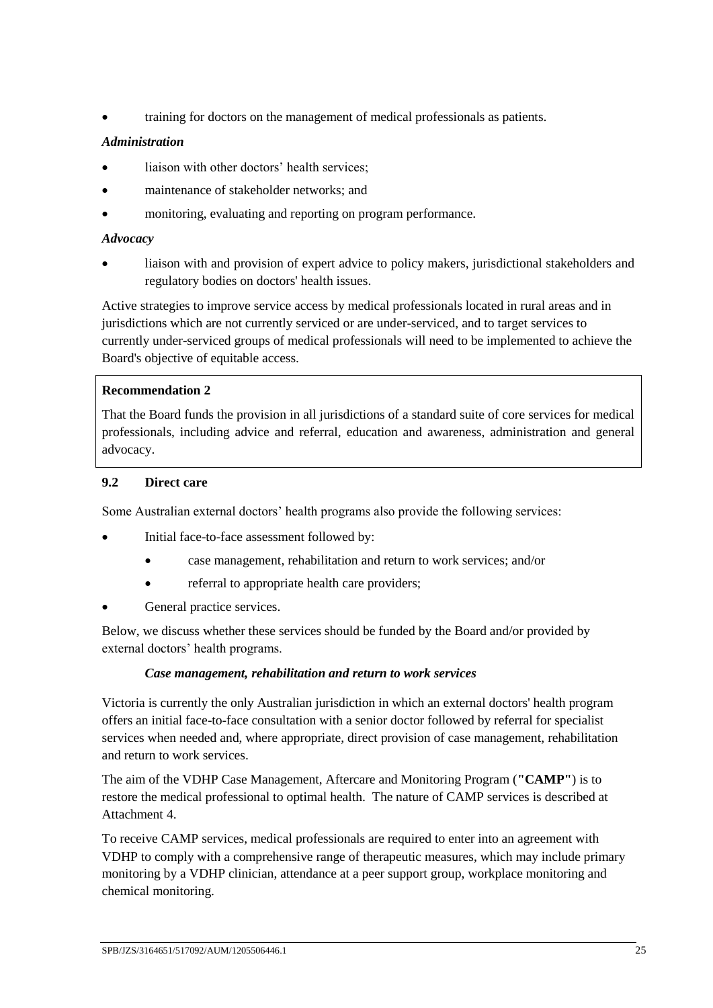training for doctors on the management of medical professionals as patients.

# *Administration*

- liaison with other doctors' health services;
- maintenance of stakeholder networks; and
- monitoring, evaluating and reporting on program performance.

### *Advocacy*

 liaison with and provision of expert advice to policy makers, jurisdictional stakeholders and regulatory bodies on doctors' health issues.

Active strategies to improve service access by medical professionals located in rural areas and in jurisdictions which are not currently serviced or are under-serviced, and to target services to currently under-serviced groups of medical professionals will need to be implemented to achieve the Board's objective of equitable access.

# **Recommendation 2**

That the Board funds the provision in all jurisdictions of a standard suite of core services for medical professionals, including advice and referral, education and awareness, administration and general advocacy.

### **9.2 Direct care**

Some Australian external doctors' health programs also provide the following services:

- Initial face-to-face assessment followed by:
	- case management, rehabilitation and return to work services; and/or
	- referral to appropriate health care providers;
- General practice services.

Below, we discuss whether these services should be funded by the Board and/or provided by external doctors' health programs.

## *Case management, rehabilitation and return to work services*

Victoria is currently the only Australian jurisdiction in which an external doctors' health program offers an initial face-to-face consultation with a senior doctor followed by referral for specialist services when needed and, where appropriate, direct provision of case management, rehabilitation and return to work services.

The aim of the VDHP Case Management, Aftercare and Monitoring Program (**"CAMP"**) is to restore the medical professional to optimal health. The nature of CAMP services is described at Attachment 4.

To receive CAMP services, medical professionals are required to enter into an agreement with VDHP to comply with a comprehensive range of therapeutic measures, which may include primary monitoring by a VDHP clinician, attendance at a peer support group, workplace monitoring and chemical monitoring.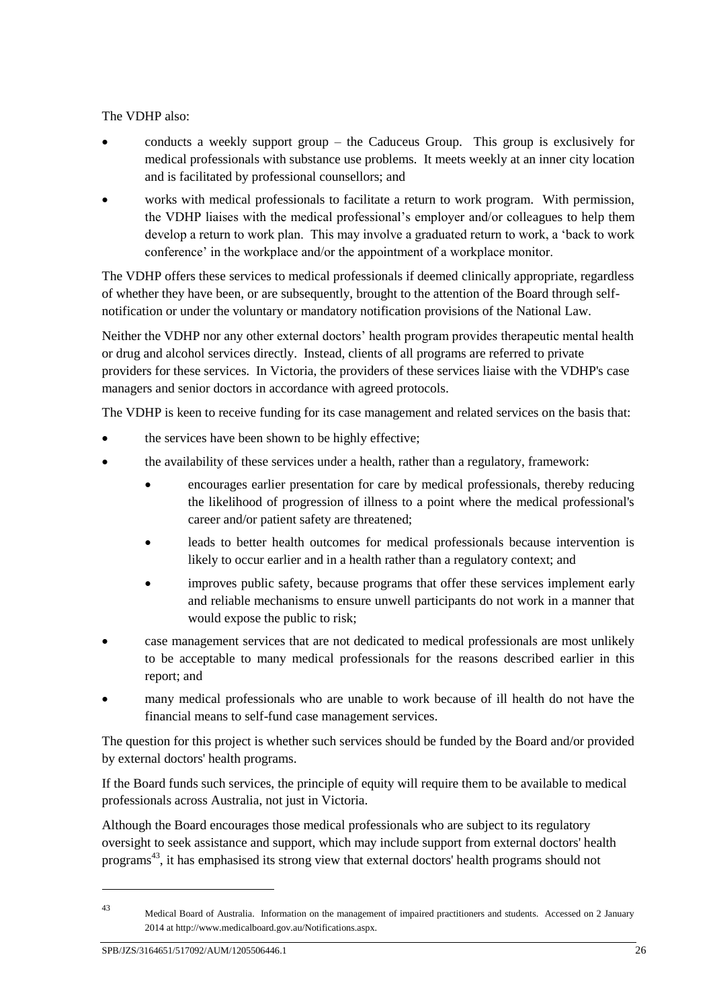The VDHP also:

- conducts a weekly support group the Caduceus Group. This group is exclusively for medical professionals with substance use problems. It meets weekly at an inner city location and is facilitated by professional counsellors; and
- works with medical professionals to facilitate a return to work program. With permission, the VDHP liaises with the medical professional's employer and/or colleagues to help them develop a return to work plan. This may involve a graduated return to work, a 'back to work conference' in the workplace and/or the appointment of a workplace monitor.

The VDHP offers these services to medical professionals if deemed clinically appropriate, regardless of whether they have been, or are subsequently, brought to the attention of the Board through selfnotification or under the voluntary or mandatory notification provisions of the National Law.

Neither the VDHP nor any other external doctors' health program provides therapeutic mental health or drug and alcohol services directly. Instead, clients of all programs are referred to private providers for these services. In Victoria, the providers of these services liaise with the VDHP's case managers and senior doctors in accordance with agreed protocols.

The VDHP is keen to receive funding for its case management and related services on the basis that:

- the services have been shown to be highly effective;
- the availability of these services under a health, rather than a regulatory, framework:
	- encourages earlier presentation for care by medical professionals, thereby reducing the likelihood of progression of illness to a point where the medical professional's career and/or patient safety are threatened;
	- leads to better health outcomes for medical professionals because intervention is likely to occur earlier and in a health rather than a regulatory context; and
	- improves public safety, because programs that offer these services implement early and reliable mechanisms to ensure unwell participants do not work in a manner that would expose the public to risk;
- case management services that are not dedicated to medical professionals are most unlikely to be acceptable to many medical professionals for the reasons described earlier in this report; and
- many medical professionals who are unable to work because of ill health do not have the financial means to self-fund case management services.

The question for this project is whether such services should be funded by the Board and/or provided by external doctors' health programs.

If the Board funds such services, the principle of equity will require them to be available to medical professionals across Australia, not just in Victoria.

Although the Board encourages those medical professionals who are subject to its regulatory oversight to seek assistance and support, which may include support from external doctors' health programs<sup>43</sup>, it has emphasised its strong view that external doctors' health programs should not

<sup>1</sup> 

<sup>43</sup> Medical Board of Australia. Information on the management of impaired practitioners and students. Accessed on 2 January 2014 at http://www.medicalboard.gov.au/Notifications.aspx.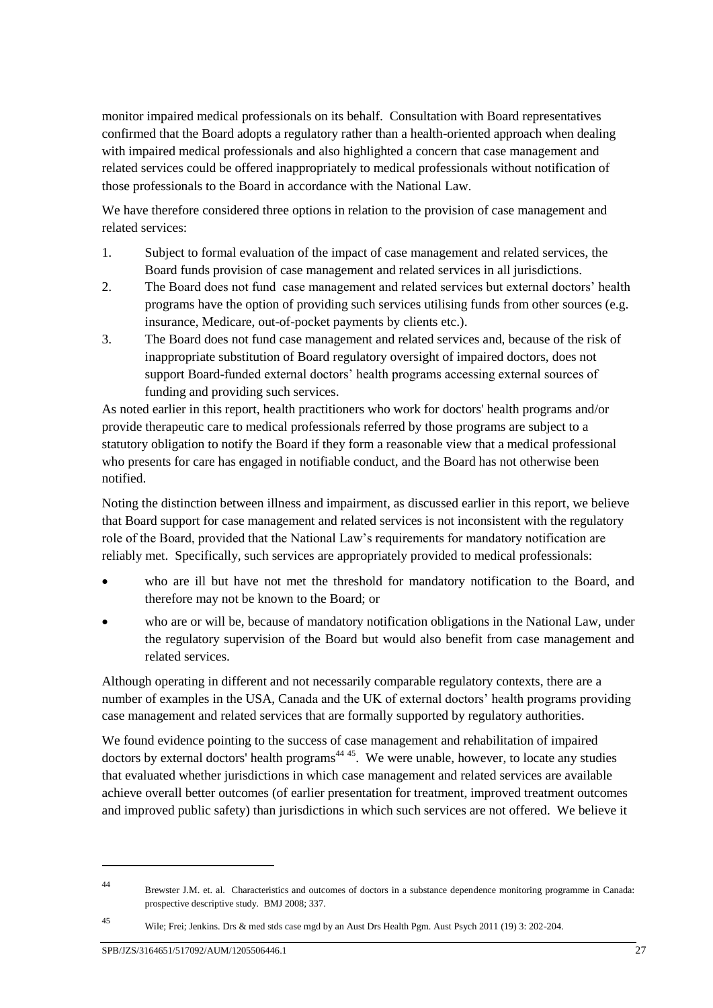monitor impaired medical professionals on its behalf. Consultation with Board representatives confirmed that the Board adopts a regulatory rather than a health-oriented approach when dealing with impaired medical professionals and also highlighted a concern that case management and related services could be offered inappropriately to medical professionals without notification of those professionals to the Board in accordance with the National Law.

We have therefore considered three options in relation to the provision of case management and related services:

- 1. Subject to formal evaluation of the impact of case management and related services, the Board funds provision of case management and related services in all jurisdictions.
- 2. The Board does not fund case management and related services but external doctors' health programs have the option of providing such services utilising funds from other sources (e.g. insurance, Medicare, out-of-pocket payments by clients etc.).
- 3. The Board does not fund case management and related services and, because of the risk of inappropriate substitution of Board regulatory oversight of impaired doctors, does not support Board-funded external doctors' health programs accessing external sources of funding and providing such services.

As noted earlier in this report, health practitioners who work for doctors' health programs and/or provide therapeutic care to medical professionals referred by those programs are subject to a statutory obligation to notify the Board if they form a reasonable view that a medical professional who presents for care has engaged in notifiable conduct, and the Board has not otherwise been notified.

Noting the distinction between illness and impairment, as discussed earlier in this report, we believe that Board support for case management and related services is not inconsistent with the regulatory role of the Board, provided that the National Law's requirements for mandatory notification are reliably met. Specifically, such services are appropriately provided to medical professionals:

- who are ill but have not met the threshold for mandatory notification to the Board, and therefore may not be known to the Board; or
- who are or will be, because of mandatory notification obligations in the National Law, under the regulatory supervision of the Board but would also benefit from case management and related services.

Although operating in different and not necessarily comparable regulatory contexts, there are a number of examples in the USA, Canada and the UK of external doctors' health programs providing case management and related services that are formally supported by regulatory authorities.

We found evidence pointing to the success of case management and rehabilitation of impaired doctors by external doctors' health programs<sup> $44,45$ </sup>. We were unable, however, to locate any studies that evaluated whether jurisdictions in which case management and related services are available achieve overall better outcomes (of earlier presentation for treatment, improved treatment outcomes and improved public safety) than jurisdictions in which such services are not offered. We believe it

1

<sup>44</sup> Brewster J.M. et. al. Characteristics and outcomes of doctors in a substance dependence monitoring programme in Canada: prospective descriptive study. BMJ 2008; 337.

<sup>45</sup> Wile; Frei; Jenkins. Drs & med stds case mgd by an Aust Drs Health Pgm. Aust Psych 2011 (19) 3: 202-204.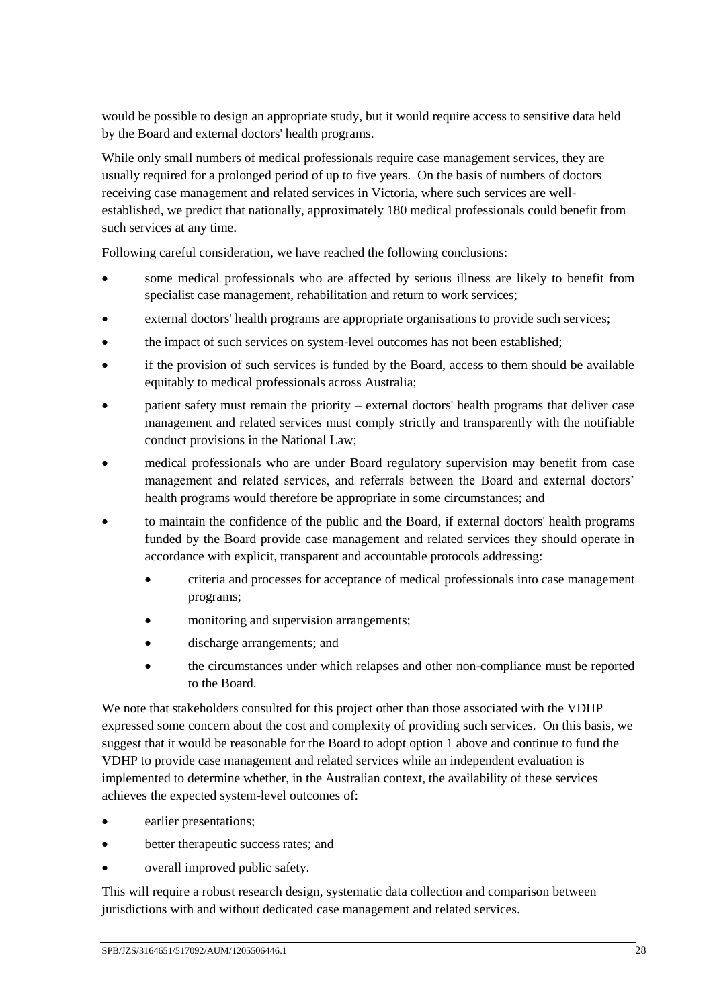would be possible to design an appropriate study, but it would require access to sensitive data held by the Board and external doctors' health programs.

While only small numbers of medical professionals require case management services, they are usually required for a prolonged period of up to five years. On the basis of numbers of doctors receiving case management and related services in Victoria, where such services are wellestablished, we predict that nationally, approximately 180 medical professionals could benefit from such services at any time.

Following careful consideration, we have reached the following conclusions:

- some medical professionals who are affected by serious illness are likely to benefit from specialist case management, rehabilitation and return to work services;
- external doctors' health programs are appropriate organisations to provide such services;
- the impact of such services on system-level outcomes has not been established;
- if the provision of such services is funded by the Board, access to them should be available equitably to medical professionals across Australia;
- patient safety must remain the priority external doctors' health programs that deliver case management and related services must comply strictly and transparently with the notifiable conduct provisions in the National Law;
- medical professionals who are under Board regulatory supervision may benefit from case management and related services, and referrals between the Board and external doctors' health programs would therefore be appropriate in some circumstances; and
- to maintain the confidence of the public and the Board, if external doctors' health programs funded by the Board provide case management and related services they should operate in accordance with explicit, transparent and accountable protocols addressing:
	- criteria and processes for acceptance of medical professionals into case management programs;
	- monitoring and supervision arrangements;
	- discharge arrangements; and
	- the circumstances under which relapses and other non-compliance must be reported to the Board.

We note that stakeholders consulted for this project other than those associated with the VDHP expressed some concern about the cost and complexity of providing such services. On this basis, we suggest that it would be reasonable for the Board to adopt option 1 above and continue to fund the VDHP to provide case management and related services while an independent evaluation is implemented to determine whether, in the Australian context, the availability of these services achieves the expected system-level outcomes of:

- earlier presentations;
- better therapeutic success rates; and
- overall improved public safety.

This will require a robust research design, systematic data collection and comparison between jurisdictions with and without dedicated case management and related services.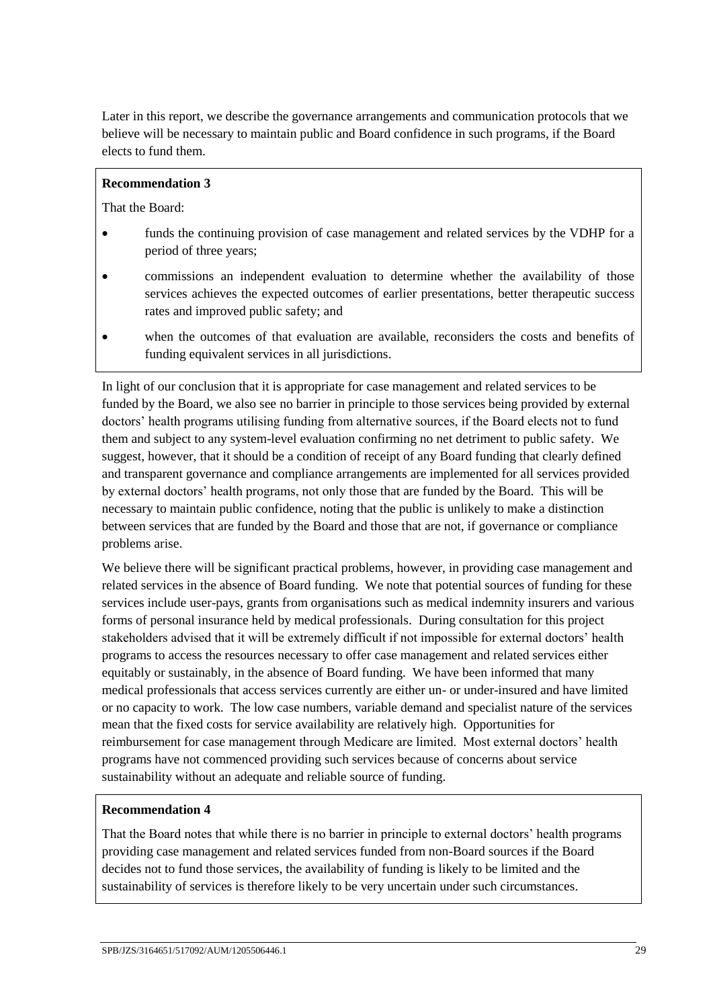Later in this report, we describe the governance arrangements and communication protocols that we believe will be necessary to maintain public and Board confidence in such programs, if the Board elects to fund them.

### **Recommendation 3**

That the Board:

- funds the continuing provision of case management and related services by the VDHP for a period of three years;
- commissions an independent evaluation to determine whether the availability of those services achieves the expected outcomes of earlier presentations, better therapeutic success rates and improved public safety; and
- when the outcomes of that evaluation are available, reconsiders the costs and benefits of funding equivalent services in all jurisdictions.

In light of our conclusion that it is appropriate for case management and related services to be funded by the Board, we also see no barrier in principle to those services being provided by external doctors' health programs utilising funding from alternative sources, if the Board elects not to fund them and subject to any system-level evaluation confirming no net detriment to public safety. We suggest, however, that it should be a condition of receipt of any Board funding that clearly defined and transparent governance and compliance arrangements are implemented for all services provided by external doctors' health programs, not only those that are funded by the Board. This will be necessary to maintain public confidence, noting that the public is unlikely to make a distinction between services that are funded by the Board and those that are not, if governance or compliance problems arise.

We believe there will be significant practical problems, however, in providing case management and related services in the absence of Board funding. We note that potential sources of funding for these services include user-pays, grants from organisations such as medical indemnity insurers and various forms of personal insurance held by medical professionals. During consultation for this project stakeholders advised that it will be extremely difficult if not impossible for external doctors' health programs to access the resources necessary to offer case management and related services either equitably or sustainably, in the absence of Board funding. We have been informed that many medical professionals that access services currently are either un- or under-insured and have limited or no capacity to work. The low case numbers, variable demand and specialist nature of the services mean that the fixed costs for service availability are relatively high. Opportunities for reimbursement for case management through Medicare are limited. Most external doctors' health programs have not commenced providing such services because of concerns about service sustainability without an adequate and reliable source of funding.

## **Recommendation 4**

That the Board notes that while there is no barrier in principle to external doctors' health programs providing case management and related services funded from non-Board sources if the Board decides not to fund those services, the availability of funding is likely to be limited and the sustainability of services is therefore likely to be very uncertain under such circumstances.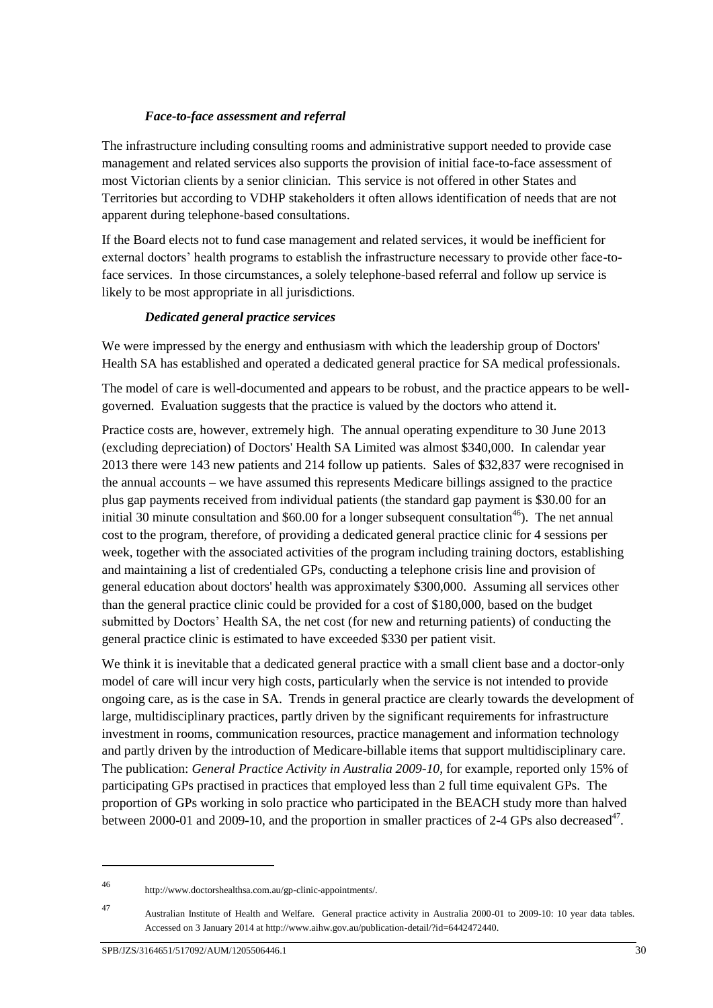# *Face-to-face assessment and referral*

The infrastructure including consulting rooms and administrative support needed to provide case management and related services also supports the provision of initial face-to-face assessment of most Victorian clients by a senior clinician. This service is not offered in other States and Territories but according to VDHP stakeholders it often allows identification of needs that are not apparent during telephone-based consultations.

If the Board elects not to fund case management and related services, it would be inefficient for external doctors' health programs to establish the infrastructure necessary to provide other face-toface services. In those circumstances, a solely telephone-based referral and follow up service is likely to be most appropriate in all jurisdictions.

# *Dedicated general practice services*

We were impressed by the energy and enthusiasm with which the leadership group of Doctors' Health SA has established and operated a dedicated general practice for SA medical professionals.

The model of care is well-documented and appears to be robust, and the practice appears to be wellgoverned. Evaluation suggests that the practice is valued by the doctors who attend it.

Practice costs are, however, extremely high. The annual operating expenditure to 30 June 2013 (excluding depreciation) of Doctors' Health SA Limited was almost \$340,000. In calendar year 2013 there were 143 new patients and 214 follow up patients. Sales of \$32,837 were recognised in the annual accounts – we have assumed this represents Medicare billings assigned to the practice plus gap payments received from individual patients (the standard gap payment is \$30.00 for an initial 30 minute consultation and  $$60.00$  for a longer subsequent consultation<sup>46</sup>). The net annual cost to the program, therefore, of providing a dedicated general practice clinic for 4 sessions per week, together with the associated activities of the program including training doctors, establishing and maintaining a list of credentialed GPs, conducting a telephone crisis line and provision of general education about doctors' health was approximately \$300,000. Assuming all services other than the general practice clinic could be provided for a cost of \$180,000, based on the budget submitted by Doctors' Health SA, the net cost (for new and returning patients) of conducting the general practice clinic is estimated to have exceeded \$330 per patient visit.

We think it is inevitable that a dedicated general practice with a small client base and a doctor-only model of care will incur very high costs, particularly when the service is not intended to provide ongoing care, as is the case in SA. Trends in general practice are clearly towards the development of large, multidisciplinary practices, partly driven by the significant requirements for infrastructure investment in rooms, communication resources, practice management and information technology and partly driven by the introduction of Medicare-billable items that support multidisciplinary care. The publication: *General Practice Activity in Australia 2009-10*, for example, reported only 15% of participating GPs practised in practices that employed less than 2 full time equivalent GPs. The proportion of GPs working in solo practice who participated in the BEACH study more than halved between 2000-01 and 2009-10, and the proportion in smaller practices of 2-4 GPs also decreased<sup>47</sup>.

1

<sup>46</sup> http://www.doctorshealthsa.com.au/gp-clinic-appointments/.

<sup>47</sup> Australian Institute of Health and Welfare. General practice activity in Australia 2000-01 to 2009-10: 10 year data tables. Accessed on 3 January 2014 at http://www.aihw.gov.au/publication-detail/?id=6442472440.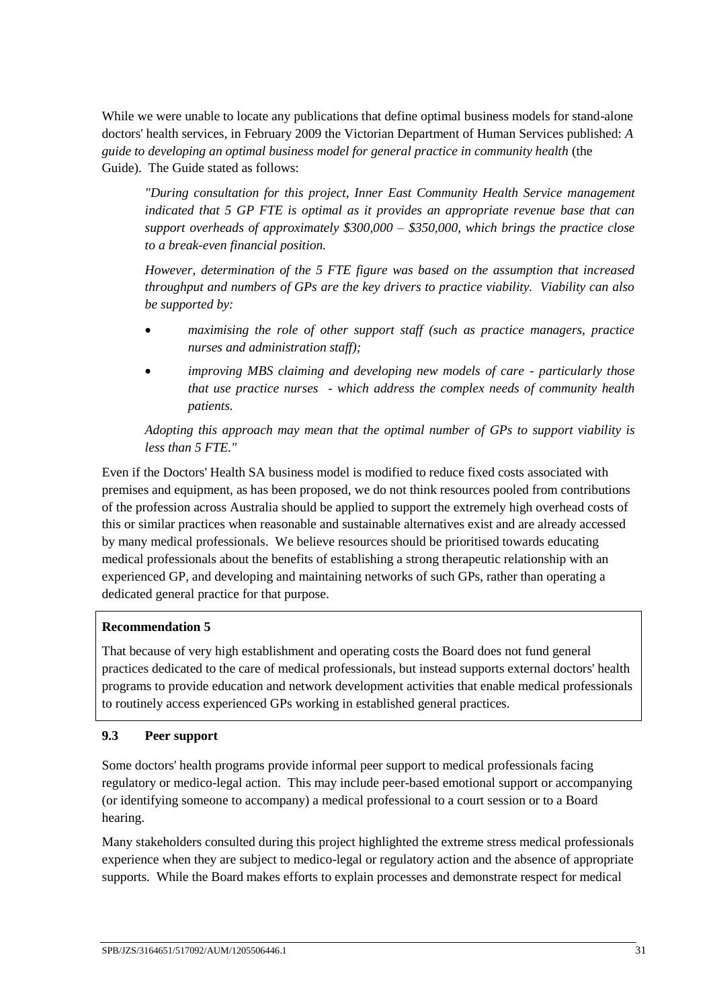While we were unable to locate any publications that define optimal business models for stand-alone doctors' health services, in February 2009 the Victorian Department of Human Services published: *A guide to developing an optimal business model for general practice in community health* (the Guide). The Guide stated as follows:

*"During consultation for this project, Inner East Community Health Service management indicated that 5 GP FTE is optimal as it provides an appropriate revenue base that can support overheads of approximately \$300,000 – \$350,000, which brings the practice close to a break-even financial position.*

*However, determination of the 5 FTE figure was based on the assumption that increased throughput and numbers of GPs are the key drivers to practice viability. Viability can also be supported by:*

- *maximising the role of other support staff (such as practice managers, practice nurses and administration staff);*
- *improving MBS claiming and developing new models of care - particularly those that use practice nurses - which address the complex needs of community health patients.*

*Adopting this approach may mean that the optimal number of GPs to support viability is less than 5 FTE."*

Even if the Doctors' Health SA business model is modified to reduce fixed costs associated with premises and equipment, as has been proposed, we do not think resources pooled from contributions of the profession across Australia should be applied to support the extremely high overhead costs of this or similar practices when reasonable and sustainable alternatives exist and are already accessed by many medical professionals. We believe resources should be prioritised towards educating medical professionals about the benefits of establishing a strong therapeutic relationship with an experienced GP, and developing and maintaining networks of such GPs, rather than operating a dedicated general practice for that purpose.

# **Recommendation 5**

That because of very high establishment and operating costs the Board does not fund general practices dedicated to the care of medical professionals, but instead supports external doctors' health programs to provide education and network development activities that enable medical professionals to routinely access experienced GPs working in established general practices.

# **9.3 Peer support**

Some doctors' health programs provide informal peer support to medical professionals facing regulatory or medico-legal action. This may include peer-based emotional support or accompanying (or identifying someone to accompany) a medical professional to a court session or to a Board hearing.

Many stakeholders consulted during this project highlighted the extreme stress medical professionals experience when they are subject to medico-legal or regulatory action and the absence of appropriate supports. While the Board makes efforts to explain processes and demonstrate respect for medical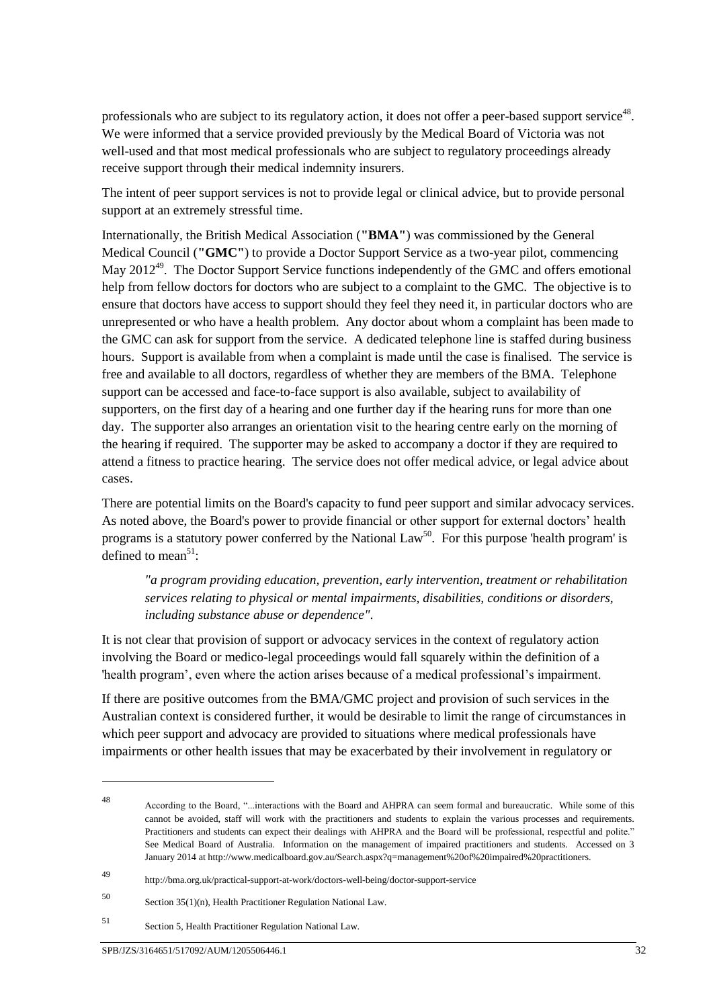professionals who are subject to its regulatory action, it does not offer a peer-based support service<sup>48</sup>. We were informed that a service provided previously by the Medical Board of Victoria was not well-used and that most medical professionals who are subject to regulatory proceedings already receive support through their medical indemnity insurers.

The intent of peer support services is not to provide legal or clinical advice, but to provide personal support at an extremely stressful time.

Internationally, the British Medical Association (**"BMA"**) was commissioned by the General Medical Council (**"GMC"**) to provide a Doctor Support Service as a two-year pilot, commencing May 2012<sup>49</sup>. The Doctor Support Service functions independently of the GMC and offers emotional help from fellow doctors for doctors who are subject to a complaint to the GMC. The objective is to ensure that doctors have access to support should they feel they need it, in particular doctors who are unrepresented or who have a health problem. Any doctor about whom a complaint has been made to the GMC can ask for support from the service. A dedicated telephone line is staffed during business hours. Support is available from when a complaint is made until the case is finalised. The service is free and available to all doctors, regardless of whether they are members of the BMA. Telephone support can be accessed and face-to-face support is also available, subject to availability of supporters, on the first day of a hearing and one further day if the hearing runs for more than one day. The supporter also arranges an orientation visit to the hearing centre early on the morning of the hearing if required. The supporter may be asked to accompany a doctor if they are required to attend a fitness to practice hearing. The service does not offer medical advice, or legal advice about cases.

There are potential limits on the Board's capacity to fund peer support and similar advocacy services. As noted above, the Board's power to provide financial or other support for external doctors' health programs is a statutory power conferred by the National Law<sup>50</sup>. For this purpose 'health program' is defined to mean<sup>51</sup>:

*"a program providing education, prevention, early intervention, treatment or rehabilitation services relating to physical or mental impairments, disabilities, conditions or disorders, including substance abuse or dependence"*.

It is not clear that provision of support or advocacy services in the context of regulatory action involving the Board or medico-legal proceedings would fall squarely within the definition of a 'health program', even where the action arises because of a medical professional's impairment.

If there are positive outcomes from the BMA/GMC project and provision of such services in the Australian context is considered further, it would be desirable to limit the range of circumstances in which peer support and advocacy are provided to situations where medical professionals have impairments or other health issues that may be exacerbated by their involvement in regulatory or

<sup>49</sup> http://bma.org.uk/practical-support-at-work/doctors-well-being/doctor-support-service

1

<sup>48</sup> According to the Board, "...interactions with the Board and AHPRA can seem formal and bureaucratic. While some of this cannot be avoided, staff will work with the practitioners and students to explain the various processes and requirements. Practitioners and students can expect their dealings with AHPRA and the Board will be professional, respectful and polite." See Medical Board of Australia. Information on the management of impaired practitioners and students. Accessed on 3 January 2014 at http://www.medicalboard.gov.au/Search.aspx?q=management%20of%20impaired%20practitioners.

<sup>50</sup> Section 35(1)(n), Health Practitioner Regulation National Law.

<sup>51</sup> Section 5, Health Practitioner Regulation National Law.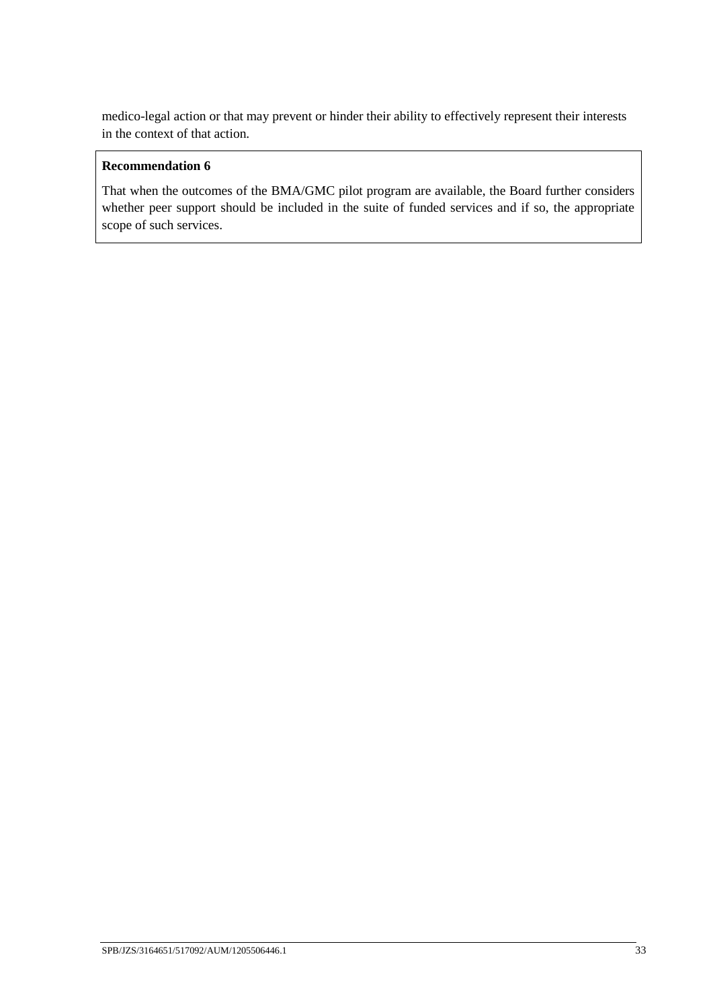medico-legal action or that may prevent or hinder their ability to effectively represent their interests in the context of that action.

# **Recommendation 6**

That when the outcomes of the BMA/GMC pilot program are available, the Board further considers whether peer support should be included in the suite of funded services and if so, the appropriate scope of such services.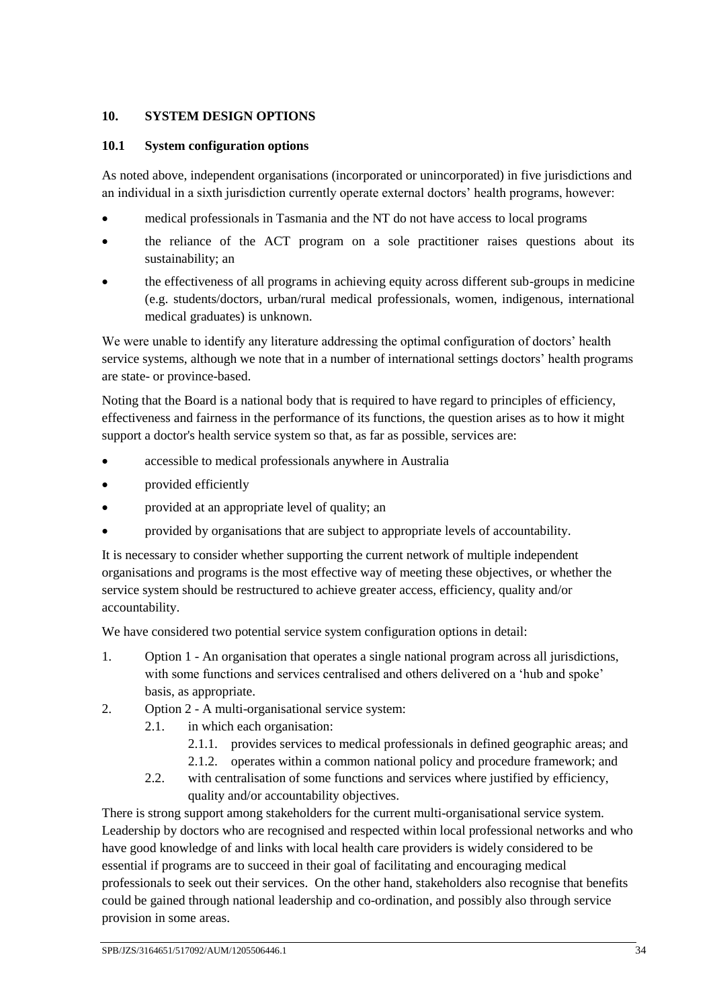# <span id="page-35-0"></span>**10. SYSTEM DESIGN OPTIONS**

### **10.1 System configuration options**

As noted above, independent organisations (incorporated or unincorporated) in five jurisdictions and an individual in a sixth jurisdiction currently operate external doctors' health programs, however:

- medical professionals in Tasmania and the NT do not have access to local programs
- the reliance of the ACT program on a sole practitioner raises questions about its sustainability; an
- the effectiveness of all programs in achieving equity across different sub-groups in medicine (e.g. students/doctors, urban/rural medical professionals, women, indigenous, international medical graduates) is unknown.

We were unable to identify any literature addressing the optimal configuration of doctors' health service systems, although we note that in a number of international settings doctors' health programs are state- or province-based.

Noting that the Board is a national body that is required to have regard to principles of efficiency, effectiveness and fairness in the performance of its functions, the question arises as to how it might support a doctor's health service system so that, as far as possible, services are:

- accessible to medical professionals anywhere in Australia
- provided efficiently
- provided at an appropriate level of quality; an
- provided by organisations that are subject to appropriate levels of accountability.

It is necessary to consider whether supporting the current network of multiple independent organisations and programs is the most effective way of meeting these objectives, or whether the service system should be restructured to achieve greater access, efficiency, quality and/or accountability.

We have considered two potential service system configuration options in detail:

- 1. Option 1 An organisation that operates a single national program across all jurisdictions, with some functions and services centralised and others delivered on a 'hub and spoke' basis, as appropriate.
- 2. Option 2 A multi-organisational service system:
	- 2.1. in which each organisation:
		- 2.1.1. provides services to medical professionals in defined geographic areas; and
		- 2.1.2. operates within a common national policy and procedure framework; and
		- 2.2. with centralisation of some functions and services where justified by efficiency, quality and/or accountability objectives.

There is strong support among stakeholders for the current multi-organisational service system. Leadership by doctors who are recognised and respected within local professional networks and who have good knowledge of and links with local health care providers is widely considered to be essential if programs are to succeed in their goal of facilitating and encouraging medical professionals to seek out their services. On the other hand, stakeholders also recognise that benefits could be gained through national leadership and co-ordination, and possibly also through service provision in some areas.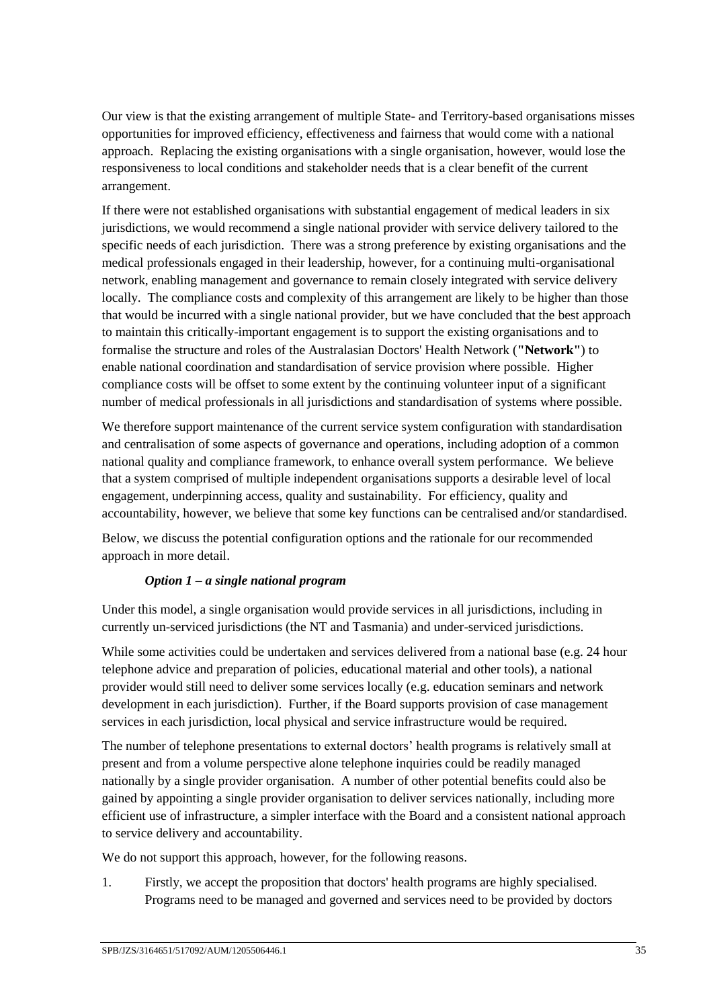Our view is that the existing arrangement of multiple State- and Territory-based organisations misses opportunities for improved efficiency, effectiveness and fairness that would come with a national approach. Replacing the existing organisations with a single organisation, however, would lose the responsiveness to local conditions and stakeholder needs that is a clear benefit of the current arrangement.

If there were not established organisations with substantial engagement of medical leaders in six jurisdictions, we would recommend a single national provider with service delivery tailored to the specific needs of each jurisdiction. There was a strong preference by existing organisations and the medical professionals engaged in their leadership, however, for a continuing multi-organisational network, enabling management and governance to remain closely integrated with service delivery locally. The compliance costs and complexity of this arrangement are likely to be higher than those that would be incurred with a single national provider, but we have concluded that the best approach to maintain this critically-important engagement is to support the existing organisations and to formalise the structure and roles of the Australasian Doctors' Health Network (**"Network"**) to enable national coordination and standardisation of service provision where possible. Higher compliance costs will be offset to some extent by the continuing volunteer input of a significant number of medical professionals in all jurisdictions and standardisation of systems where possible.

We therefore support maintenance of the current service system configuration with standardisation and centralisation of some aspects of governance and operations, including adoption of a common national quality and compliance framework, to enhance overall system performance. We believe that a system comprised of multiple independent organisations supports a desirable level of local engagement, underpinning access, quality and sustainability. For efficiency, quality and accountability, however, we believe that some key functions can be centralised and/or standardised.

Below, we discuss the potential configuration options and the rationale for our recommended approach in more detail.

## *Option 1 – a single national program*

Under this model, a single organisation would provide services in all jurisdictions, including in currently un-serviced jurisdictions (the NT and Tasmania) and under-serviced jurisdictions.

While some activities could be undertaken and services delivered from a national base (e.g. 24 hour telephone advice and preparation of policies, educational material and other tools), a national provider would still need to deliver some services locally (e.g. education seminars and network development in each jurisdiction). Further, if the Board supports provision of case management services in each jurisdiction, local physical and service infrastructure would be required.

The number of telephone presentations to external doctors' health programs is relatively small at present and from a volume perspective alone telephone inquiries could be readily managed nationally by a single provider organisation. A number of other potential benefits could also be gained by appointing a single provider organisation to deliver services nationally, including more efficient use of infrastructure, a simpler interface with the Board and a consistent national approach to service delivery and accountability.

We do not support this approach, however, for the following reasons.

1. Firstly, we accept the proposition that doctors' health programs are highly specialised. Programs need to be managed and governed and services need to be provided by doctors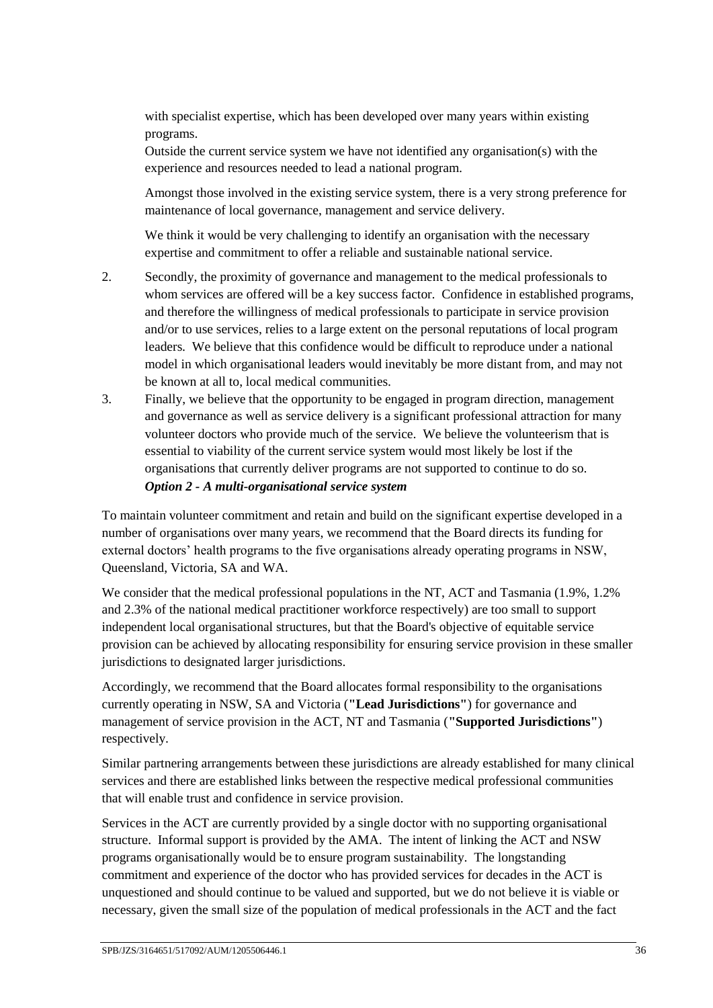with specialist expertise, which has been developed over many years within existing programs.

Outside the current service system we have not identified any organisation(s) with the experience and resources needed to lead a national program.

Amongst those involved in the existing service system, there is a very strong preference for maintenance of local governance, management and service delivery.

We think it would be very challenging to identify an organisation with the necessary expertise and commitment to offer a reliable and sustainable national service.

- 2. Secondly, the proximity of governance and management to the medical professionals to whom services are offered will be a key success factor. Confidence in established programs, and therefore the willingness of medical professionals to participate in service provision and/or to use services, relies to a large extent on the personal reputations of local program leaders. We believe that this confidence would be difficult to reproduce under a national model in which organisational leaders would inevitably be more distant from, and may not be known at all to, local medical communities.
- 3. Finally, we believe that the opportunity to be engaged in program direction, management and governance as well as service delivery is a significant professional attraction for many volunteer doctors who provide much of the service. We believe the volunteerism that is essential to viability of the current service system would most likely be lost if the organisations that currently deliver programs are not supported to continue to do so. *Option 2 - A multi-organisational service system*

To maintain volunteer commitment and retain and build on the significant expertise developed in a number of organisations over many years, we recommend that the Board directs its funding for external doctors' health programs to the five organisations already operating programs in NSW, Queensland, Victoria, SA and WA.

We consider that the medical professional populations in the NT, ACT and Tasmania (1.9%, 1.2%) and 2.3% of the national medical practitioner workforce respectively) are too small to support independent local organisational structures, but that the Board's objective of equitable service provision can be achieved by allocating responsibility for ensuring service provision in these smaller jurisdictions to designated larger jurisdictions.

Accordingly, we recommend that the Board allocates formal responsibility to the organisations currently operating in NSW, SA and Victoria (**"Lead Jurisdictions"**) for governance and management of service provision in the ACT, NT and Tasmania (**"Supported Jurisdictions"**) respectively.

Similar partnering arrangements between these jurisdictions are already established for many clinical services and there are established links between the respective medical professional communities that will enable trust and confidence in service provision.

Services in the ACT are currently provided by a single doctor with no supporting organisational structure. Informal support is provided by the AMA. The intent of linking the ACT and NSW programs organisationally would be to ensure program sustainability. The longstanding commitment and experience of the doctor who has provided services for decades in the ACT is unquestioned and should continue to be valued and supported, but we do not believe it is viable or necessary, given the small size of the population of medical professionals in the ACT and the fact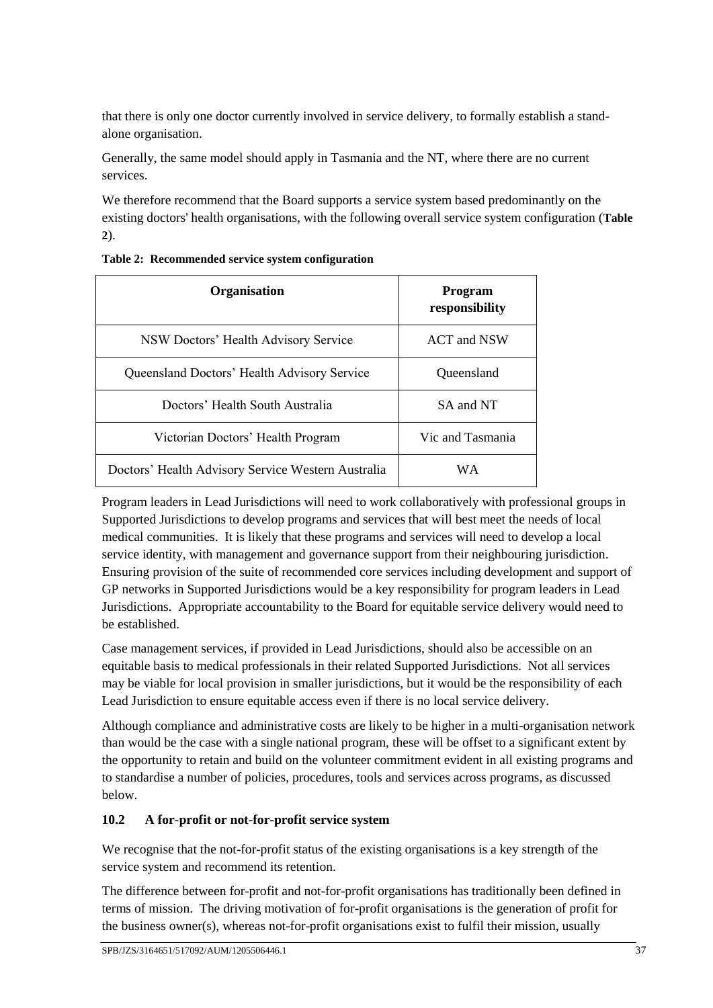that there is only one doctor currently involved in service delivery, to formally establish a standalone organisation.

Generally, the same model should apply in Tasmania and the NT, where there are no current services.

We therefore recommend that the Board supports a service system based predominantly on the existing doctors' health organisations, with the following overall service system configuration (**[Table](#page-38-0)  [2](#page-38-0)**).

| <b>Organisation</b>                                | <b>Program</b><br>responsibility |
|----------------------------------------------------|----------------------------------|
| NSW Doctors' Health Advisory Service               | ACT and NSW                      |
| Queensland Doctors' Health Advisory Service        | Queensland                       |
| Doctors' Health South Australia                    | SA and NT                        |
| Victorian Doctors' Health Program                  | Vic and Tasmania                 |
| Doctors' Health Advisory Service Western Australia | WА                               |

<span id="page-38-0"></span>**Table 2: Recommended service system configuration**

Program leaders in Lead Jurisdictions will need to work collaboratively with professional groups in Supported Jurisdictions to develop programs and services that will best meet the needs of local medical communities. It is likely that these programs and services will need to develop a local service identity, with management and governance support from their neighbouring jurisdiction. Ensuring provision of the suite of recommended core services including development and support of GP networks in Supported Jurisdictions would be a key responsibility for program leaders in Lead Jurisdictions. Appropriate accountability to the Board for equitable service delivery would need to be established.

Case management services, if provided in Lead Jurisdictions, should also be accessible on an equitable basis to medical professionals in their related Supported Jurisdictions. Not all services may be viable for local provision in smaller jurisdictions, but it would be the responsibility of each Lead Jurisdiction to ensure equitable access even if there is no local service delivery.

Although compliance and administrative costs are likely to be higher in a multi-organisation network than would be the case with a single national program, these will be offset to a significant extent by the opportunity to retain and build on the volunteer commitment evident in all existing programs and to standardise a number of policies, procedures, tools and services across programs, as discussed below.

# **10.2 A for-profit or not-for-profit service system**

We recognise that the not-for-profit status of the existing organisations is a key strength of the service system and recommend its retention.

The difference between for-profit and not-for-profit organisations has traditionally been defined in terms of mission. The driving motivation of for-profit organisations is the generation of profit for the business owner(s), whereas not-for-profit organisations exist to fulfil their mission, usually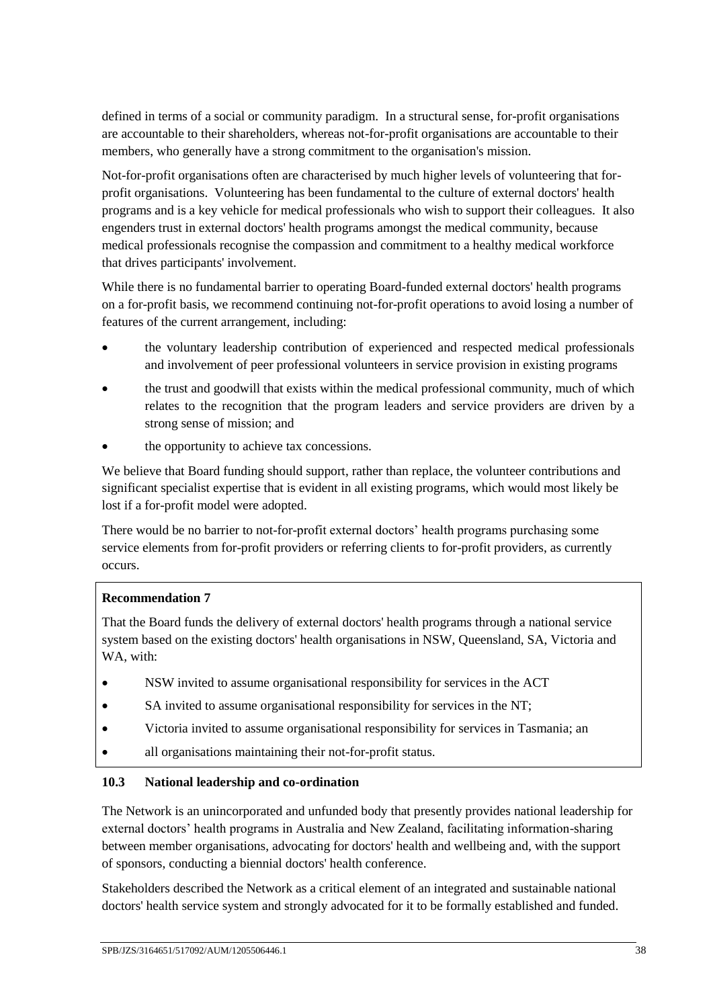defined in terms of a social or community paradigm. In a structural sense, for-profit organisations are accountable to their shareholders, whereas not-for-profit organisations are accountable to their members, who generally have a strong commitment to the organisation's mission.

Not-for-profit organisations often are characterised by much higher levels of volunteering that forprofit organisations. Volunteering has been fundamental to the culture of external doctors' health programs and is a key vehicle for medical professionals who wish to support their colleagues. It also engenders trust in external doctors' health programs amongst the medical community, because medical professionals recognise the compassion and commitment to a healthy medical workforce that drives participants' involvement.

While there is no fundamental barrier to operating Board-funded external doctors' health programs on a for-profit basis, we recommend continuing not-for-profit operations to avoid losing a number of features of the current arrangement, including:

- the voluntary leadership contribution of experienced and respected medical professionals and involvement of peer professional volunteers in service provision in existing programs
- the trust and goodwill that exists within the medical professional community, much of which relates to the recognition that the program leaders and service providers are driven by a strong sense of mission; and
- the opportunity to achieve tax concessions.

We believe that Board funding should support, rather than replace, the volunteer contributions and significant specialist expertise that is evident in all existing programs, which would most likely be lost if a for-profit model were adopted.

There would be no barrier to not-for-profit external doctors' health programs purchasing some service elements from for-profit providers or referring clients to for-profit providers, as currently occurs.

## **Recommendation 7**

That the Board funds the delivery of external doctors' health programs through a national service system based on the existing doctors' health organisations in NSW, Queensland, SA, Victoria and WA, with:

- NSW invited to assume organisational responsibility for services in the ACT
- SA invited to assume organisational responsibility for services in the NT;
- Victoria invited to assume organisational responsibility for services in Tasmania; an
- all organisations maintaining their not-for-profit status.

#### **10.3 National leadership and co-ordination**

The Network is an unincorporated and unfunded body that presently provides national leadership for external doctors' health programs in Australia and New Zealand, facilitating information-sharing between member organisations, advocating for doctors' health and wellbeing and, with the support of sponsors, conducting a biennial doctors' health conference.

Stakeholders described the Network as a critical element of an integrated and sustainable national doctors' health service system and strongly advocated for it to be formally established and funded.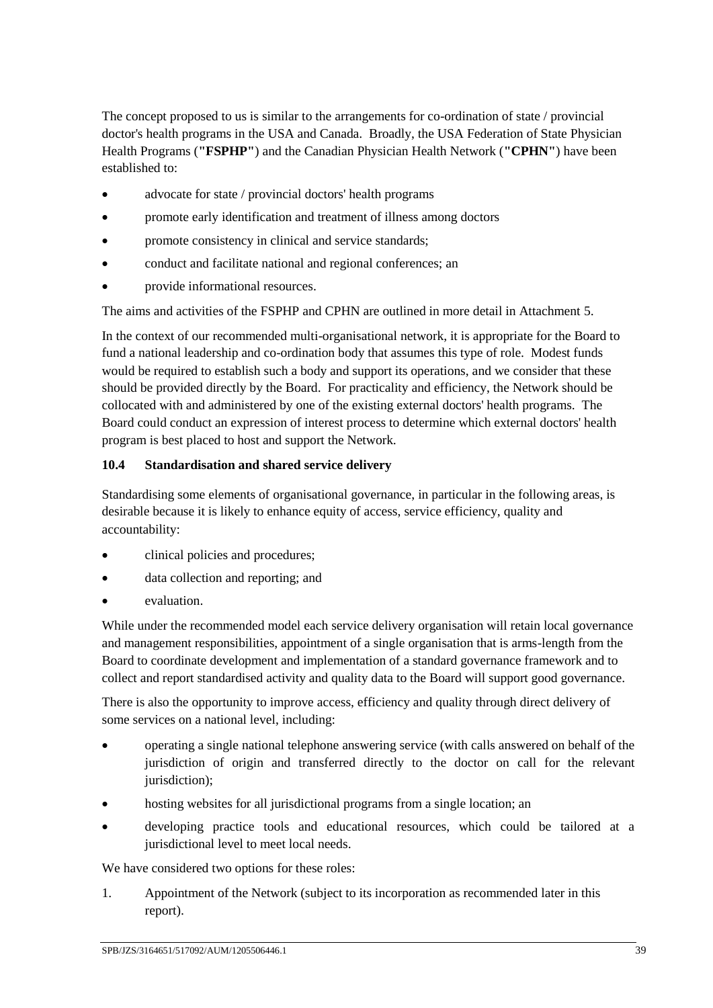The concept proposed to us is similar to the arrangements for co-ordination of state / provincial doctor's health programs in the USA and Canada. Broadly, the USA Federation of State Physician Health Programs (**"FSPHP"**) and the Canadian Physician Health Network (**"CPHN"**) have been established to:

- advocate for state / provincial doctors' health programs
- promote early identification and treatment of illness among doctors
- promote consistency in clinical and service standards;
- conduct and facilitate national and regional conferences; an
- provide informational resources.

The aims and activities of the FSPHP and CPHN are outlined in more detail in Attachment 5.

In the context of our recommended multi-organisational network, it is appropriate for the Board to fund a national leadership and co-ordination body that assumes this type of role. Modest funds would be required to establish such a body and support its operations, and we consider that these should be provided directly by the Board. For practicality and efficiency, the Network should be collocated with and administered by one of the existing external doctors' health programs. The Board could conduct an expression of interest process to determine which external doctors' health program is best placed to host and support the Network.

### **10.4 Standardisation and shared service delivery**

Standardising some elements of organisational governance, in particular in the following areas, is desirable because it is likely to enhance equity of access, service efficiency, quality and accountability:

- clinical policies and procedures;
- data collection and reporting; and
- evaluation.

While under the recommended model each service delivery organisation will retain local governance and management responsibilities, appointment of a single organisation that is arms-length from the Board to coordinate development and implementation of a standard governance framework and to collect and report standardised activity and quality data to the Board will support good governance.

There is also the opportunity to improve access, efficiency and quality through direct delivery of some services on a national level, including:

- operating a single national telephone answering service (with calls answered on behalf of the jurisdiction of origin and transferred directly to the doctor on call for the relevant jurisdiction);
- hosting websites for all jurisdictional programs from a single location; an
- developing practice tools and educational resources, which could be tailored at a jurisdictional level to meet local needs.

We have considered two options for these roles:

1. Appointment of the Network (subject to its incorporation as recommended later in this report).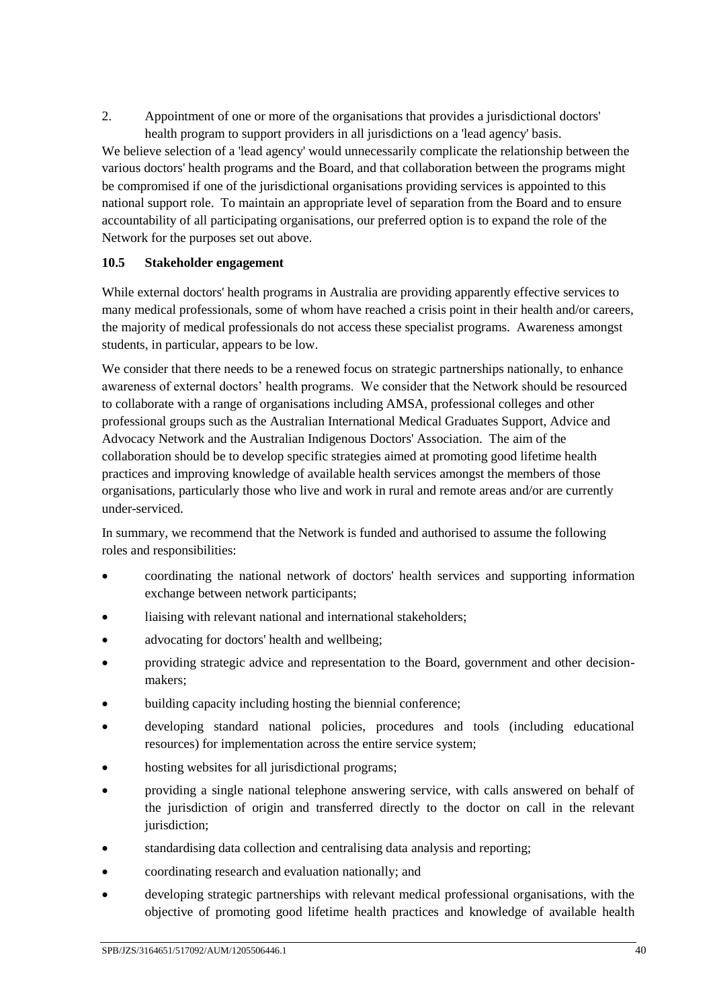2. Appointment of one or more of the organisations that provides a jurisdictional doctors' health program to support providers in all jurisdictions on a 'lead agency' basis. We believe selection of a 'lead agency' would unnecessarily complicate the relationship between the various doctors' health programs and the Board, and that collaboration between the programs might be compromised if one of the jurisdictional organisations providing services is appointed to this national support role. To maintain an appropriate level of separation from the Board and to ensure accountability of all participating organisations, our preferred option is to expand the role of the Network for the purposes set out above.

## **10.5 Stakeholder engagement**

While external doctors' health programs in Australia are providing apparently effective services to many medical professionals, some of whom have reached a crisis point in their health and/or careers, the majority of medical professionals do not access these specialist programs. Awareness amongst students, in particular, appears to be low.

We consider that there needs to be a renewed focus on strategic partnerships nationally, to enhance awareness of external doctors' health programs. We consider that the Network should be resourced to collaborate with a range of organisations including AMSA, professional colleges and other professional groups such as the Australian International Medical Graduates Support, Advice and Advocacy Network and the Australian Indigenous Doctors' Association. The aim of the collaboration should be to develop specific strategies aimed at promoting good lifetime health practices and improving knowledge of available health services amongst the members of those organisations, particularly those who live and work in rural and remote areas and/or are currently under-serviced.

In summary, we recommend that the Network is funded and authorised to assume the following roles and responsibilities:

- coordinating the national network of doctors' health services and supporting information exchange between network participants;
- liaising with relevant national and international stakeholders;
- advocating for doctors' health and wellbeing;
- providing strategic advice and representation to the Board, government and other decisionmakers;
- building capacity including hosting the biennial conference;
- developing standard national policies, procedures and tools (including educational resources) for implementation across the entire service system;
- hosting websites for all jurisdictional programs;
- providing a single national telephone answering service, with calls answered on behalf of the jurisdiction of origin and transferred directly to the doctor on call in the relevant jurisdiction;
- standardising data collection and centralising data analysis and reporting;
- coordinating research and evaluation nationally; and
- developing strategic partnerships with relevant medical professional organisations, with the objective of promoting good lifetime health practices and knowledge of available health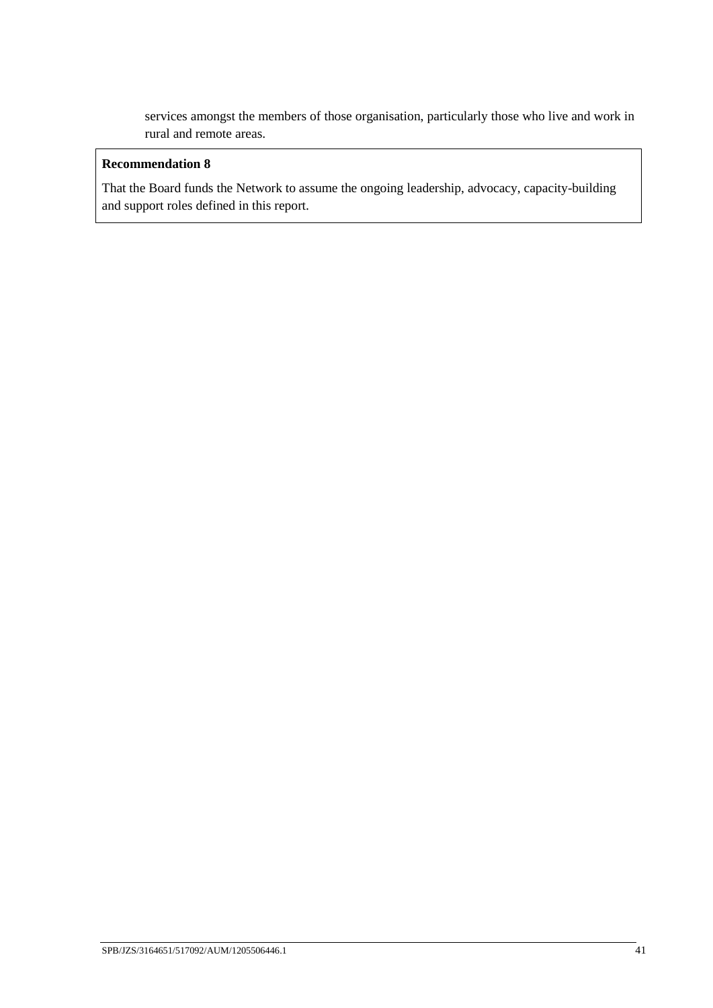services amongst the members of those organisation, particularly those who live and work in rural and remote areas.

### **Recommendation 8**

That the Board funds the Network to assume the ongoing leadership, advocacy, capacity-building and support roles defined in this report.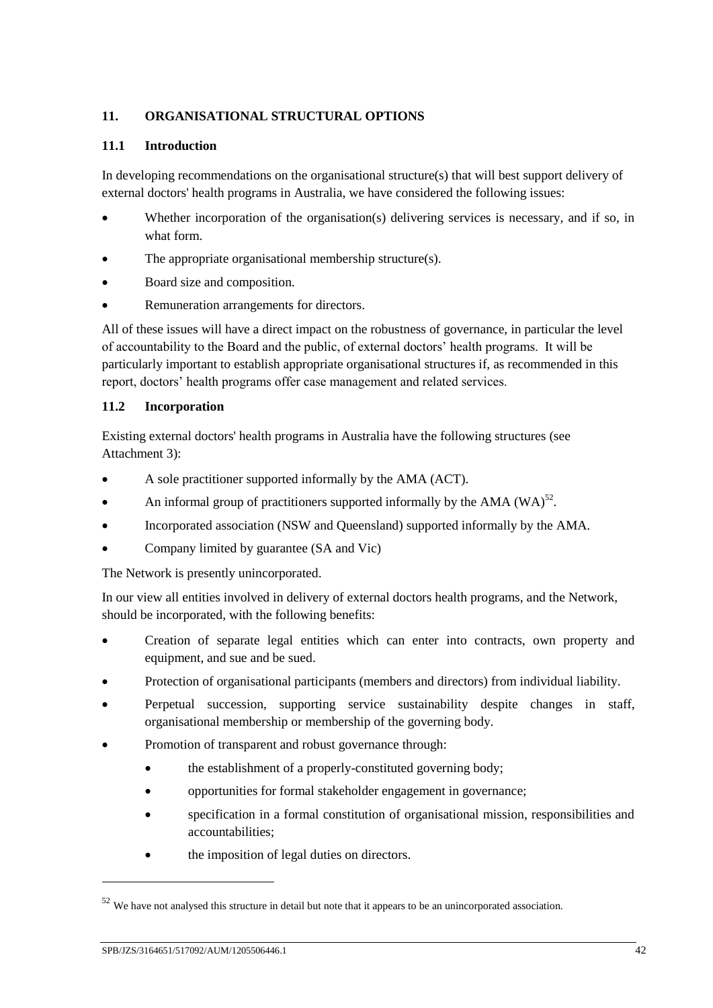## **11. ORGANISATIONAL STRUCTURAL OPTIONS**

#### **11.1 Introduction**

In developing recommendations on the organisational structure(s) that will best support delivery of external doctors' health programs in Australia, we have considered the following issues:

- Whether incorporation of the organisation(s) delivering services is necessary, and if so, in what form.
- The appropriate organisational membership structure(s).
- Board size and composition.
- Remuneration arrangements for directors.

All of these issues will have a direct impact on the robustness of governance, in particular the level of accountability to the Board and the public, of external doctors' health programs. It will be particularly important to establish appropriate organisational structures if, as recommended in this report, doctors' health programs offer case management and related services.

#### **11.2 Incorporation**

Existing external doctors' health programs in Australia have the following structures (see Attachment 3):

- A sole practitioner supported informally by the AMA (ACT).
- An informal group of practitioners supported informally by the AMA (WA) $^{52}$ .
- Incorporated association (NSW and Queensland) supported informally by the AMA.
- Company limited by guarantee (SA and Vic)

The Network is presently unincorporated.

In our view all entities involved in delivery of external doctors health programs, and the Network, should be incorporated, with the following benefits:

- Creation of separate legal entities which can enter into contracts, own property and equipment, and sue and be sued.
- Protection of organisational participants (members and directors) from individual liability.
- Perpetual succession, supporting service sustainability despite changes in staff, organisational membership or membership of the governing body.
- Promotion of transparent and robust governance through:
	- the establishment of a properly-constituted governing body;
	- opportunities for formal stakeholder engagement in governance;
	- specification in a formal constitution of organisational mission, responsibilities and accountabilities;
	- the imposition of legal duties on directors.

-

<sup>&</sup>lt;sup>52</sup> We have not analysed this structure in detail but note that it appears to be an unincorporated association.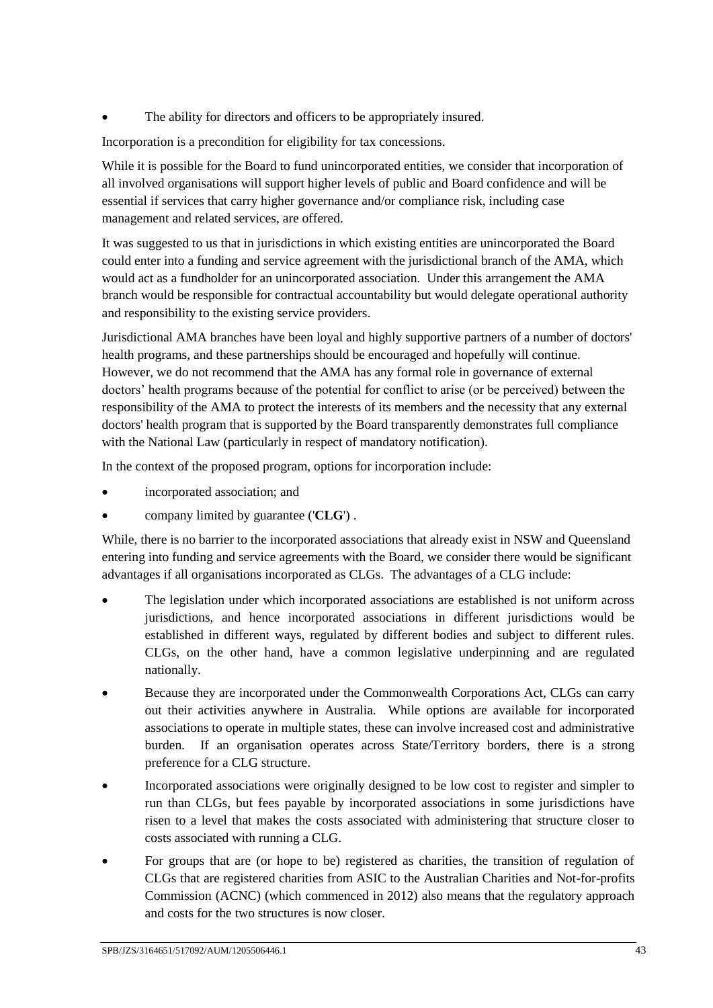The ability for directors and officers to be appropriately insured.

Incorporation is a precondition for eligibility for tax concessions.

While it is possible for the Board to fund unincorporated entities, we consider that incorporation of all involved organisations will support higher levels of public and Board confidence and will be essential if services that carry higher governance and/or compliance risk, including case management and related services, are offered.

It was suggested to us that in jurisdictions in which existing entities are unincorporated the Board could enter into a funding and service agreement with the jurisdictional branch of the AMA, which would act as a fundholder for an unincorporated association. Under this arrangement the AMA branch would be responsible for contractual accountability but would delegate operational authority and responsibility to the existing service providers.

Jurisdictional AMA branches have been loyal and highly supportive partners of a number of doctors' health programs, and these partnerships should be encouraged and hopefully will continue. However, we do not recommend that the AMA has any formal role in governance of external doctors' health programs because of the potential for conflict to arise (or be perceived) between the responsibility of the AMA to protect the interests of its members and the necessity that any external doctors' health program that is supported by the Board transparently demonstrates full compliance with the National Law (particularly in respect of mandatory notification).

In the context of the proposed program, options for incorporation include:

- incorporated association; and
- company limited by guarantee ('**CLG**') .

While, there is no barrier to the incorporated associations that already exist in NSW and Queensland entering into funding and service agreements with the Board, we consider there would be significant advantages if all organisations incorporated as CLGs. The advantages of a CLG include:

- The legislation under which incorporated associations are established is not uniform across jurisdictions, and hence incorporated associations in different jurisdictions would be established in different ways, regulated by different bodies and subject to different rules. CLGs, on the other hand, have a common legislative underpinning and are regulated nationally.
- Because they are incorporated under the Commonwealth Corporations Act, CLGs can carry out their activities anywhere in Australia. While options are available for incorporated associations to operate in multiple states, these can involve increased cost and administrative burden. If an organisation operates across State/Territory borders, there is a strong preference for a CLG structure.
- Incorporated associations were originally designed to be low cost to register and simpler to run than CLGs, but fees payable by incorporated associations in some jurisdictions have risen to a level that makes the costs associated with administering that structure closer to costs associated with running a CLG.
- For groups that are (or hope to be) registered as charities, the transition of regulation of CLGs that are registered charities from ASIC to the Australian Charities and Not-for-profits Commission (ACNC) (which commenced in 2012) also means that the regulatory approach and costs for the two structures is now closer.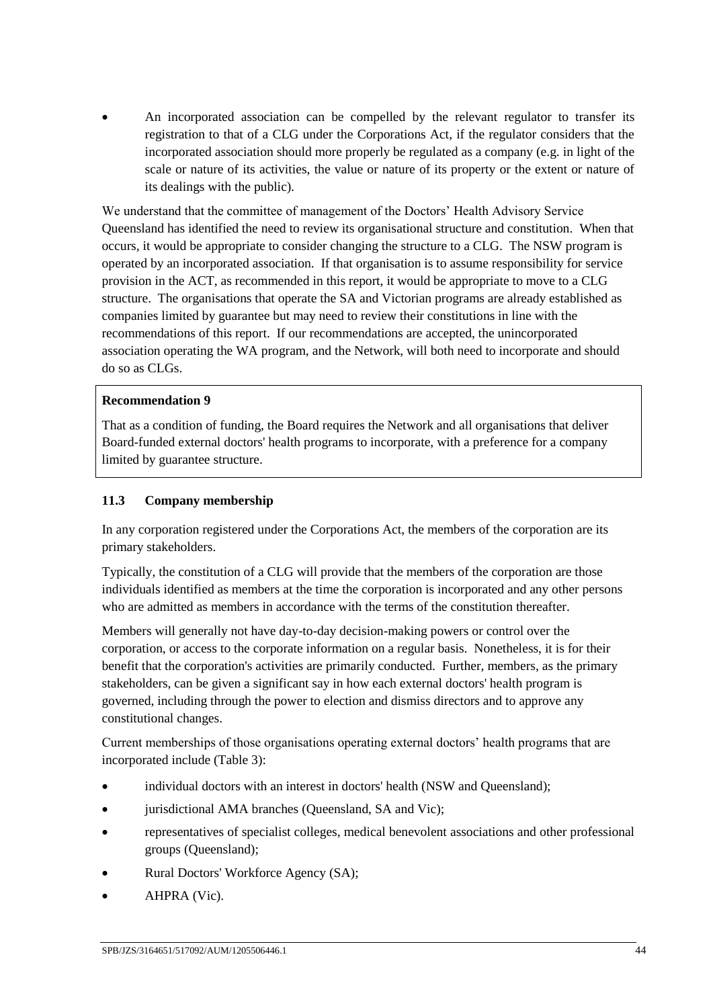An incorporated association can be compelled by the relevant regulator to transfer its registration to that of a CLG under the Corporations Act, if the regulator considers that the incorporated association should more properly be regulated as a company (e.g. in light of the scale or nature of its activities, the value or nature of its property or the extent or nature of its dealings with the public).

We understand that the committee of management of the Doctors' Health Advisory Service Queensland has identified the need to review its organisational structure and constitution. When that occurs, it would be appropriate to consider changing the structure to a CLG. The NSW program is operated by an incorporated association. If that organisation is to assume responsibility for service provision in the ACT, as recommended in this report, it would be appropriate to move to a CLG structure. The organisations that operate the SA and Victorian programs are already established as companies limited by guarantee but may need to review their constitutions in line with the recommendations of this report. If our recommendations are accepted, the unincorporated association operating the WA program, and the Network, will both need to incorporate and should do so as CLGs.

#### **Recommendation 9**

That as a condition of funding, the Board requires the Network and all organisations that deliver Board-funded external doctors' health programs to incorporate, with a preference for a company limited by guarantee structure.

#### **11.3 Company membership**

In any corporation registered under the Corporations Act, the members of the corporation are its primary stakeholders.

Typically, the constitution of a CLG will provide that the members of the corporation are those individuals identified as members at the time the corporation is incorporated and any other persons who are admitted as members in accordance with the terms of the constitution thereafter.

Members will generally not have day-to-day decision-making powers or control over the corporation, or access to the corporate information on a regular basis. Nonetheless, it is for their benefit that the corporation's activities are primarily conducted. Further, members, as the primary stakeholders, can be given a significant say in how each external doctors' health program is governed, including through the power to election and dismiss directors and to approve any constitutional changes.

Current memberships of those organisations operating external doctors' health programs that are incorporated include (Table 3):

- individual doctors with an interest in doctors' health (NSW and Queensland);
- jurisdictional AMA branches (Queensland, SA and Vic);
- representatives of specialist colleges, medical benevolent associations and other professional groups (Queensland);
- Rural Doctors' Workforce Agency (SA);
- AHPRA (Vic).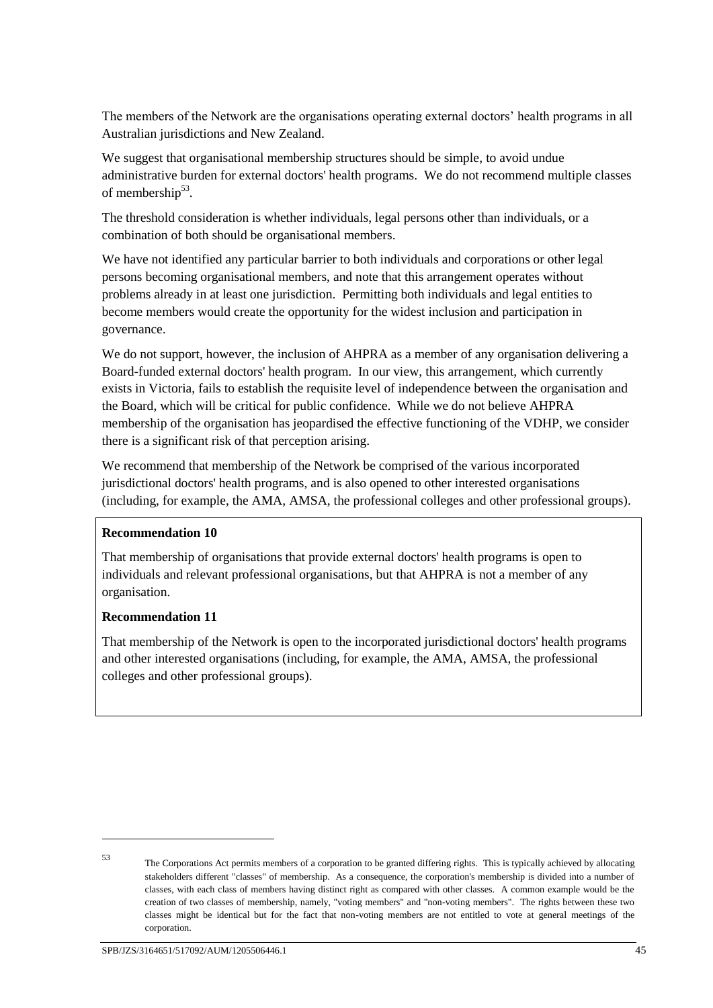The members of the Network are the organisations operating external doctors' health programs in all Australian jurisdictions and New Zealand.

We suggest that organisational membership structures should be simple, to avoid undue administrative burden for external doctors' health programs. We do not recommend multiple classes of membership<sup>53</sup>.

The threshold consideration is whether individuals, legal persons other than individuals, or a combination of both should be organisational members.

We have not identified any particular barrier to both individuals and corporations or other legal persons becoming organisational members, and note that this arrangement operates without problems already in at least one jurisdiction. Permitting both individuals and legal entities to become members would create the opportunity for the widest inclusion and participation in governance.

We do not support, however, the inclusion of AHPRA as a member of any organisation delivering a Board-funded external doctors' health program. In our view, this arrangement, which currently exists in Victoria, fails to establish the requisite level of independence between the organisation and the Board, which will be critical for public confidence. While we do not believe AHPRA membership of the organisation has jeopardised the effective functioning of the VDHP, we consider there is a significant risk of that perception arising.

We recommend that membership of the Network be comprised of the various incorporated jurisdictional doctors' health programs, and is also opened to other interested organisations (including, for example, the AMA, AMSA, the professional colleges and other professional groups).

#### **Recommendation 10**

That membership of organisations that provide external doctors' health programs is open to individuals and relevant professional organisations, but that AHPRA is not a member of any organisation.

#### **Recommendation 11**

That membership of the Network is open to the incorporated jurisdictional doctors' health programs and other interested organisations (including, for example, the AMA, AMSA, the professional colleges and other professional groups).

<sup>-</sup>

<sup>53</sup> The Corporations Act permits members of a corporation to be granted differing rights. This is typically achieved by allocating stakeholders different "classes" of membership. As a consequence, the corporation's membership is divided into a number of classes, with each class of members having distinct right as compared with other classes. A common example would be the creation of two classes of membership, namely, "voting members" and "non-voting members". The rights between these two classes might be identical but for the fact that non-voting members are not entitled to vote at general meetings of the corporation.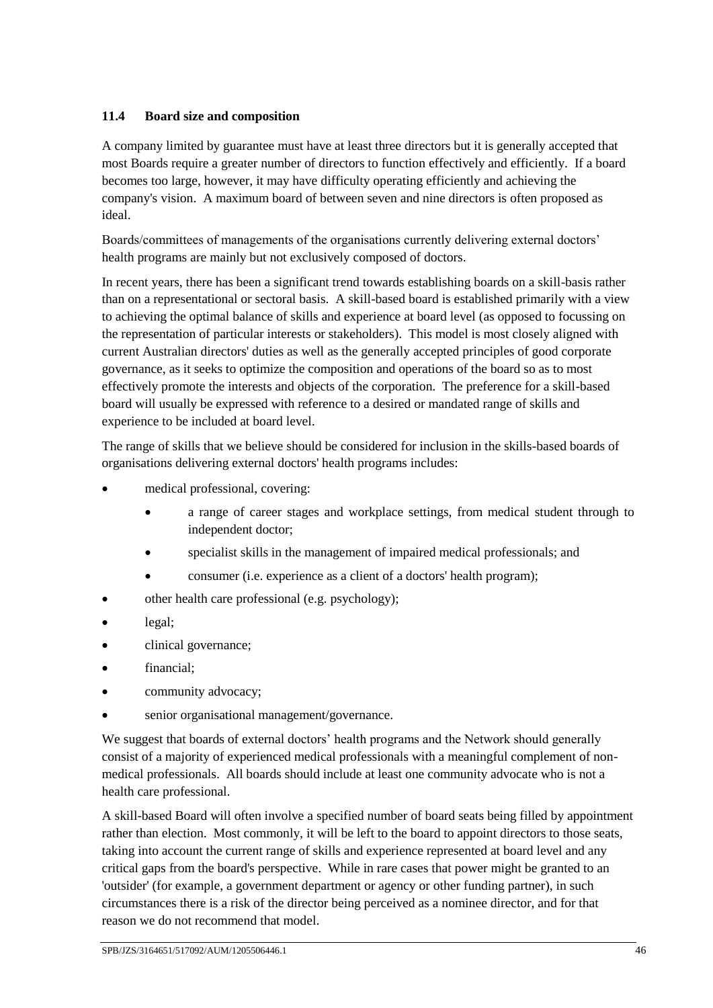## **11.4 Board size and composition**

A company limited by guarantee must have at least three directors but it is generally accepted that most Boards require a greater number of directors to function effectively and efficiently. If a board becomes too large, however, it may have difficulty operating efficiently and achieving the company's vision. A maximum board of between seven and nine directors is often proposed as ideal.

Boards/committees of managements of the organisations currently delivering external doctors' health programs are mainly but not exclusively composed of doctors.

In recent years, there has been a significant trend towards establishing boards on a skill-basis rather than on a representational or sectoral basis. A skill-based board is established primarily with a view to achieving the optimal balance of skills and experience at board level (as opposed to focussing on the representation of particular interests or stakeholders). This model is most closely aligned with current Australian directors' duties as well as the generally accepted principles of good corporate governance, as it seeks to optimize the composition and operations of the board so as to most effectively promote the interests and objects of the corporation. The preference for a skill-based board will usually be expressed with reference to a desired or mandated range of skills and experience to be included at board level.

The range of skills that we believe should be considered for inclusion in the skills-based boards of organisations delivering external doctors' health programs includes:

- medical professional, covering:
	- a range of career stages and workplace settings, from medical student through to independent doctor;
	- specialist skills in the management of impaired medical professionals; and
	- consumer (i.e. experience as a client of a doctors' health program);
- other health care professional (e.g. psychology);
- legal;
- clinical governance;
- financial:
- community advocacy;
- senior organisational management/governance.

We suggest that boards of external doctors' health programs and the Network should generally consist of a majority of experienced medical professionals with a meaningful complement of nonmedical professionals. All boards should include at least one community advocate who is not a health care professional.

A skill-based Board will often involve a specified number of board seats being filled by appointment rather than election. Most commonly, it will be left to the board to appoint directors to those seats, taking into account the current range of skills and experience represented at board level and any critical gaps from the board's perspective. While in rare cases that power might be granted to an 'outsider' (for example, a government department or agency or other funding partner), in such circumstances there is a risk of the director being perceived as a nominee director, and for that reason we do not recommend that model.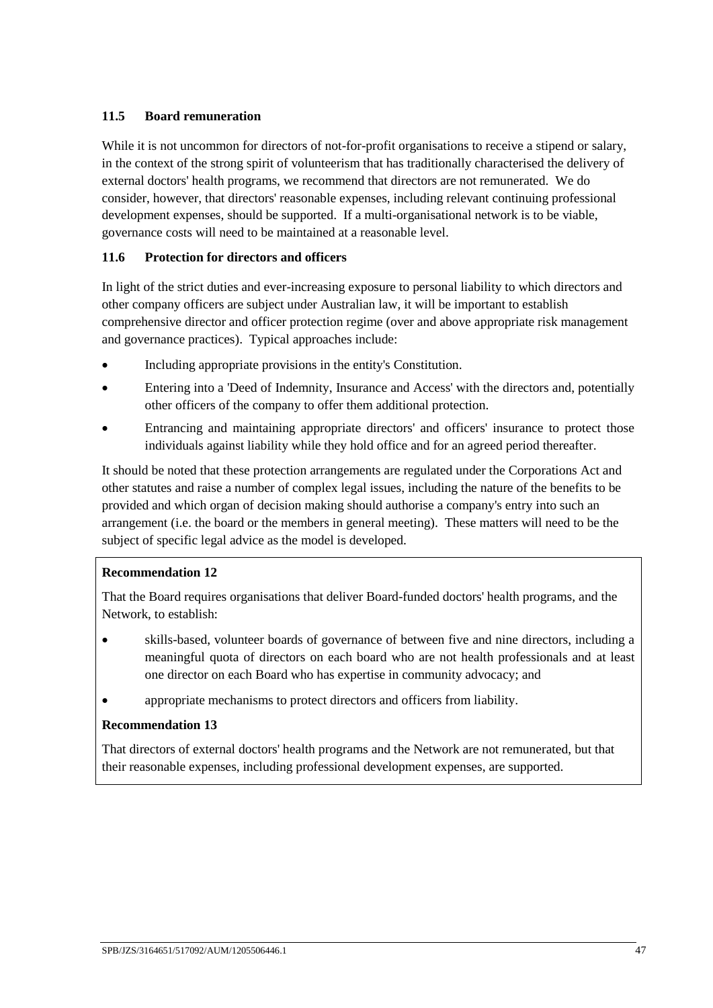### **11.5 Board remuneration**

While it is not uncommon for directors of not-for-profit organisations to receive a stipend or salary, in the context of the strong spirit of volunteerism that has traditionally characterised the delivery of external doctors' health programs, we recommend that directors are not remunerated. We do consider, however, that directors' reasonable expenses, including relevant continuing professional development expenses, should be supported. If a multi-organisational network is to be viable, governance costs will need to be maintained at a reasonable level.

#### **11.6 Protection for directors and officers**

In light of the strict duties and ever-increasing exposure to personal liability to which directors and other company officers are subject under Australian law, it will be important to establish comprehensive director and officer protection regime (over and above appropriate risk management and governance practices). Typical approaches include:

- Including appropriate provisions in the entity's Constitution.
- Entering into a 'Deed of Indemnity, Insurance and Access' with the directors and, potentially other officers of the company to offer them additional protection.
- Entrancing and maintaining appropriate directors' and officers' insurance to protect those individuals against liability while they hold office and for an agreed period thereafter.

It should be noted that these protection arrangements are regulated under the Corporations Act and other statutes and raise a number of complex legal issues, including the nature of the benefits to be provided and which organ of decision making should authorise a company's entry into such an arrangement (i.e. the board or the members in general meeting). These matters will need to be the subject of specific legal advice as the model is developed.

### **Recommendation 12**

That the Board requires organisations that deliver Board-funded doctors' health programs, and the Network, to establish:

- skills-based, volunteer boards of governance of between five and nine directors, including a meaningful quota of directors on each board who are not health professionals and at least one director on each Board who has expertise in community advocacy; and
- appropriate mechanisms to protect directors and officers from liability.

#### **Recommendation 13**

That directors of external doctors' health programs and the Network are not remunerated, but that their reasonable expenses, including professional development expenses, are supported.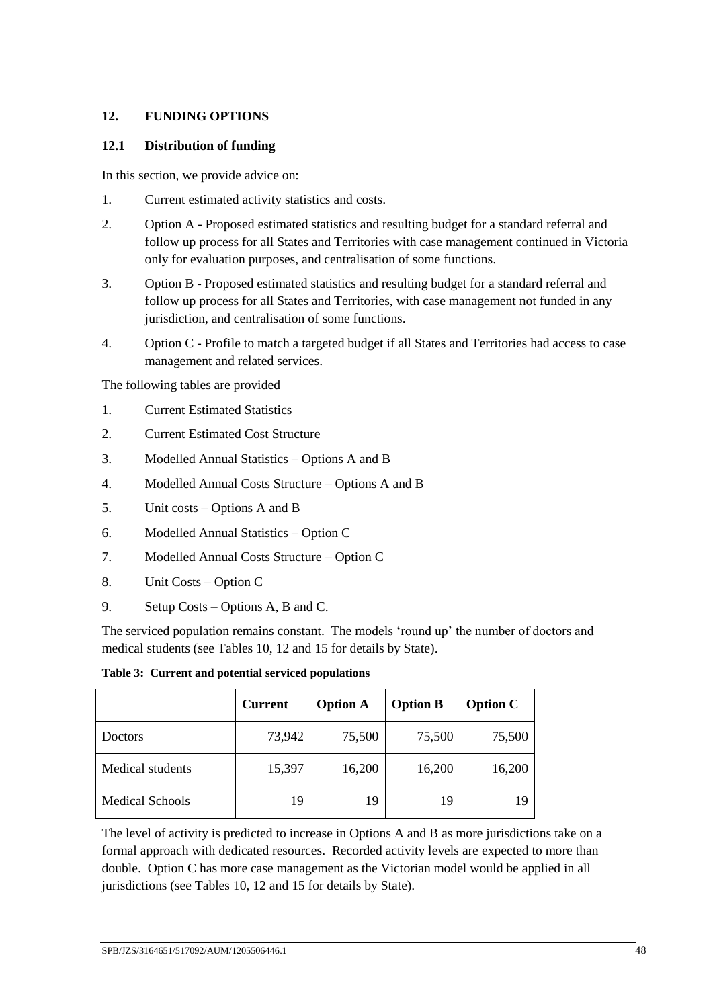### **12. FUNDING OPTIONS**

#### **12.1 Distribution of funding**

In this section, we provide advice on:

- 1. Current estimated activity statistics and costs.
- 2. Option A Proposed estimated statistics and resulting budget for a standard referral and follow up process for all States and Territories with case management continued in Victoria only for evaluation purposes, and centralisation of some functions.
- 3. Option B Proposed estimated statistics and resulting budget for a standard referral and follow up process for all States and Territories, with case management not funded in any jurisdiction, and centralisation of some functions.
- 4. Option C Profile to match a targeted budget if all States and Territories had access to case management and related services.

The following tables are provided

- 1. Current Estimated Statistics
- 2. Current Estimated Cost Structure
- 3. Modelled Annual Statistics Options A and B
- 4. Modelled Annual Costs Structure Options A and B
- 5. Unit costs Options A and B
- 6. Modelled Annual Statistics Option C
- 7. Modelled Annual Costs Structure Option C
- 8. Unit Costs Option C
- 9. Setup Costs Options A, B and C.

The serviced population remains constant. The models 'round up' the number of doctors and medical students (see Tables 10, 12 and 15 for details by State).

**Table 3: Current and potential serviced populations**

|                  | <b>Current</b> | <b>Option A</b> | <b>Option B</b> | <b>Option C</b> |
|------------------|----------------|-----------------|-----------------|-----------------|
| Doctors          | 73,942         | 75,500          | 75,500          | 75,500          |
| Medical students | 15,397         | 16,200          | 16,200          | 16,200          |
| Medical Schools  | 19             | 19              | 19              | 19              |

The level of activity is predicted to increase in Options A and B as more jurisdictions take on a formal approach with dedicated resources. Recorded activity levels are expected to more than double. Option C has more case management as the Victorian model would be applied in all jurisdictions (see Tables 10, 12 and 15 for details by State).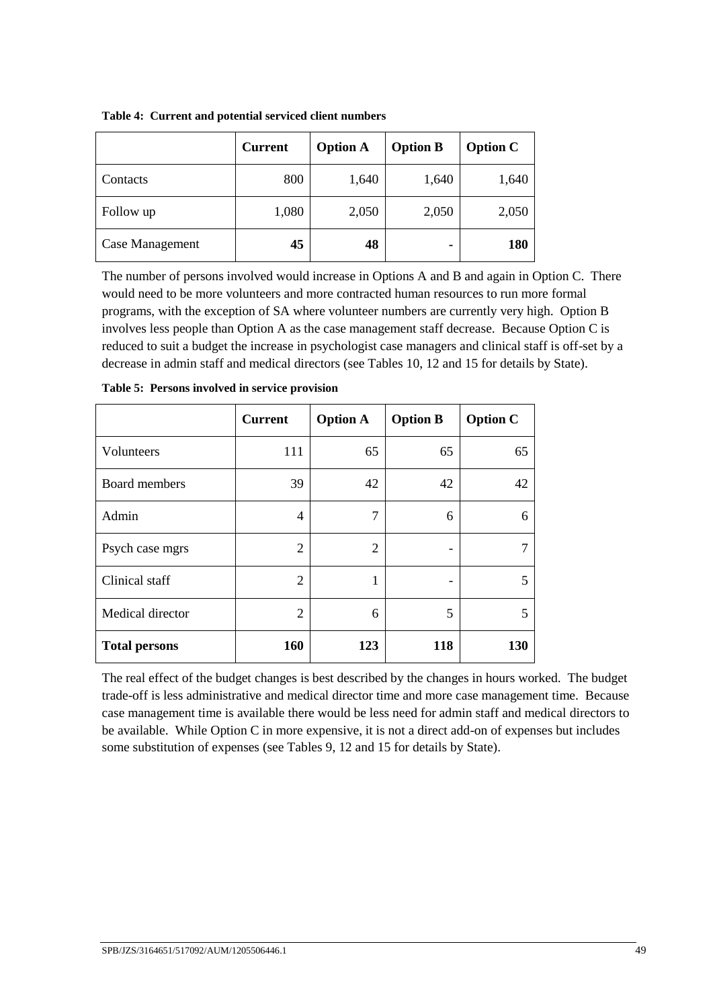|                 | <b>Current</b> | <b>Option A</b> | <b>Option B</b> | <b>Option C</b> |
|-----------------|----------------|-----------------|-----------------|-----------------|
| Contacts        | 800            | 1,640           | 1,640           | 1,640           |
| Follow up       | 1,080          | 2,050           | 2,050           | 2,050           |
| Case Management | 45             | 48              | ٠               | 180             |

**Table 4: Current and potential serviced client numbers**

The number of persons involved would increase in Options A and B and again in Option C. There would need to be more volunteers and more contracted human resources to run more formal programs, with the exception of SA where volunteer numbers are currently very high. Option B involves less people than Option A as the case management staff decrease. Because Option C is reduced to suit a budget the increase in psychologist case managers and clinical staff is off-set by a decrease in admin staff and medical directors (see Tables 10, 12 and 15 for details by State).

|                      | <b>Current</b> | <b>Option A</b> | <b>Option B</b> | <b>Option C</b> |
|----------------------|----------------|-----------------|-----------------|-----------------|
| Volunteers           | 111            | 65              | 65              | 65              |
| Board members        | 39             | 42              | 42              | 42              |
| Admin                | 4              | 7               | 6               | 6               |
| Psych case mgrs      | 2              | 2               |                 |                 |
| Clinical staff       | $\overline{2}$ | 1               | -               | 5               |
| Medical director     | $\overline{2}$ | 6               | 5               | 5               |
| <b>Total persons</b> | 160            | 123             | 118             | 130             |

| Table 5: Persons involved in service provision |
|------------------------------------------------|
|------------------------------------------------|

The real effect of the budget changes is best described by the changes in hours worked. The budget trade-off is less administrative and medical director time and more case management time. Because case management time is available there would be less need for admin staff and medical directors to be available. While Option C in more expensive, it is not a direct add-on of expenses but includes some substitution of expenses (see Tables 9, 12 and 15 for details by State).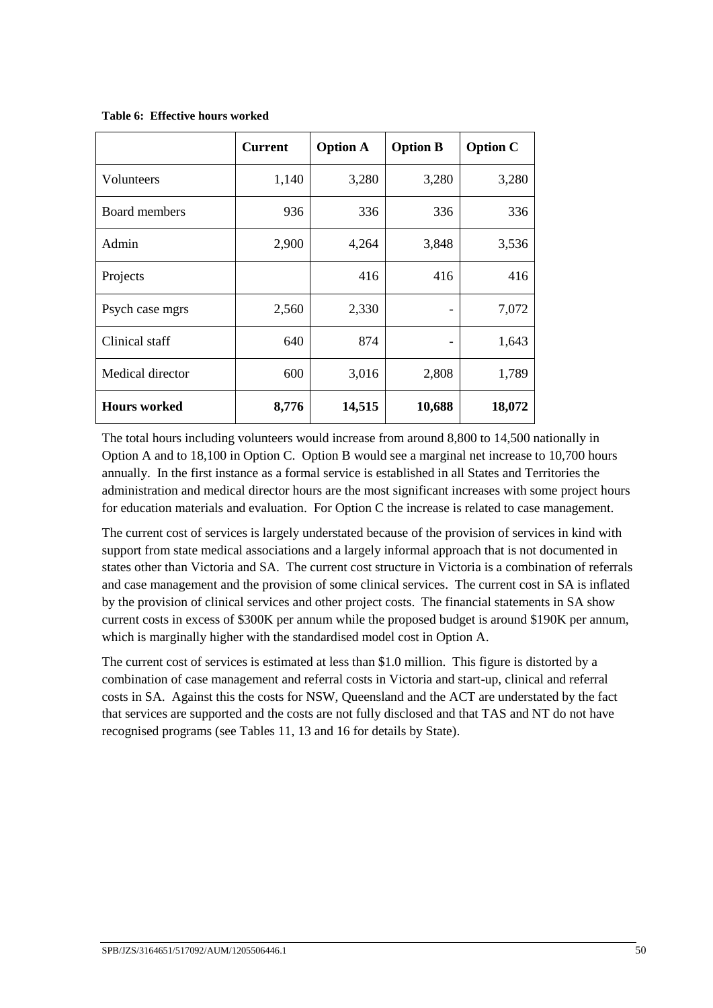|                     | <b>Current</b> | <b>Option A</b> | <b>Option B</b>          | <b>Option C</b> |
|---------------------|----------------|-----------------|--------------------------|-----------------|
| Volunteers          | 1,140          | 3,280           | 3,280                    | 3,280           |
| Board members       | 936            | 336             | 336                      | 336             |
| Admin               | 2,900          | 4,264           | 3,848                    | 3,536           |
| Projects            |                | 416             | 416                      | 416             |
| Psych case mgrs     | 2,560          | 2,330           | $\overline{\phantom{0}}$ | 7,072           |
| Clinical staff      | 640            | 874             | $\qquad \qquad$          | 1,643           |
| Medical director    | 600            | 3,016           | 2,808                    | 1,789           |
| <b>Hours</b> worked | 8,776          | 14,515          | 10,688                   | 18,072          |

**Table 6: Effective hours worked**

The total hours including volunteers would increase from around 8,800 to 14,500 nationally in Option A and to 18,100 in Option C. Option B would see a marginal net increase to 10,700 hours annually. In the first instance as a formal service is established in all States and Territories the administration and medical director hours are the most significant increases with some project hours for education materials and evaluation. For Option C the increase is related to case management.

The current cost of services is largely understated because of the provision of services in kind with support from state medical associations and a largely informal approach that is not documented in states other than Victoria and SA. The current cost structure in Victoria is a combination of referrals and case management and the provision of some clinical services. The current cost in SA is inflated by the provision of clinical services and other project costs. The financial statements in SA show current costs in excess of \$300K per annum while the proposed budget is around \$190K per annum, which is marginally higher with the standardised model cost in Option A.

The current cost of services is estimated at less than \$1.0 million. This figure is distorted by a combination of case management and referral costs in Victoria and start-up, clinical and referral costs in SA. Against this the costs for NSW, Queensland and the ACT are understated by the fact that services are supported and the costs are not fully disclosed and that TAS and NT do not have recognised programs (see Tables 11, 13 and 16 for details by State).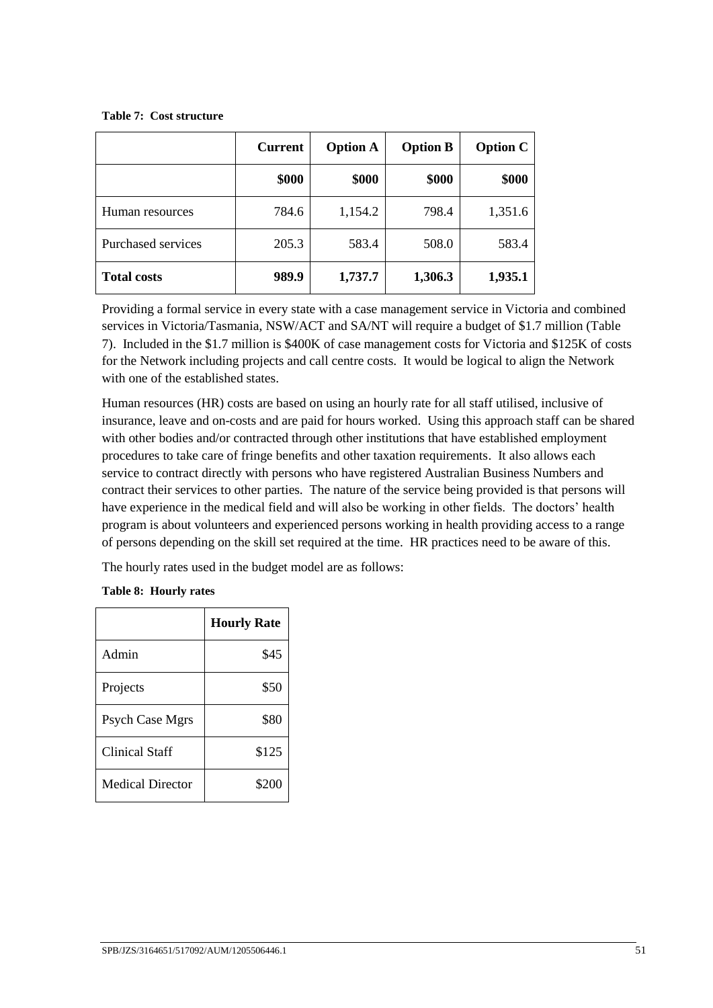#### **Table 7: Cost structure**

|                    | <b>Current</b> | <b>Option A</b> | <b>Option B</b> | <b>Option C</b> |
|--------------------|----------------|-----------------|-----------------|-----------------|
|                    | \$000          | \$000           | \$000           | \$000           |
| Human resources    | 784.6          | 1,154.2         | 798.4           | 1,351.6         |
| Purchased services | 205.3          | 583.4           | 508.0           | 583.4           |
| <b>Total costs</b> | 989.9          | 1,737.7         | 1,306.3         | 1,935.1         |

Providing a formal service in every state with a case management service in Victoria and combined services in Victoria/Tasmania, NSW/ACT and SA/NT will require a budget of \$1.7 million (Table 7). Included in the \$1.7 million is \$400K of case management costs for Victoria and \$125K of costs for the Network including projects and call centre costs. It would be logical to align the Network with one of the established states.

Human resources (HR) costs are based on using an hourly rate for all staff utilised, inclusive of insurance, leave and on-costs and are paid for hours worked. Using this approach staff can be shared with other bodies and/or contracted through other institutions that have established employment procedures to take care of fringe benefits and other taxation requirements. It also allows each service to contract directly with persons who have registered Australian Business Numbers and contract their services to other parties. The nature of the service being provided is that persons will have experience in the medical field and will also be working in other fields. The doctors' health program is about volunteers and experienced persons working in health providing access to a range of persons depending on the skill set required at the time. HR practices need to be aware of this.

The hourly rates used in the budget model are as follows:

#### **Table 8: Hourly rates**

|                         | <b>Hourly Rate</b> |
|-------------------------|--------------------|
| Admin                   | \$45               |
| Projects                | \$50               |
| <b>Psych Case Mgrs</b>  | \$80               |
| <b>Clinical Staff</b>   | \$125              |
| <b>Medical Director</b> | \$200              |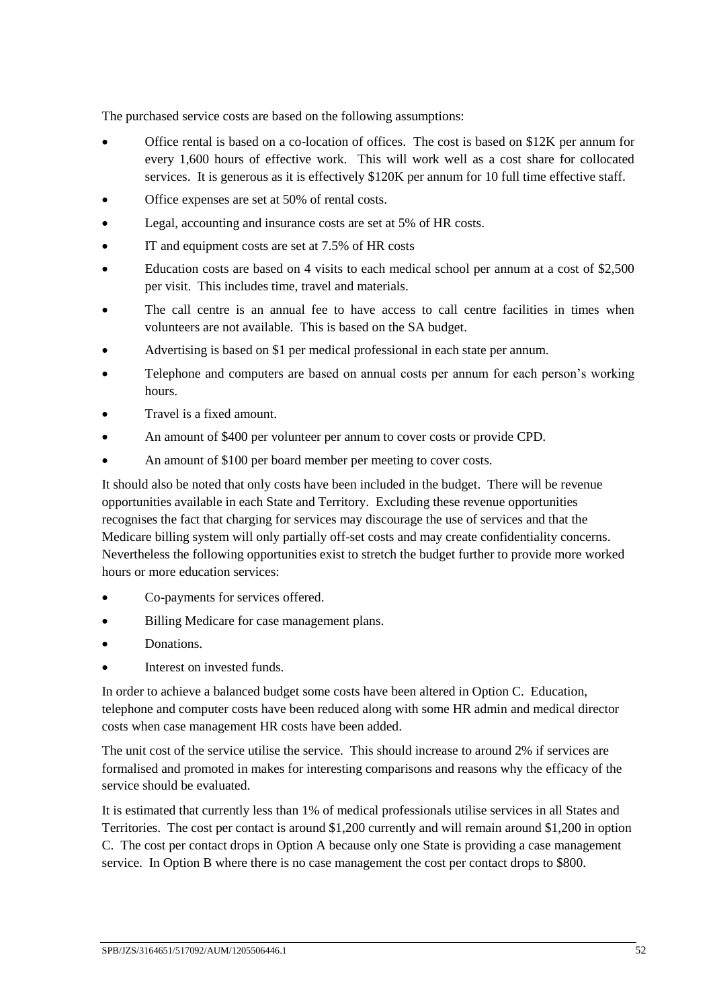The purchased service costs are based on the following assumptions:

- Office rental is based on a co-location of offices. The cost is based on \$12K per annum for every 1,600 hours of effective work. This will work well as a cost share for collocated services. It is generous as it is effectively \$120K per annum for 10 full time effective staff.
- Office expenses are set at 50% of rental costs.
- Legal, accounting and insurance costs are set at 5% of HR costs.
- IT and equipment costs are set at 7.5% of HR costs
- Education costs are based on 4 visits to each medical school per annum at a cost of \$2,500 per visit. This includes time, travel and materials.
- The call centre is an annual fee to have access to call centre facilities in times when volunteers are not available. This is based on the SA budget.
- Advertising is based on \$1 per medical professional in each state per annum.
- Telephone and computers are based on annual costs per annum for each person's working hours.
- Travel is a fixed amount.
- An amount of \$400 per volunteer per annum to cover costs or provide CPD.
- An amount of \$100 per board member per meeting to cover costs.

It should also be noted that only costs have been included in the budget. There will be revenue opportunities available in each State and Territory. Excluding these revenue opportunities recognises the fact that charging for services may discourage the use of services and that the Medicare billing system will only partially off-set costs and may create confidentiality concerns. Nevertheless the following opportunities exist to stretch the budget further to provide more worked hours or more education services:

- Co-payments for services offered.
- Billing Medicare for case management plans.
- Donations.
- Interest on invested funds.

In order to achieve a balanced budget some costs have been altered in Option C. Education, telephone and computer costs have been reduced along with some HR admin and medical director costs when case management HR costs have been added.

The unit cost of the service utilise the service. This should increase to around 2% if services are formalised and promoted in makes for interesting comparisons and reasons why the efficacy of the service should be evaluated.

It is estimated that currently less than 1% of medical professionals utilise services in all States and Territories. The cost per contact is around \$1,200 currently and will remain around \$1,200 in option C. The cost per contact drops in Option A because only one State is providing a case management service. In Option B where there is no case management the cost per contact drops to \$800.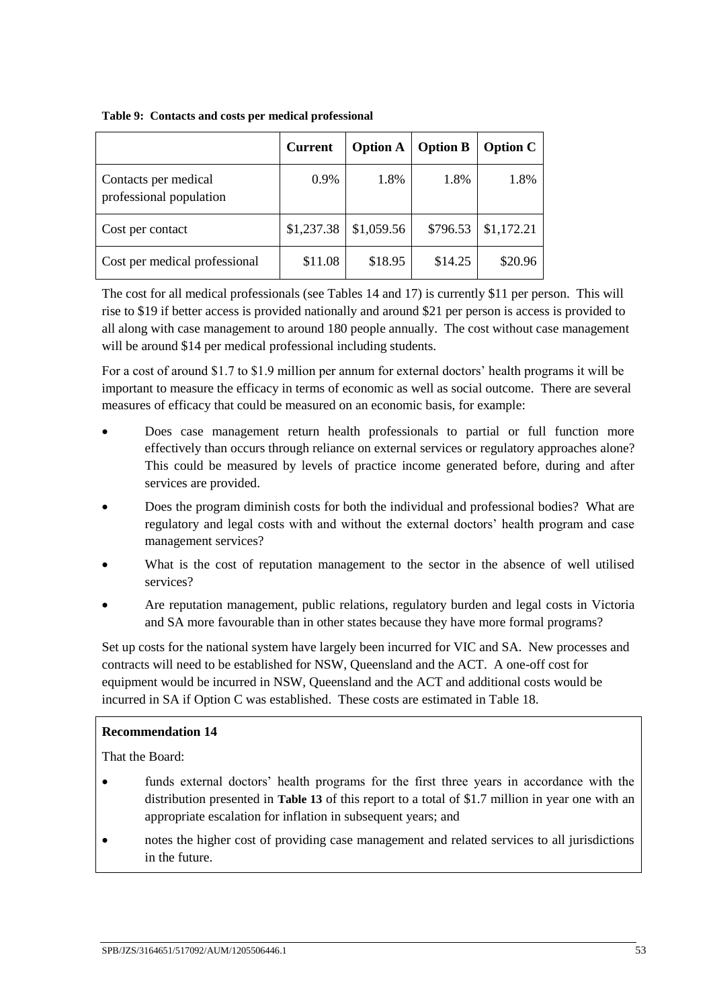|                                                 | <b>Current</b> | <b>Option A</b> | <b>Option B</b> | <b>Option C</b> |
|-------------------------------------------------|----------------|-----------------|-----------------|-----------------|
| Contacts per medical<br>professional population | 0.9%           | 1.8%            | 1.8%            | 1.8%            |
| Cost per contact                                | \$1,237.38     | \$1,059.56      | \$796.53        | \$1,172.21      |
| Cost per medical professional                   | \$11.08        | \$18.95         | \$14.25         | \$20.96         |

**Table 9: Contacts and costs per medical professional**

The cost for all medical professionals (see Tables 14 and 17) is currently \$11 per person. This will rise to \$19 if better access is provided nationally and around \$21 per person is access is provided to all along with case management to around 180 people annually. The cost without case management will be around \$14 per medical professional including students.

For a cost of around \$1.7 to \$1.9 million per annum for external doctors' health programs it will be important to measure the efficacy in terms of economic as well as social outcome. There are several measures of efficacy that could be measured on an economic basis, for example:

- Does case management return health professionals to partial or full function more effectively than occurs through reliance on external services or regulatory approaches alone? This could be measured by levels of practice income generated before, during and after services are provided.
- Does the program diminish costs for both the individual and professional bodies? What are regulatory and legal costs with and without the external doctors' health program and case management services?
- What is the cost of reputation management to the sector in the absence of well utilised services?
- Are reputation management, public relations, regulatory burden and legal costs in Victoria and SA more favourable than in other states because they have more formal programs?

Set up costs for the national system have largely been incurred for VIC and SA. New processes and contracts will need to be established for NSW, Queensland and the ACT. A one-off cost for equipment would be incurred in NSW, Queensland and the ACT and additional costs would be incurred in SA if Option C was established. These costs are estimated in Table 18.

#### **Recommendation 14**

That the Board:

- funds external doctors' health programs for the first three years in accordance with the distribution presented in **[Table 13](#page-58-0)** of this report to a total of \$1.7 million in year one with an appropriate escalation for inflation in subsequent years; and
- notes the higher cost of providing case management and related services to all jurisdictions in the future.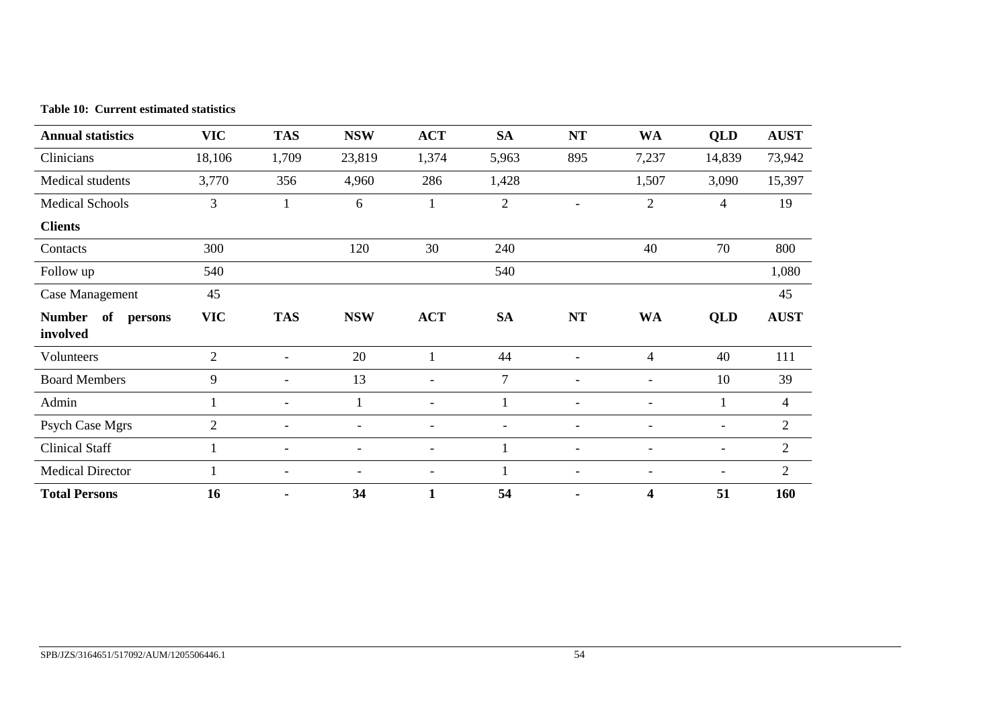| Table 10: Current estimated statistics |
|----------------------------------------|
|----------------------------------------|

| <b>Annual statistics</b>         | <b>VIC</b>     | <b>TAS</b>               | <b>NSW</b>               | <b>ACT</b>               | <b>SA</b>      | <b>NT</b>      | <b>WA</b>                | QLD                      | <b>AUST</b>    |
|----------------------------------|----------------|--------------------------|--------------------------|--------------------------|----------------|----------------|--------------------------|--------------------------|----------------|
| Clinicians                       | 18,106         | 1,709                    | 23,819                   | 1,374                    | 5,963          | 895            | 7,237                    | 14,839                   | 73,942         |
| Medical students                 | 3,770          | 356                      | 4,960                    | 286                      | 1,428          |                | 1,507                    | 3,090                    | 15,397         |
| <b>Medical Schools</b>           | 3              |                          | 6                        | $\mathbf{1}$             | $\overline{c}$ |                | $\overline{2}$           | 4                        | 19             |
| <b>Clients</b>                   |                |                          |                          |                          |                |                |                          |                          |                |
| Contacts                         | 300            |                          | 120                      | 30                       | 240            |                | 40                       | 70                       | 800            |
| Follow up                        | 540            |                          |                          |                          | 540            |                |                          |                          | 1,080          |
| Case Management                  | 45             |                          |                          |                          |                |                |                          |                          | 45             |
| Number of<br>persons<br>involved | <b>VIC</b>     | <b>TAS</b>               | <b>NSW</b>               | <b>ACT</b>               | <b>SA</b>      | NT             | <b>WA</b>                | QLD                      | <b>AUST</b>    |
| Volunteers                       | $\overline{2}$ | $\overline{\phantom{0}}$ | 20                       | 1                        | 44             |                | $\overline{4}$           | 40                       | 111            |
| <b>Board Members</b>             | 9              | $\blacksquare$           | 13                       | $\blacksquare$           | $\tau$         | $\blacksquare$ | $\blacksquare$           | 10                       | 39             |
| Admin                            |                | $\overline{\phantom{0}}$ |                          | $\overline{\phantom{a}}$ |                |                |                          |                          | 4              |
| Psych Case Mgrs                  | $\overline{2}$ | $\overline{\phantom{0}}$ |                          | $\overline{\phantom{0}}$ |                |                |                          |                          | $\overline{2}$ |
| <b>Clinical Staff</b>            |                |                          |                          | $\overline{\phantom{0}}$ |                |                |                          | $\overline{\phantom{a}}$ | $\overline{2}$ |
| <b>Medical Director</b>          |                | $\overline{\phantom{a}}$ | $\overline{\phantom{a}}$ | $\blacksquare$           |                | $\blacksquare$ | $\overline{\phantom{a}}$ | $\overline{\phantom{a}}$ | 2              |
| <b>Total Persons</b>             | 16             |                          | 34                       |                          | 54             |                | 4                        | 51                       | 160            |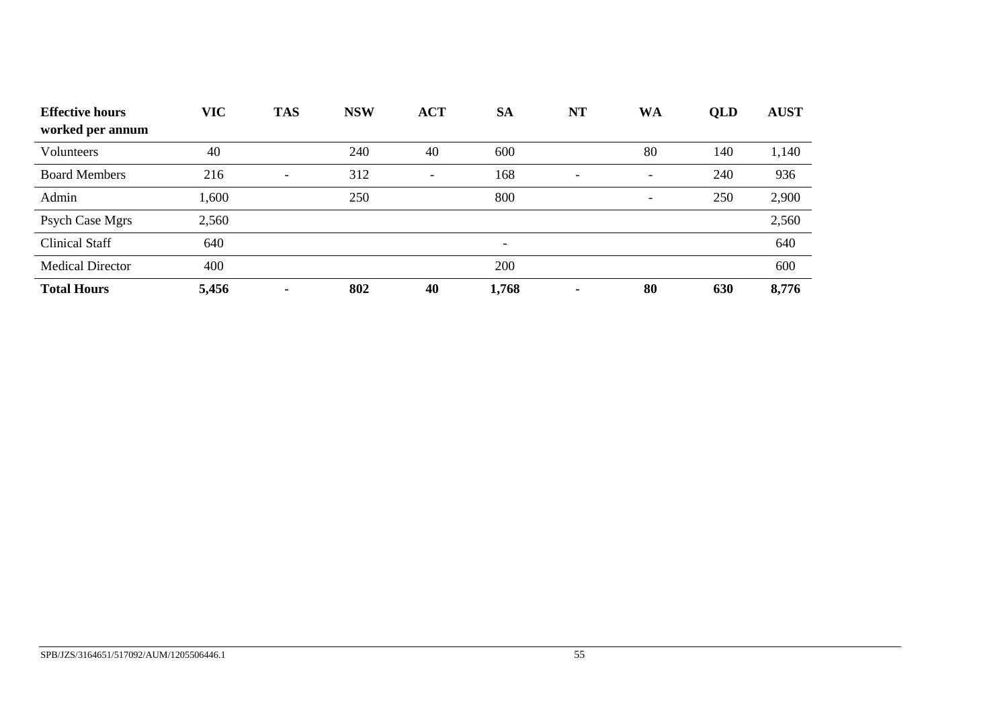| <b>Effective hours</b>  | <b>VIC</b> | <b>TAS</b>               | <b>NSW</b> | <b>ACT</b>               | <b>SA</b>                | <b>NT</b>                | WA                       | QLD | <b>AUST</b> |
|-------------------------|------------|--------------------------|------------|--------------------------|--------------------------|--------------------------|--------------------------|-----|-------------|
| worked per annum        |            |                          |            |                          |                          |                          |                          |     |             |
| Volunteers              | 40         |                          | 240        | 40                       | 600                      |                          | 80                       | 140 | 1,140       |
| <b>Board Members</b>    | 216        | $\overline{\phantom{a}}$ | 312        | $\overline{\phantom{a}}$ | 168                      | $\overline{\phantom{a}}$ | $\overline{\phantom{a}}$ | 240 | 936         |
| Admin                   | 1,600      |                          | 250        |                          | 800                      |                          | $\overline{\phantom{a}}$ | 250 | 2,900       |
| Psych Case Mgrs         | 2,560      |                          |            |                          |                          |                          |                          |     | 2,560       |
| <b>Clinical Staff</b>   | 640        |                          |            |                          | $\overline{\phantom{0}}$ |                          |                          |     | 640         |
| <b>Medical Director</b> | 400        |                          |            |                          | 200                      |                          |                          |     | 600         |
| <b>Total Hours</b>      | 5,456      | ۰                        | 802        | 40                       | 1,768                    | ٠                        | 80                       | 630 | 8,776       |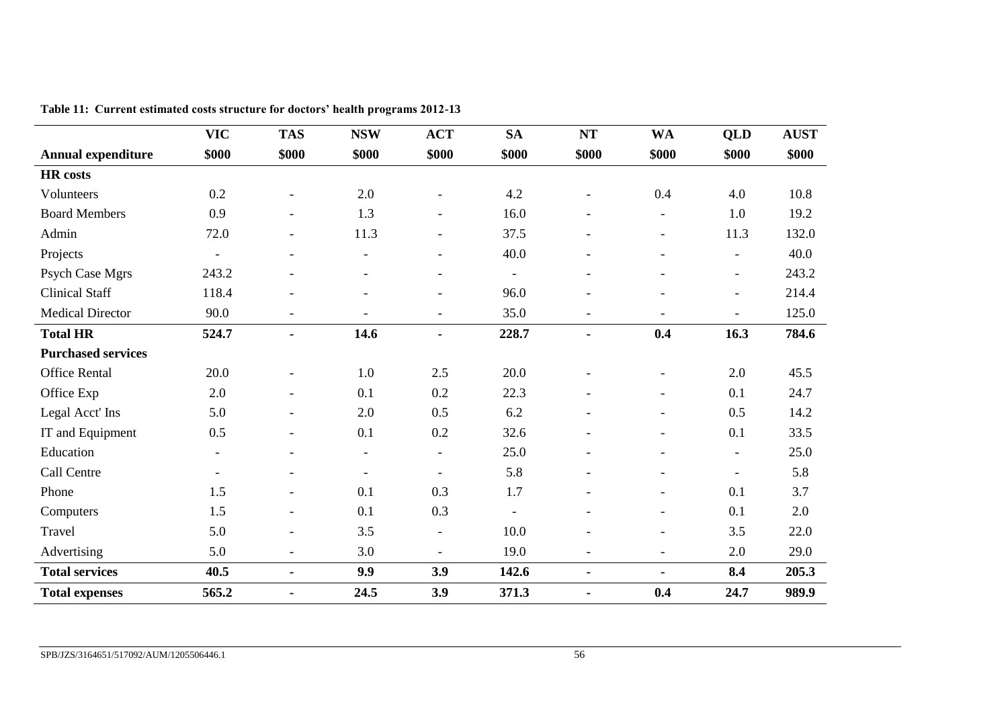|                           | <b>VIC</b>               | <b>TAS</b>               | <b>NSW</b>               | <b>ACT</b>               | <b>SA</b>      | <b>NT</b>                | <b>WA</b>                | <b>QLD</b>               | <b>AUST</b> |
|---------------------------|--------------------------|--------------------------|--------------------------|--------------------------|----------------|--------------------------|--------------------------|--------------------------|-------------|
| <b>Annual expenditure</b> | \$000                    | \$000                    | \$000                    | \$000                    | \$000          | \$000                    | \$000                    | \$000                    | \$000       |
| <b>HR</b> costs           |                          |                          |                          |                          |                |                          |                          |                          |             |
| Volunteers                | 0.2                      | $\blacksquare$           | 2.0                      | $\overline{a}$           | 4.2            |                          | 0.4                      | 4.0                      | 10.8        |
| <b>Board Members</b>      | 0.9                      | $\overline{\phantom{a}}$ | 1.3                      | $\overline{\phantom{a}}$ | 16.0           | $\blacksquare$           | $\blacksquare$           | 1.0                      | 19.2        |
| Admin                     | 72.0                     | $\overline{\phantom{0}}$ | 11.3                     | $\blacksquare$           | 37.5           | $\overline{\phantom{0}}$ | $\blacksquare$           | 11.3                     | 132.0       |
| Projects                  | $\overline{a}$           | $\blacksquare$           | $\overline{\phantom{a}}$ | $\blacksquare$           | 40.0           |                          | $\blacksquare$           | $\overline{\phantom{a}}$ | 40.0        |
| Psych Case Mgrs           | 243.2                    | $\overline{\phantom{0}}$ | $\overline{a}$           | $\overline{\phantom{a}}$ | $\blacksquare$ |                          |                          | $\overline{\phantom{a}}$ | 243.2       |
| <b>Clinical Staff</b>     | 118.4                    | $\overline{a}$           | $\overline{a}$           | $\overline{a}$           | 96.0           |                          |                          | $\blacksquare$           | 214.4       |
| <b>Medical Director</b>   | 90.0                     | $\overline{\phantom{a}}$ |                          | $\overline{\phantom{a}}$ | 35.0           | $\overline{\phantom{a}}$ |                          | $\overline{\phantom{a}}$ | 125.0       |
| <b>Total HR</b>           | 524.7                    | $\blacksquare$           | 14.6                     | $\blacksquare$           | 228.7          | $\blacksquare$           | 0.4                      | 16.3                     | 784.6       |
| <b>Purchased services</b> |                          |                          |                          |                          |                |                          |                          |                          |             |
| <b>Office Rental</b>      | 20.0                     | $\overline{a}$           | 1.0                      | 2.5                      | 20.0           |                          | $\blacksquare$           | 2.0                      | 45.5        |
| Office Exp                | 2.0                      | $\overline{\phantom{a}}$ | 0.1                      | 0.2                      | 22.3           | $\overline{\phantom{a}}$ | $\overline{\phantom{a}}$ | 0.1                      | 24.7        |
| Legal Acct' Ins           | 5.0                      | $\overline{\phantom{a}}$ | 2.0                      | 0.5                      | 6.2            |                          | $\blacksquare$           | 0.5                      | 14.2        |
| IT and Equipment          | 0.5                      | $\overline{\phantom{a}}$ | 0.1                      | 0.2                      | 32.6           | $\blacksquare$           | $\overline{\phantom{a}}$ | 0.1                      | 33.5        |
| Education                 | $\overline{\phantom{a}}$ | $\qquad \qquad -$        | $\blacksquare$           | $\blacksquare$           | 25.0           |                          |                          | $\overline{\phantom{a}}$ | 25.0        |
| Call Centre               | ۰                        | $\overline{\phantom{a}}$ | $\overline{\phantom{a}}$ | $\overline{\phantom{a}}$ | 5.8            | $\overline{\phantom{0}}$ | $\blacksquare$           | $\overline{\phantom{a}}$ | 5.8         |
| Phone                     | 1.5                      | $\overline{\phantom{a}}$ | 0.1                      | 0.3                      | 1.7            |                          |                          | 0.1                      | 3.7         |
| Computers                 | 1.5                      | $\blacksquare$           | 0.1                      | 0.3                      | $\equiv$       |                          | $\blacksquare$           | 0.1                      | 2.0         |
| Travel                    | 5.0                      | $\blacksquare$           | 3.5                      | $\overline{\phantom{a}}$ | 10.0           |                          | $\blacksquare$           | 3.5                      | 22.0        |
| Advertising               | 5.0                      | $\overline{\phantom{0}}$ | 3.0                      | $\overline{\phantom{a}}$ | 19.0           | $\overline{\phantom{a}}$ | $\blacksquare$           | 2.0                      | 29.0        |
| <b>Total services</b>     | 40.5                     | $\blacksquare$           | 9.9                      | 3.9                      | 142.6          | $\blacksquare$           | $\blacksquare$           | 8.4                      | 205.3       |
| <b>Total expenses</b>     | 565.2                    | $\blacksquare$           | 24.5                     | 3.9                      | 371.3          | $\blacksquare$           | 0.4                      | 24.7                     | 989.9       |

**Table 11: Current estimated costs structure for doctors' health programs 2012-13**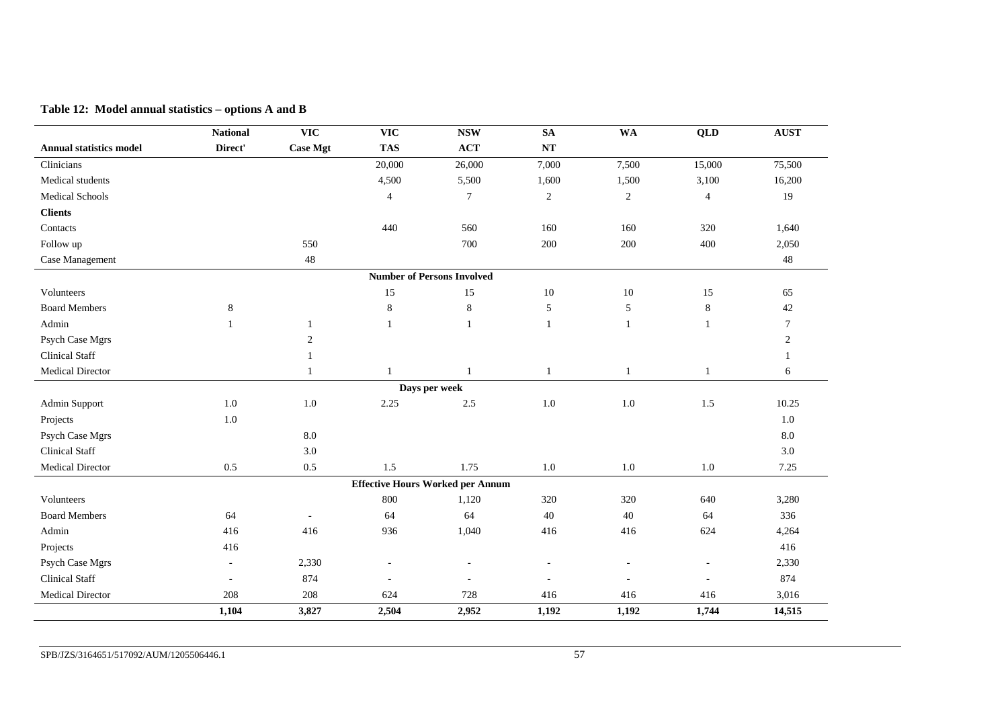|  |  |  | Table 12: Model annual statistics – options A and B |  |  |
|--|--|--|-----------------------------------------------------|--|--|
|--|--|--|-----------------------------------------------------|--|--|

<span id="page-58-0"></span>

|                                | <b>National</b>          | <b>VIC</b>       | <b>VIC</b>               | <b>NSW</b>                              | <b>SA</b>                | <b>WA</b>      | <b>QLD</b>               | <b>AUST</b>    |
|--------------------------------|--------------------------|------------------|--------------------------|-----------------------------------------|--------------------------|----------------|--------------------------|----------------|
| <b>Annual statistics model</b> | Direct'                  | <b>Case Mgt</b>  | <b>TAS</b>               | <b>ACT</b>                              | $\bf NT$                 |                |                          |                |
| Clinicians                     |                          |                  | 20,000                   | 26,000                                  | 7,000                    | 7,500          | 15,000                   | 75,500         |
| Medical students               |                          |                  | 4,500                    | 5,500                                   | 1,600                    | 1,500          | 3,100                    | 16,200         |
| <b>Medical Schools</b>         |                          |                  | $\overline{4}$           | $\tau$                                  | $\boldsymbol{2}$         | $\overline{2}$ | $\overline{4}$           | 19             |
| <b>Clients</b>                 |                          |                  |                          |                                         |                          |                |                          |                |
| Contacts                       |                          |                  | 440                      | 560                                     | 160                      | 160            | 320                      | 1,640          |
| Follow up                      |                          | 550              |                          | 700                                     | 200                      | 200            | 400                      | 2,050          |
| Case Management                |                          | 48               |                          |                                         |                          |                |                          | 48             |
|                                |                          |                  |                          | <b>Number of Persons Involved</b>       |                          |                |                          |                |
| Volunteers                     |                          |                  | 15                       | 15                                      | $10\,$                   | 10             | 15                       | 65             |
| <b>Board Members</b>           | 8                        |                  | $8\,$                    | $8\,$                                   | $\sqrt{5}$               | 5              | $8\,$                    | $42\,$         |
| Admin                          | 1                        | $\mathbf{1}$     | 1                        | $\mathbf{1}$                            | $\mathbf{1}$             | 1              | $\mathbf{1}$             | $\tau$         |
| Psych Case Mgrs                |                          | $\boldsymbol{2}$ |                          |                                         |                          |                |                          | $\overline{2}$ |
| <b>Clinical Staff</b>          |                          | $\mathbf{1}$     |                          |                                         |                          |                |                          | 1              |
| Medical Director               |                          | $\mathbf{1}$     | $\mathbf{1}$             | $\mathbf{1}$                            | $\mathbf{1}$             | $\mathbf{1}$   | $\mathbf{1}$             | 6              |
|                                |                          |                  |                          | Days per week                           |                          |                |                          |                |
| Admin Support                  | 1.0                      | 1.0              | 2.25                     | 2.5                                     | $1.0\,$                  | $1.0\,$        | 1.5                      | 10.25          |
| Projects                       | 1.0                      |                  |                          |                                         |                          |                |                          | 1.0            |
| Psych Case Mgrs                |                          | $8.0\,$          |                          |                                         |                          |                |                          | 8.0            |
| <b>Clinical Staff</b>          |                          | 3.0              |                          |                                         |                          |                |                          | 3.0            |
| Medical Director               | 0.5                      | $0.5\,$          | 1.5                      | 1.75                                    | 1.0                      | $1.0\,$        | $1.0\,$                  | 7.25           |
|                                |                          |                  |                          | <b>Effective Hours Worked per Annum</b> |                          |                |                          |                |
| Volunteers                     |                          |                  | 800                      | 1,120                                   | 320                      | 320            | 640                      | 3,280          |
| <b>Board Members</b>           | 64                       | $\blacksquare$   | 64                       | 64                                      | 40                       | 40             | 64                       | 336            |
| Admin                          | 416                      | 416              | 936                      | 1,040                                   | 416                      | 416            | 624                      | 4,264          |
| Projects                       | 416                      |                  |                          |                                         |                          |                |                          | 416            |
| Psych Case Mgrs                | $\overline{\phantom{a}}$ | 2,330            | $\overline{\phantom{m}}$ | $\overline{a}$                          | $\overline{\phantom{a}}$ |                | $\overline{\phantom{a}}$ | 2,330          |
| <b>Clinical Staff</b>          | $\sim$                   | 874              |                          |                                         |                          |                | $\sim$                   | 874            |
| Medical Director               | 208                      | 208              | 624                      | 728                                     | 416                      | 416            | 416                      | 3,016          |
|                                | 1,104                    | 3,827            | 2,504                    | 2,952                                   | 1,192                    | 1,192          | 1,744                    | 14,515         |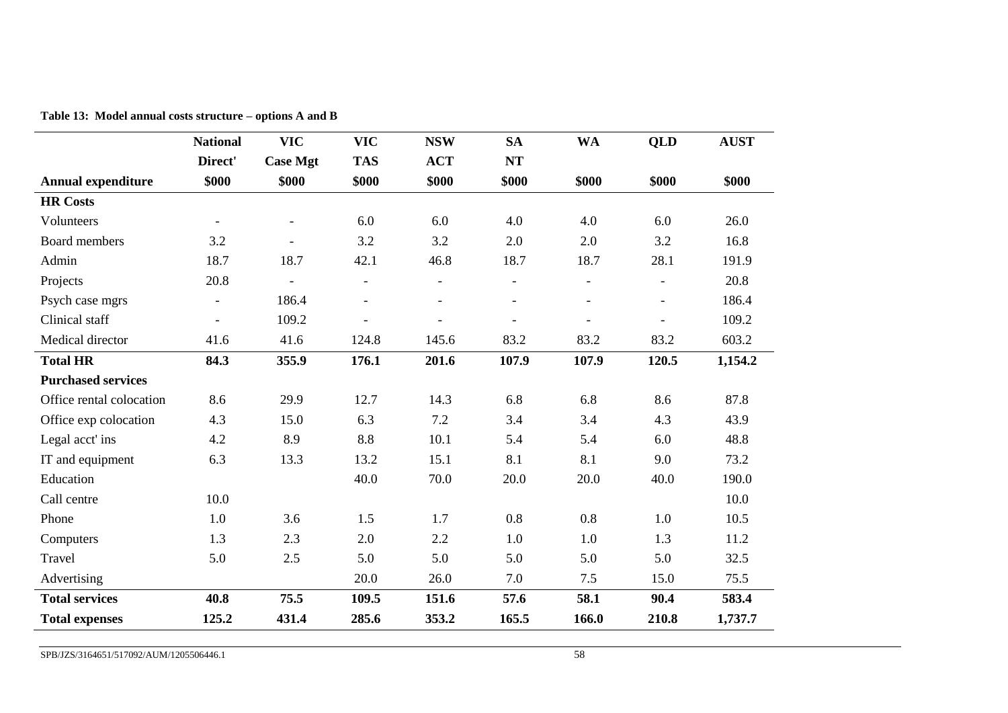|                           | <b>National</b>          | <b>VIC</b>      | <b>VIC</b>               | <b>NSW</b>     | <b>SA</b>                | <b>WA</b>      | <b>QLD</b>     | <b>AUST</b> |
|---------------------------|--------------------------|-----------------|--------------------------|----------------|--------------------------|----------------|----------------|-------------|
|                           | Direct'                  | <b>Case Mgt</b> | <b>TAS</b>               | <b>ACT</b>     | NT                       |                |                |             |
| <b>Annual expenditure</b> | \$000                    | \$000           | \$000                    | \$000          | \$000                    | \$000          | \$000          | \$000       |
| <b>HR Costs</b>           |                          |                 |                          |                |                          |                |                |             |
| Volunteers                |                          |                 | 6.0                      | 6.0            | 4.0                      | 4.0            | 6.0            | 26.0        |
| Board members             | 3.2                      |                 | 3.2                      | 3.2            | 2.0                      | 2.0            | 3.2            | 16.8        |
| Admin                     | 18.7                     | 18.7            | 42.1                     | 46.8           | 18.7                     | 18.7           | 28.1           | 191.9       |
| Projects                  | 20.8                     |                 | $\overline{\phantom{a}}$ | $\blacksquare$ | $\overline{\phantom{a}}$ | $\overline{a}$ | $\overline{a}$ | 20.8        |
| Psych case mgrs           | $\overline{\phantom{a}}$ | 186.4           | $\blacksquare$           |                | $\overline{\phantom{a}}$ |                | $\overline{a}$ | 186.4       |
| Clinical staff            | $\overline{\phantom{a}}$ | 109.2           | $\overline{a}$           | $\overline{a}$ | $\overline{\phantom{a}}$ |                | $\overline{a}$ | 109.2       |
| Medical director          | 41.6                     | 41.6            | 124.8                    | 145.6          | 83.2                     | 83.2           | 83.2           | 603.2       |
| <b>Total HR</b>           | 84.3                     | 355.9           | 176.1                    | 201.6          | 107.9                    | 107.9          | 120.5          | 1,154.2     |
| <b>Purchased services</b> |                          |                 |                          |                |                          |                |                |             |
| Office rental colocation  | 8.6                      | 29.9            | 12.7                     | 14.3           | 6.8                      | 6.8            | 8.6            | 87.8        |
| Office exp colocation     | 4.3                      | 15.0            | 6.3                      | 7.2            | 3.4                      | 3.4            | 4.3            | 43.9        |
| Legal acct'ins            | 4.2                      | 8.9             | 8.8                      | 10.1           | 5.4                      | 5.4            | 6.0            | 48.8        |
| IT and equipment          | 6.3                      | 13.3            | 13.2                     | 15.1           | 8.1                      | 8.1            | 9.0            | 73.2        |
| Education                 |                          |                 | 40.0                     | 70.0           | 20.0                     | 20.0           | 40.0           | 190.0       |
| Call centre               | 10.0                     |                 |                          |                |                          |                |                | 10.0        |
| Phone                     | 1.0                      | 3.6             | 1.5                      | 1.7            | 0.8                      | 0.8            | 1.0            | 10.5        |
| Computers                 | 1.3                      | 2.3             | 2.0                      | 2.2            | 1.0                      | 1.0            | 1.3            | 11.2        |
| Travel                    | 5.0                      | 2.5             | 5.0                      | 5.0            | 5.0                      | 5.0            | 5.0            | 32.5        |
| Advertising               |                          |                 | 20.0                     | 26.0           | 7.0                      | 7.5            | 15.0           | 75.5        |
| <b>Total services</b>     | 40.8                     | 75.5            | 109.5                    | 151.6          | 57.6                     | 58.1           | 90.4           | 583.4       |
| <b>Total expenses</b>     | 125.2                    | 431.4           | 285.6                    | 353.2          | 165.5                    | 166.0          | 210.8          | 1,737.7     |

**Table 13: Model annual costs structure – options A and B**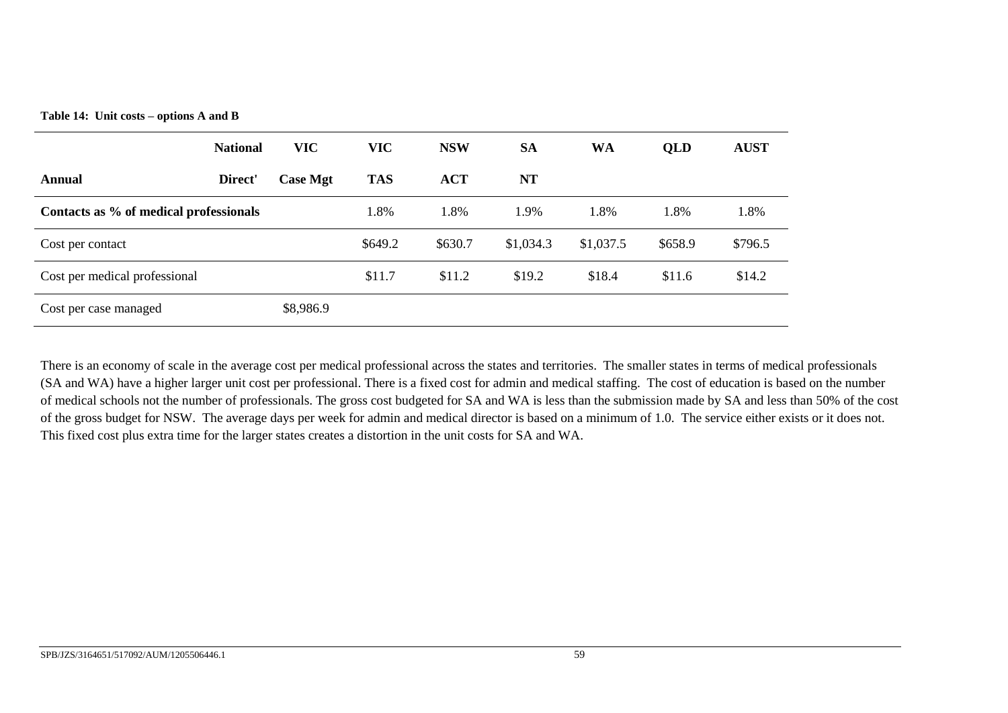**Table 14: Unit costs – options A and B**

|                                        | <b>National</b> | <b>VIC</b>      | <b>VIC</b> | <b>NSW</b> | <b>SA</b> | <b>WA</b> | <b>QLD</b> | <b>AUST</b> |
|----------------------------------------|-----------------|-----------------|------------|------------|-----------|-----------|------------|-------------|
| Annual                                 | Direct'         | <b>Case Mgt</b> | <b>TAS</b> | <b>ACT</b> | <b>NT</b> |           |            |             |
| Contacts as % of medical professionals |                 |                 | 1.8%       | 1.8%       | 1.9%      | 1.8%      | 1.8%       | 1.8%        |
| Cost per contact                       |                 |                 | \$649.2    | \$630.7    | \$1,034.3 | \$1,037.5 | \$658.9    | \$796.5     |
| Cost per medical professional          |                 |                 | \$11.7     | \$11.2     | \$19.2    | \$18.4    | \$11.6     | \$14.2      |
| Cost per case managed                  |                 | \$8,986.9       |            |            |           |           |            |             |

There is an economy of scale in the average cost per medical professional across the states and territories. The smaller states in terms of medical professionals (SA and WA) have a higher larger unit cost per professional. There is a fixed cost for admin and medical staffing. The cost of education is based on the number of medical schools not the number of professionals. The gross cost budgeted for SA and WA is less than the submission made by SA and less than 50% of the cost of the gross budget for NSW. The average days per week for admin and medical director is based on a minimum of 1.0. The service either exists or it does not. This fixed cost plus extra time for the larger states creates a distortion in the unit costs for SA and WA.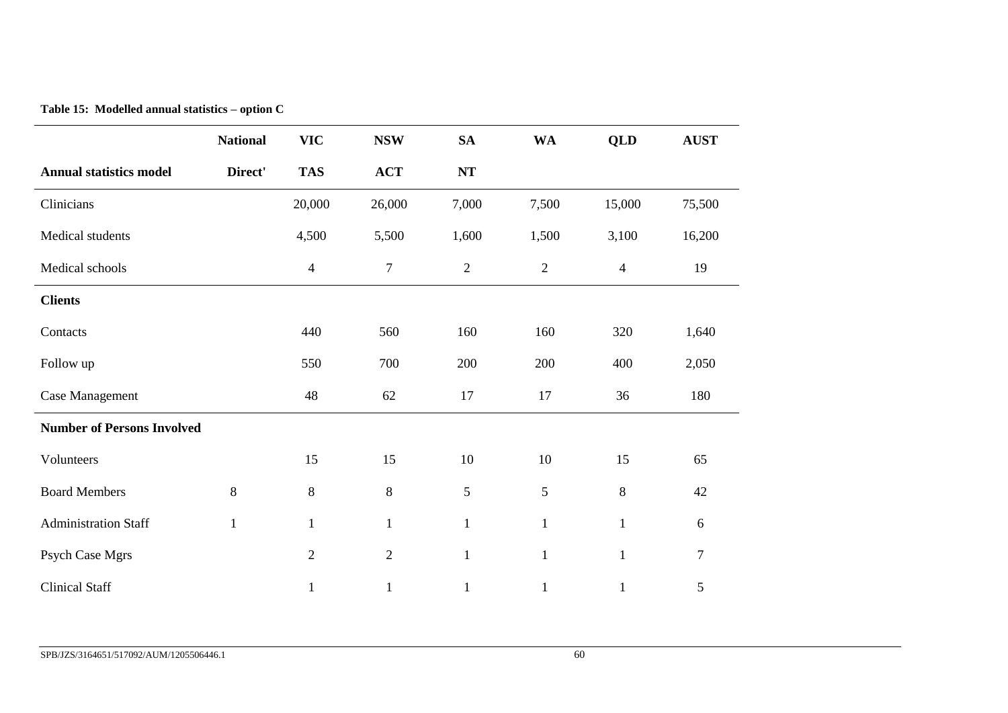|  |  |  | Table 15: Modelled annual statistics – option C |  |  |
|--|--|--|-------------------------------------------------|--|--|
|--|--|--|-------------------------------------------------|--|--|

|                                   | <b>National</b> | <b>VIC</b>     | <b>NSW</b>       | <b>SA</b>      | <b>WA</b>    | <b>QLD</b>     | <b>AUST</b>      |
|-----------------------------------|-----------------|----------------|------------------|----------------|--------------|----------------|------------------|
| <b>Annual statistics model</b>    | Direct'         | <b>TAS</b>     | <b>ACT</b>       | $\bf NT$       |              |                |                  |
| Clinicians                        |                 | 20,000         | 26,000           | 7,000          | 7,500        | 15,000         | 75,500           |
| Medical students                  |                 | 4,500          | 5,500            | 1,600          | 1,500        | 3,100          | 16,200           |
| Medical schools                   |                 | $\overline{4}$ | $\boldsymbol{7}$ | $\sqrt{2}$     | $\mathbf{2}$ | $\overline{4}$ | 19               |
| <b>Clients</b>                    |                 |                |                  |                |              |                |                  |
| Contacts                          |                 | 440            | 560              | 160            | 160          | 320            | 1,640            |
| Follow up                         |                 | 550            | 700              | 200            | 200          | 400            | 2,050            |
| Case Management                   |                 | 48             | 62               | 17             | 17           | 36             | 180              |
| <b>Number of Persons Involved</b> |                 |                |                  |                |              |                |                  |
| Volunteers                        |                 | 15             | 15               | $10\,$         | $10\,$       | 15             | 65               |
| <b>Board Members</b>              | 8               | $\,8\,$        | $\,8\,$          | $\mathfrak{S}$ | 5            | $8\,$          | 42               |
| <b>Administration Staff</b>       | $\mathbf{1}$    | $\mathbf{1}$   | $\mathbf{1}$     | $\mathbf{1}$   | $\mathbf{1}$ | $\mathbf{1}$   | 6                |
| Psych Case Mgrs                   |                 | $\overline{2}$ | $\overline{2}$   | $\mathbf{1}$   | $\mathbf{1}$ | $\mathbf{1}$   | $\boldsymbol{7}$ |
| <b>Clinical Staff</b>             |                 | $\mathbf{1}$   | $\mathbf{1}$     | $\mathbf{1}$   | $\mathbf{1}$ | $\mathbf{1}$   | 5                |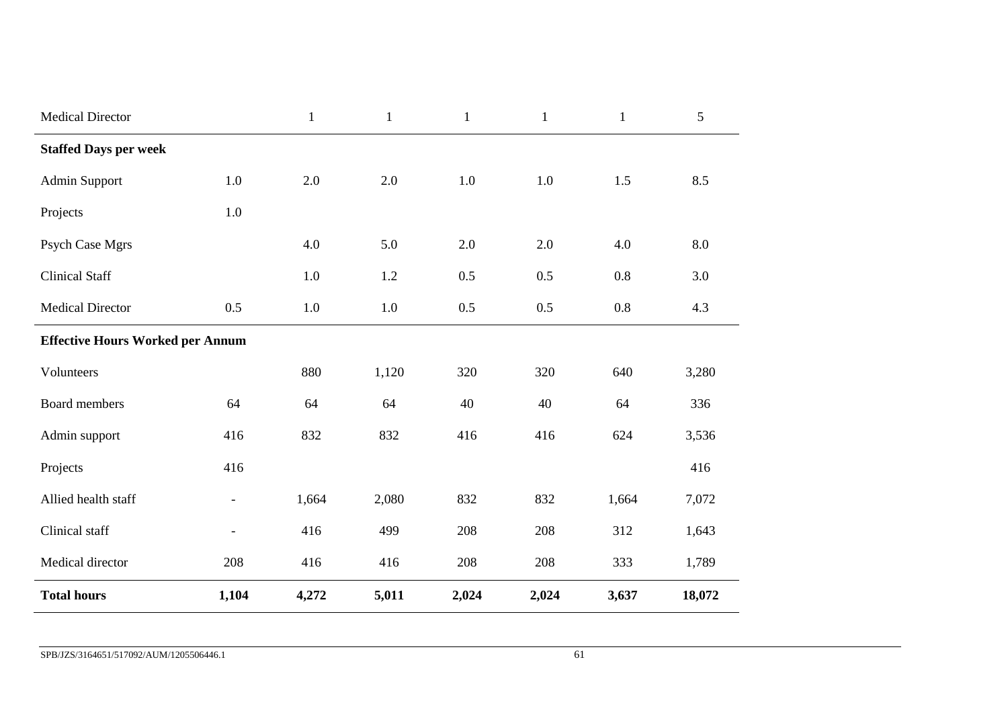| <b>Medical Director</b>                 |                          | $\mathbf{1}$ | $\mathbf{1}$ | $\mathbf{1}$ | $\mathbf{1}$ | $\mathbf{1}$ | $\mathfrak{S}$ |  |  |
|-----------------------------------------|--------------------------|--------------|--------------|--------------|--------------|--------------|----------------|--|--|
| <b>Staffed Days per week</b>            |                          |              |              |              |              |              |                |  |  |
| <b>Admin Support</b>                    | 1.0                      | 2.0          | 2.0          | 1.0          | 1.0          | 1.5          | 8.5            |  |  |
| Projects                                | 1.0                      |              |              |              |              |              |                |  |  |
| Psych Case Mgrs                         |                          | 4.0          | 5.0          | 2.0          | 2.0          | 4.0          | 8.0            |  |  |
| <b>Clinical Staff</b>                   |                          | 1.0          | 1.2          | 0.5          | 0.5          | 0.8          | 3.0            |  |  |
| <b>Medical Director</b>                 | 0.5                      | 1.0          | $1.0\,$      | 0.5          | 0.5          | $0.8\,$      | 4.3            |  |  |
| <b>Effective Hours Worked per Annum</b> |                          |              |              |              |              |              |                |  |  |
| Volunteers                              |                          | 880          | 1,120        | 320          | 320          | 640          | 3,280          |  |  |
| Board members                           | 64                       | 64           | 64           | 40           | 40           | 64           | 336            |  |  |
| Admin support                           | 416                      | 832          | 832          | 416          | 416          | 624          | 3,536          |  |  |
| Projects                                | 416                      |              |              |              |              |              | 416            |  |  |
| Allied health staff                     | $\overline{\phantom{a}}$ | 1,664        | 2,080        | 832          | 832          | 1,664        | 7,072          |  |  |
| Clinical staff                          | $\overline{\phantom{a}}$ | 416          | 499          | 208          | 208          | 312          | 1,643          |  |  |
| Medical director                        | 208                      | 416          | 416          | 208          | 208          | 333          | 1,789          |  |  |
| <b>Total hours</b>                      | 1,104                    | 4,272        | 5,011        | 2,024        | 2,024        | 3,637        | 18,072         |  |  |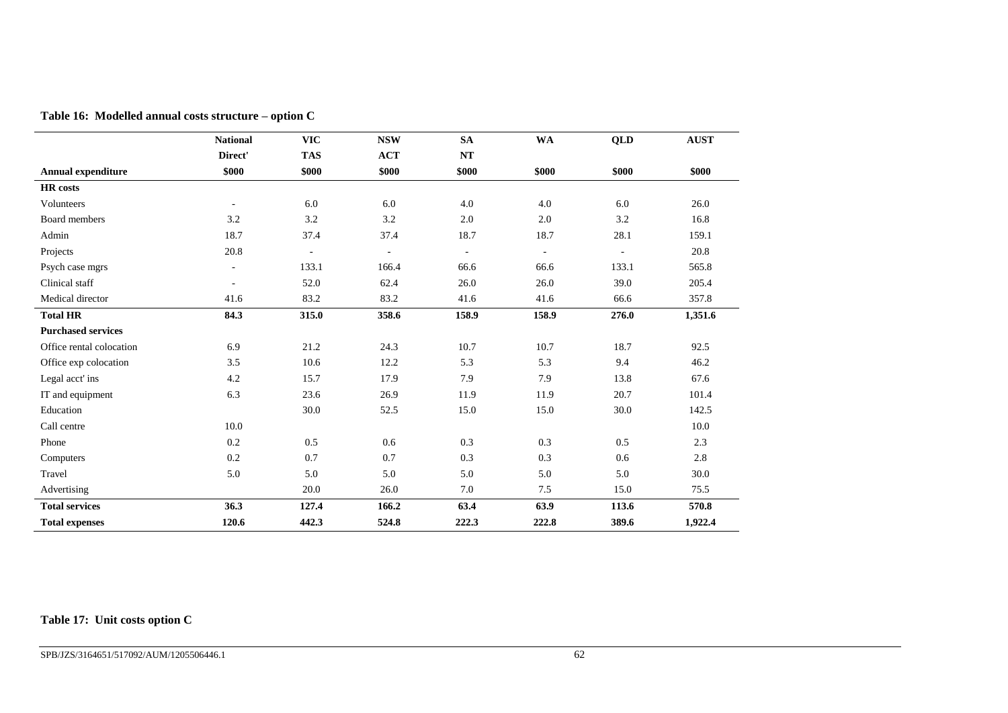|                           | <b>National</b> | <b>VIC</b>               | <b>NSW</b> | <b>SA</b>                | <b>WA</b>                | QLD      | <b>AUST</b> |
|---------------------------|-----------------|--------------------------|------------|--------------------------|--------------------------|----------|-------------|
|                           | Direct'         | <b>TAS</b>               | <b>ACT</b> | NT                       |                          |          |             |
| <b>Annual expenditure</b> | \$000           | \$000                    | \$000      | \$000                    | \$000                    | \$000    | \$000       |
| <b>HR</b> costs           |                 |                          |            |                          |                          |          |             |
| Volunteers                | $\sim$          | 6.0                      | 6.0        | 4.0                      | 4.0                      | 6.0      | 26.0        |
| Board members             | 3.2             | 3.2                      | 3.2        | 2.0                      | 2.0                      | 3.2      | 16.8        |
| Admin                     | 18.7            | 37.4                     | 37.4       | 18.7                     | 18.7                     | 28.1     | 159.1       |
| Projects                  | 20.8            | $\overline{\phantom{a}}$ | ÷.         | $\overline{\phantom{a}}$ | $\overline{\phantom{a}}$ | $\omega$ | 20.8        |
| Psych case mgrs           | ÷.              | 133.1                    | 166.4      | 66.6                     | 66.6                     | 133.1    | 565.8       |
| Clinical staff            | $\sim$          | 52.0                     | 62.4       | 26.0                     | 26.0                     | 39.0     | 205.4       |
| Medical director          | 41.6            | 83.2                     | 83.2       | 41.6                     | 41.6                     | 66.6     | 357.8       |
| <b>Total HR</b>           | 84.3            | 315.0                    | 358.6      | 158.9                    | 158.9                    | 276.0    | 1,351.6     |
| <b>Purchased services</b> |                 |                          |            |                          |                          |          |             |
| Office rental colocation  | 6.9             | 21.2                     | 24.3       | 10.7                     | 10.7                     | 18.7     | 92.5        |
| Office exp colocation     | 3.5             | 10.6                     | 12.2       | 5.3                      | 5.3                      | 9.4      | 46.2        |
| Legal acct' ins           | 4.2             | 15.7                     | 17.9       | 7.9                      | 7.9                      | 13.8     | 67.6        |
| IT and equipment          | 6.3             | 23.6                     | 26.9       | 11.9                     | 11.9                     | 20.7     | 101.4       |
| Education                 |                 | 30.0                     | 52.5       | 15.0                     | 15.0                     | 30.0     | 142.5       |
| Call centre               | 10.0            |                          |            |                          |                          |          | 10.0        |
| Phone                     | 0.2             | 0.5                      | 0.6        | 0.3                      | 0.3                      | 0.5      | 2.3         |
| Computers                 | 0.2             | 0.7                      | 0.7        | 0.3                      | 0.3                      | 0.6      | 2.8         |
| Travel                    | 5.0             | 5.0                      | 5.0        | 5.0                      | 5.0                      | 5.0      | 30.0        |
| Advertising               |                 | 20.0                     | 26.0       | 7.0                      | 7.5                      | 15.0     | 75.5        |
| <b>Total services</b>     | 36.3            | 127.4                    | 166.2      | 63.4                     | 63.9                     | 113.6    | 570.8       |
| <b>Total expenses</b>     | 120.6           | 442.3                    | 524.8      | 222.3                    | 222.8                    | 389.6    | 1,922.4     |

**Table 16: Modelled annual costs structure – option C**

### **Table 17: Unit costs option C**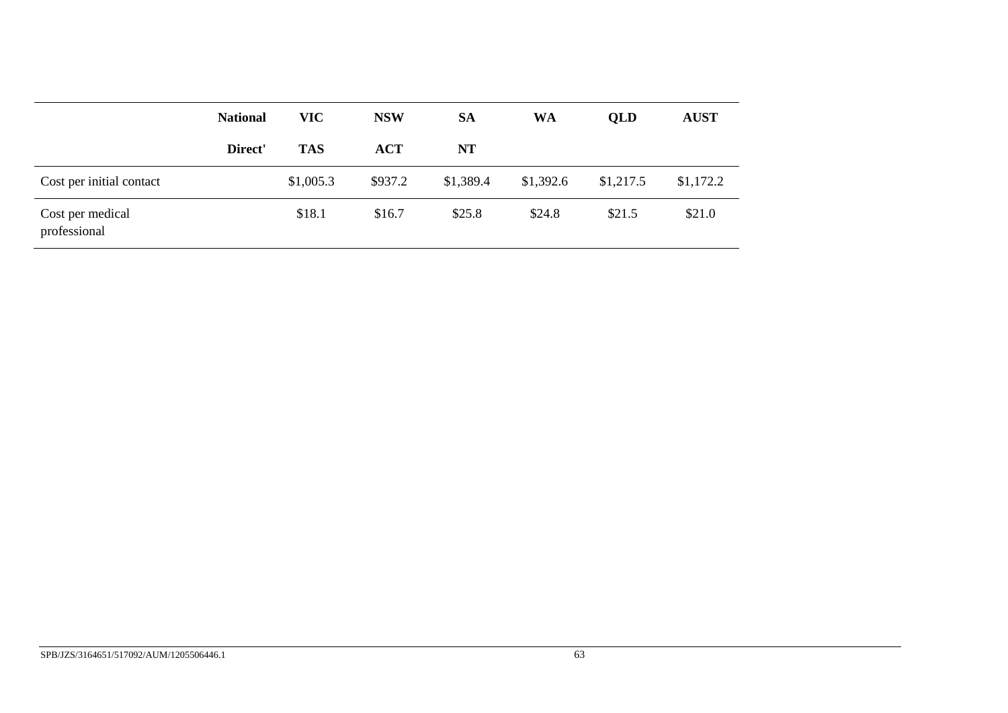|                                  | <b>National</b> | <b>VIC</b> | <b>NSW</b> | <b>SA</b> | WA        | <b>OLD</b> | <b>AUST</b> |  |
|----------------------------------|-----------------|------------|------------|-----------|-----------|------------|-------------|--|
|                                  | Direct'         | <b>TAS</b> | <b>ACT</b> | NT        |           |            |             |  |
| Cost per initial contact         |                 | \$1,005.3  | \$937.2    | \$1,389.4 | \$1,392.6 | \$1,217.5  | \$1,172.2   |  |
| Cost per medical<br>professional |                 | \$18.1     | \$16.7     | \$25.8    | \$24.8    | \$21.5     | \$21.0      |  |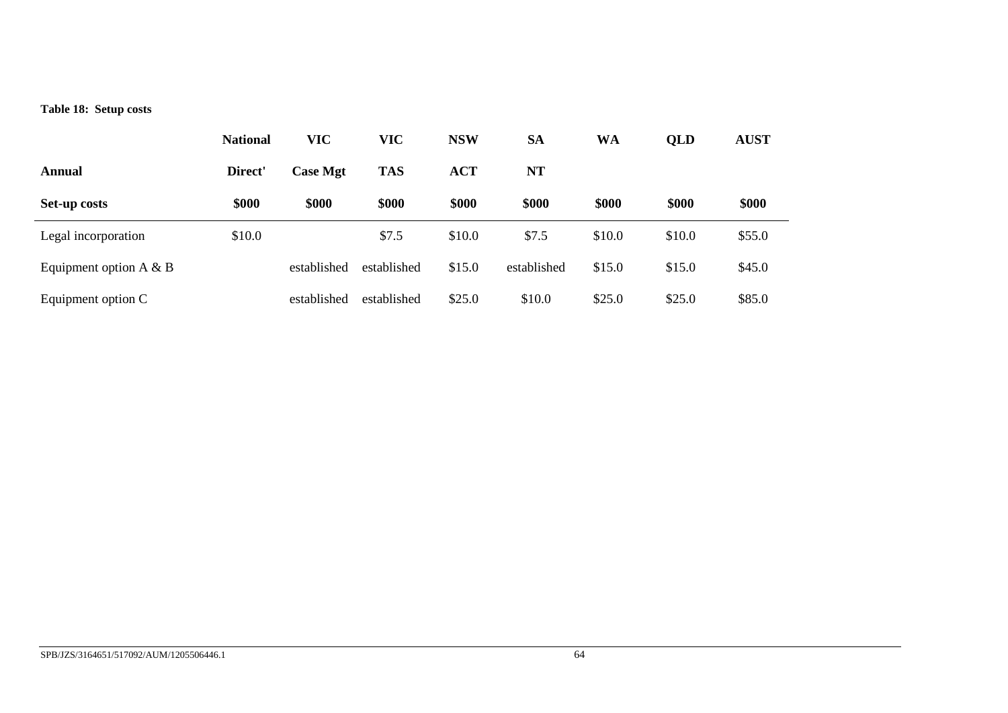### **Table 18: Setup costs**

|                           | <b>National</b> | <b>VIC</b>      | <b>VIC</b>  | <b>NSW</b> | <b>SA</b>   | WA     | QLD    | <b>AUST</b> |
|---------------------------|-----------------|-----------------|-------------|------------|-------------|--------|--------|-------------|
| Annual                    | Direct'         | <b>Case Mgt</b> | <b>TAS</b>  | <b>ACT</b> | <b>NT</b>   |        |        |             |
| Set-up costs              | \$000           | \$000           | \$000       | \$000      | \$000       | \$000  | \$000  | \$000       |
| Legal incorporation       | \$10.0          |                 | \$7.5       | \$10.0     | \$7.5       | \$10.0 | \$10.0 | \$55.0      |
| Equipment option $A \& B$ |                 | established     | established | \$15.0     | established | \$15.0 | \$15.0 | \$45.0      |
| Equipment option C        |                 | established     | established | \$25.0     | \$10.0      | \$25.0 | \$25.0 | \$85.0      |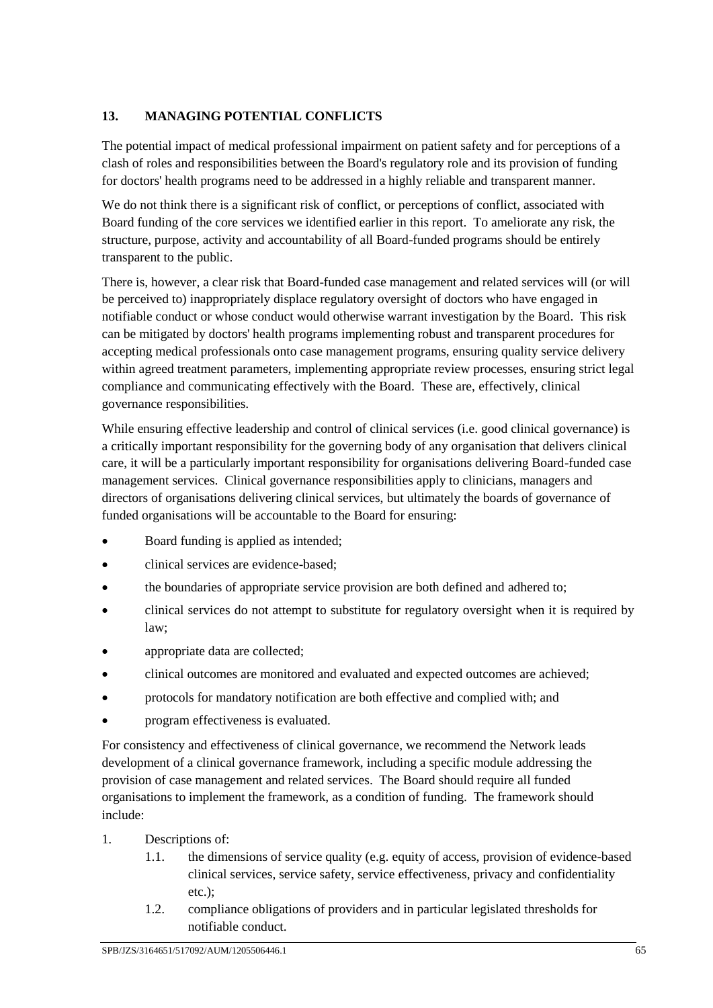## **13. MANAGING POTENTIAL CONFLICTS**

The potential impact of medical professional impairment on patient safety and for perceptions of a clash of roles and responsibilities between the Board's regulatory role and its provision of funding for doctors' health programs need to be addressed in a highly reliable and transparent manner.

We do not think there is a significant risk of conflict, or perceptions of conflict, associated with Board funding of the core services we identified earlier in this report. To ameliorate any risk, the structure, purpose, activity and accountability of all Board-funded programs should be entirely transparent to the public.

There is, however, a clear risk that Board-funded case management and related services will (or will be perceived to) inappropriately displace regulatory oversight of doctors who have engaged in notifiable conduct or whose conduct would otherwise warrant investigation by the Board. This risk can be mitigated by doctors' health programs implementing robust and transparent procedures for accepting medical professionals onto case management programs, ensuring quality service delivery within agreed treatment parameters, implementing appropriate review processes, ensuring strict legal compliance and communicating effectively with the Board. These are, effectively, clinical governance responsibilities.

While ensuring effective leadership and control of clinical services (i.e. good clinical governance) is a critically important responsibility for the governing body of any organisation that delivers clinical care, it will be a particularly important responsibility for organisations delivering Board-funded case management services. Clinical governance responsibilities apply to clinicians, managers and directors of organisations delivering clinical services, but ultimately the boards of governance of funded organisations will be accountable to the Board for ensuring:

- Board funding is applied as intended;
- clinical services are evidence-based;
- the boundaries of appropriate service provision are both defined and adhered to;
- clinical services do not attempt to substitute for regulatory oversight when it is required by law;
- appropriate data are collected;
- clinical outcomes are monitored and evaluated and expected outcomes are achieved;
- protocols for mandatory notification are both effective and complied with; and
- program effectiveness is evaluated.

For consistency and effectiveness of clinical governance, we recommend the Network leads development of a clinical governance framework, including a specific module addressing the provision of case management and related services. The Board should require all funded organisations to implement the framework, as a condition of funding. The framework should include:

- 1. Descriptions of:
	- 1.1. the dimensions of service quality (e.g. equity of access, provision of evidence-based clinical services, service safety, service effectiveness, privacy and confidentiality etc.);
	- 1.2. compliance obligations of providers and in particular legislated thresholds for notifiable conduct.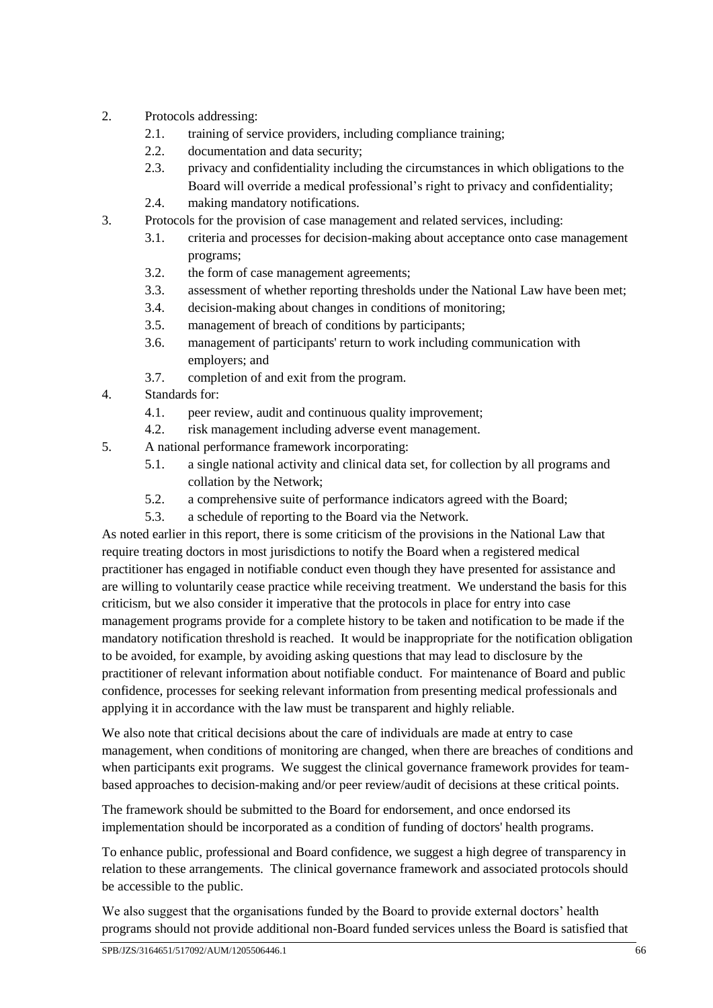- 2. Protocols addressing:
	- 2.1. training of service providers, including compliance training;
	- 2.2. documentation and data security;
	- 2.3. privacy and confidentiality including the circumstances in which obligations to the Board will override a medical professional's right to privacy and confidentiality;
	- 2.4. making mandatory notifications.
- 3. Protocols for the provision of case management and related services, including:
	- 3.1. criteria and processes for decision-making about acceptance onto case management programs;
	- 3.2. the form of case management agreements;
	- 3.3. assessment of whether reporting thresholds under the National Law have been met;
	- 3.4. decision-making about changes in conditions of monitoring;
	- 3.5. management of breach of conditions by participants;
	- 3.6. management of participants' return to work including communication with employers; and
	- 3.7. completion of and exit from the program.
- 4. Standards for:
	- 4.1. peer review, audit and continuous quality improvement;
	- 4.2. risk management including adverse event management.
- 5. A national performance framework incorporating:
	- 5.1. a single national activity and clinical data set, for collection by all programs and collation by the Network;
	- 5.2. a comprehensive suite of performance indicators agreed with the Board;
	- 5.3. a schedule of reporting to the Board via the Network.

As noted earlier in this report, there is some criticism of the provisions in the National Law that require treating doctors in most jurisdictions to notify the Board when a registered medical practitioner has engaged in notifiable conduct even though they have presented for assistance and are willing to voluntarily cease practice while receiving treatment. We understand the basis for this criticism, but we also consider it imperative that the protocols in place for entry into case management programs provide for a complete history to be taken and notification to be made if the mandatory notification threshold is reached. It would be inappropriate for the notification obligation to be avoided, for example, by avoiding asking questions that may lead to disclosure by the practitioner of relevant information about notifiable conduct. For maintenance of Board and public confidence, processes for seeking relevant information from presenting medical professionals and applying it in accordance with the law must be transparent and highly reliable.

We also note that critical decisions about the care of individuals are made at entry to case management, when conditions of monitoring are changed, when there are breaches of conditions and when participants exit programs. We suggest the clinical governance framework provides for teambased approaches to decision-making and/or peer review/audit of decisions at these critical points.

The framework should be submitted to the Board for endorsement, and once endorsed its implementation should be incorporated as a condition of funding of doctors' health programs.

To enhance public, professional and Board confidence, we suggest a high degree of transparency in relation to these arrangements. The clinical governance framework and associated protocols should be accessible to the public.

We also suggest that the organisations funded by the Board to provide external doctors' health programs should not provide additional non-Board funded services unless the Board is satisfied that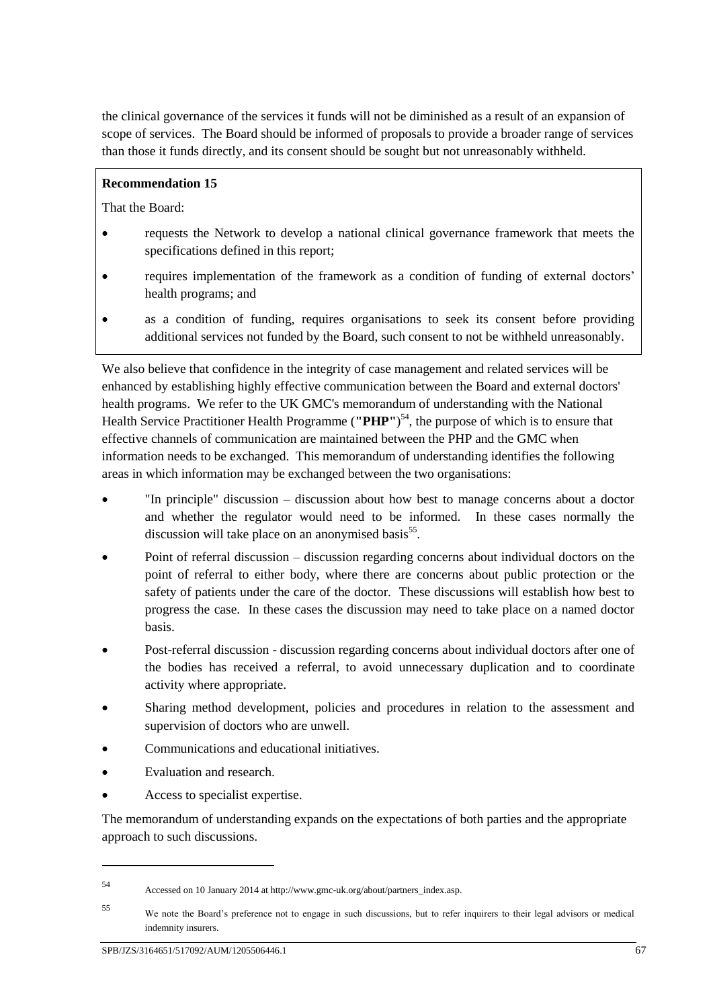the clinical governance of the services it funds will not be diminished as a result of an expansion of scope of services. The Board should be informed of proposals to provide a broader range of services than those it funds directly, and its consent should be sought but not unreasonably withheld.

#### **Recommendation 15**

That the Board:

- requests the Network to develop a national clinical governance framework that meets the specifications defined in this report;
- requires implementation of the framework as a condition of funding of external doctors' health programs; and
- as a condition of funding, requires organisations to seek its consent before providing additional services not funded by the Board, such consent to not be withheld unreasonably.

We also believe that confidence in the integrity of case management and related services will be enhanced by establishing highly effective communication between the Board and external doctors' health programs. We refer to the UK GMC's memorandum of understanding with the National Health Service Practitioner Health Programme (**"PHP"**) <sup>54</sup>, the purpose of which is to ensure that effective channels of communication are maintained between the PHP and the GMC when information needs to be exchanged. This memorandum of understanding identifies the following areas in which information may be exchanged between the two organisations:

- "In principle" discussion discussion about how best to manage concerns about a doctor and whether the regulator would need to be informed. In these cases normally the discussion will take place on an anonymised basis<sup>55</sup>.
- Point of referral discussion discussion regarding concerns about individual doctors on the point of referral to either body, where there are concerns about public protection or the safety of patients under the care of the doctor. These discussions will establish how best to progress the case. In these cases the discussion may need to take place on a named doctor basis.
- Post-referral discussion discussion regarding concerns about individual doctors after one of the bodies has received a referral, to avoid unnecessary duplication and to coordinate activity where appropriate.
- Sharing method development, policies and procedures in relation to the assessment and supervision of doctors who are unwell.
- Communications and educational initiatives.
- Evaluation and research.

1

Access to specialist expertise.

The memorandum of understanding expands on the expectations of both parties and the appropriate approach to such discussions.

<sup>54</sup> Accessed on 10 January 2014 at http://www.gmc-uk.org/about/partners\_index.asp.

<sup>55</sup> We note the Board's preference not to engage in such discussions, but to refer inquirers to their legal advisors or medical indemnity insurers.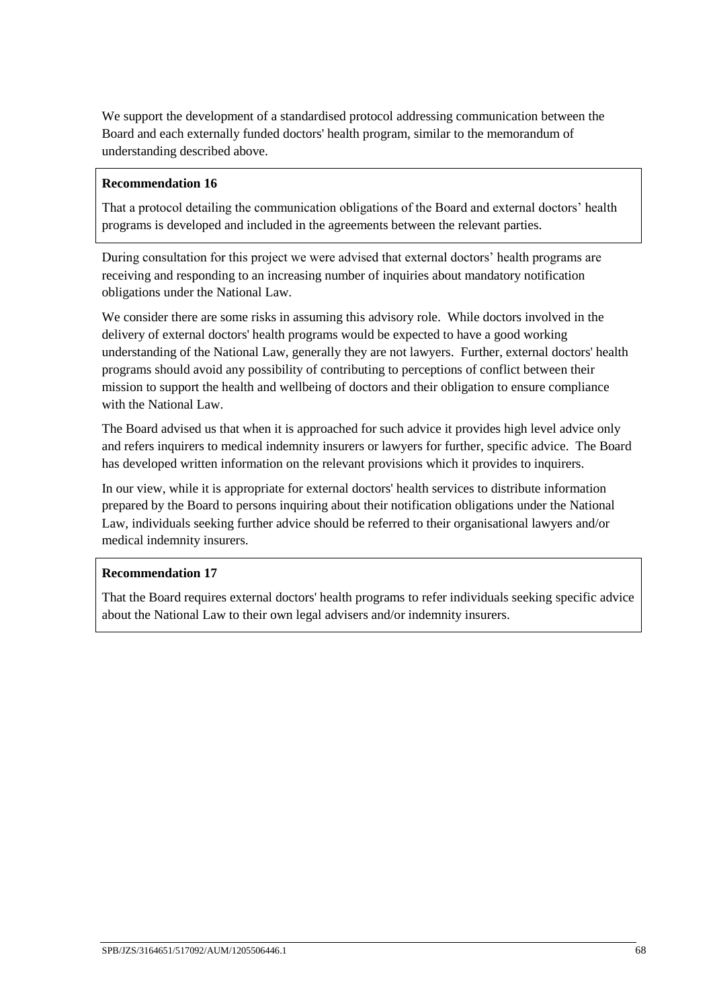We support the development of a standardised protocol addressing communication between the Board and each externally funded doctors' health program, similar to the memorandum of understanding described above.

#### **Recommendation 16**

That a protocol detailing the communication obligations of the Board and external doctors' health programs is developed and included in the agreements between the relevant parties.

During consultation for this project we were advised that external doctors' health programs are receiving and responding to an increasing number of inquiries about mandatory notification obligations under the National Law.

We consider there are some risks in assuming this advisory role. While doctors involved in the delivery of external doctors' health programs would be expected to have a good working understanding of the National Law, generally they are not lawyers. Further, external doctors' health programs should avoid any possibility of contributing to perceptions of conflict between their mission to support the health and wellbeing of doctors and their obligation to ensure compliance with the National Law.

The Board advised us that when it is approached for such advice it provides high level advice only and refers inquirers to medical indemnity insurers or lawyers for further, specific advice. The Board has developed written information on the relevant provisions which it provides to inquirers.

In our view, while it is appropriate for external doctors' health services to distribute information prepared by the Board to persons inquiring about their notification obligations under the National Law, individuals seeking further advice should be referred to their organisational lawyers and/or medical indemnity insurers.

#### **Recommendation 17**

That the Board requires external doctors' health programs to refer individuals seeking specific advice about the National Law to their own legal advisers and/or indemnity insurers.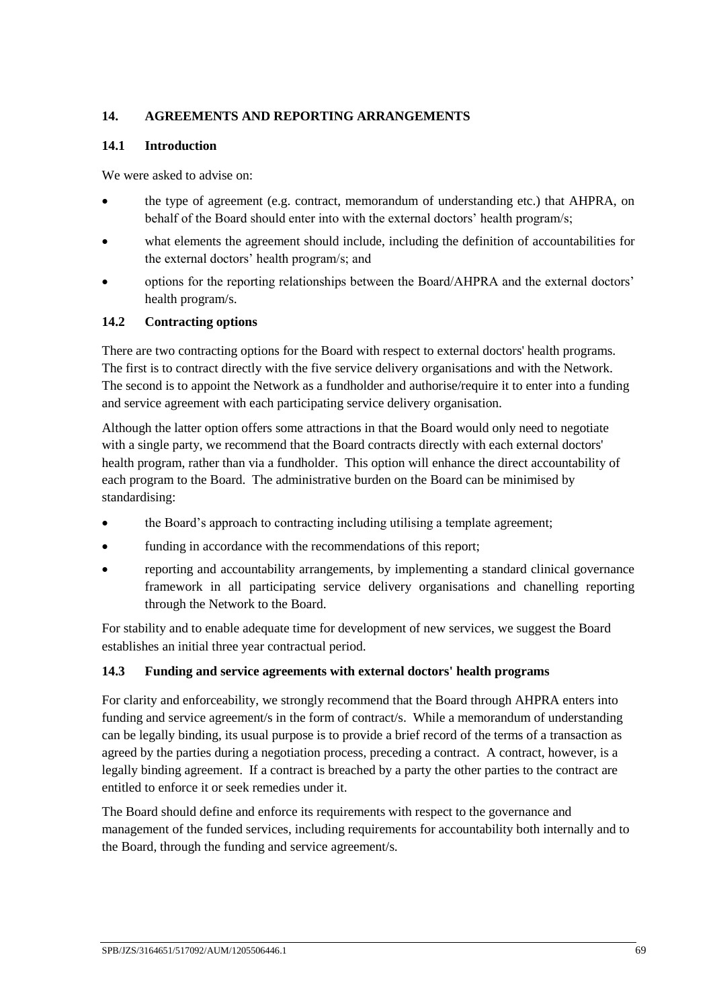### **14. AGREEMENTS AND REPORTING ARRANGEMENTS**

#### **14.1 Introduction**

We were asked to advise on:

- the type of agreement (e.g. contract, memorandum of understanding etc.) that AHPRA, on behalf of the Board should enter into with the external doctors' health program/s;
- what elements the agreement should include, including the definition of accountabilities for the external doctors' health program/s; and
- options for the reporting relationships between the Board/AHPRA and the external doctors' health program/s.

#### **14.2 Contracting options**

There are two contracting options for the Board with respect to external doctors' health programs. The first is to contract directly with the five service delivery organisations and with the Network. The second is to appoint the Network as a fundholder and authorise/require it to enter into a funding and service agreement with each participating service delivery organisation.

Although the latter option offers some attractions in that the Board would only need to negotiate with a single party, we recommend that the Board contracts directly with each external doctors' health program, rather than via a fundholder. This option will enhance the direct accountability of each program to the Board. The administrative burden on the Board can be minimised by standardising:

- the Board's approach to contracting including utilising a template agreement;
- funding in accordance with the recommendations of this report;
- reporting and accountability arrangements, by implementing a standard clinical governance framework in all participating service delivery organisations and chanelling reporting through the Network to the Board.

For stability and to enable adequate time for development of new services, we suggest the Board establishes an initial three year contractual period.

#### **14.3 Funding and service agreements with external doctors' health programs**

For clarity and enforceability, we strongly recommend that the Board through AHPRA enters into funding and service agreement/s in the form of contract/s. While a memorandum of understanding can be legally binding, its usual purpose is to provide a brief record of the terms of a transaction as agreed by the parties during a negotiation process, preceding a contract. A contract, however, is a legally binding agreement. If a contract is breached by a party the other parties to the contract are entitled to enforce it or seek remedies under it.

The Board should define and enforce its requirements with respect to the governance and management of the funded services, including requirements for accountability both internally and to the Board, through the funding and service agreement/s.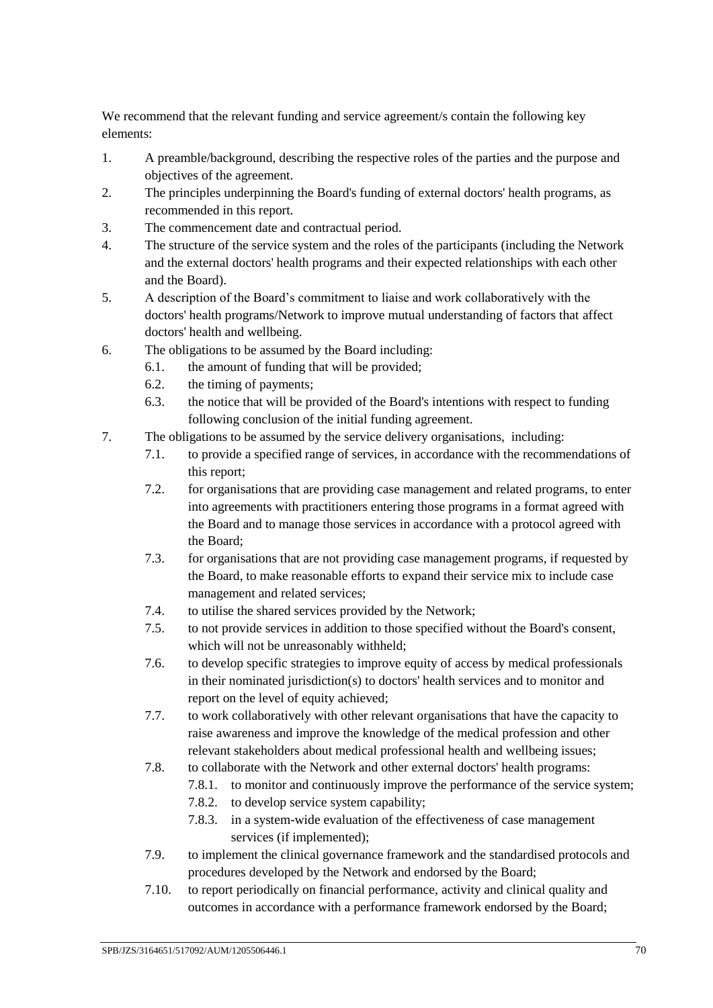We recommend that the relevant funding and service agreement/s contain the following key elements:

- 1. A preamble/background, describing the respective roles of the parties and the purpose and objectives of the agreement.
- 2. The principles underpinning the Board's funding of external doctors' health programs, as recommended in this report.
- 3. The commencement date and contractual period.
- 4. The structure of the service system and the roles of the participants (including the Network and the external doctors' health programs and their expected relationships with each other and the Board).
- 5. A description of the Board's commitment to liaise and work collaboratively with the doctors' health programs/Network to improve mutual understanding of factors that affect doctors' health and wellbeing.
- 6. The obligations to be assumed by the Board including:
	- 6.1. the amount of funding that will be provided;
	- 6.2. the timing of payments;
	- 6.3. the notice that will be provided of the Board's intentions with respect to funding following conclusion of the initial funding agreement.
- 7. The obligations to be assumed by the service delivery organisations, including:
	- 7.1. to provide a specified range of services, in accordance with the recommendations of this report;
	- 7.2. for organisations that are providing case management and related programs, to enter into agreements with practitioners entering those programs in a format agreed with the Board and to manage those services in accordance with a protocol agreed with the Board;
	- 7.3. for organisations that are not providing case management programs, if requested by the Board, to make reasonable efforts to expand their service mix to include case management and related services;
	- 7.4. to utilise the shared services provided by the Network;
	- 7.5. to not provide services in addition to those specified without the Board's consent, which will not be unreasonably withheld;
	- 7.6. to develop specific strategies to improve equity of access by medical professionals in their nominated jurisdiction(s) to doctors' health services and to monitor and report on the level of equity achieved;
	- 7.7. to work collaboratively with other relevant organisations that have the capacity to raise awareness and improve the knowledge of the medical profession and other relevant stakeholders about medical professional health and wellbeing issues;
	- 7.8. to collaborate with the Network and other external doctors' health programs:
		- 7.8.1. to monitor and continuously improve the performance of the service system;
		- 7.8.2. to develop service system capability;
		- 7.8.3. in a system-wide evaluation of the effectiveness of case management services (if implemented);
	- 7.9. to implement the clinical governance framework and the standardised protocols and procedures developed by the Network and endorsed by the Board;
	- 7.10. to report periodically on financial performance, activity and clinical quality and outcomes in accordance with a performance framework endorsed by the Board;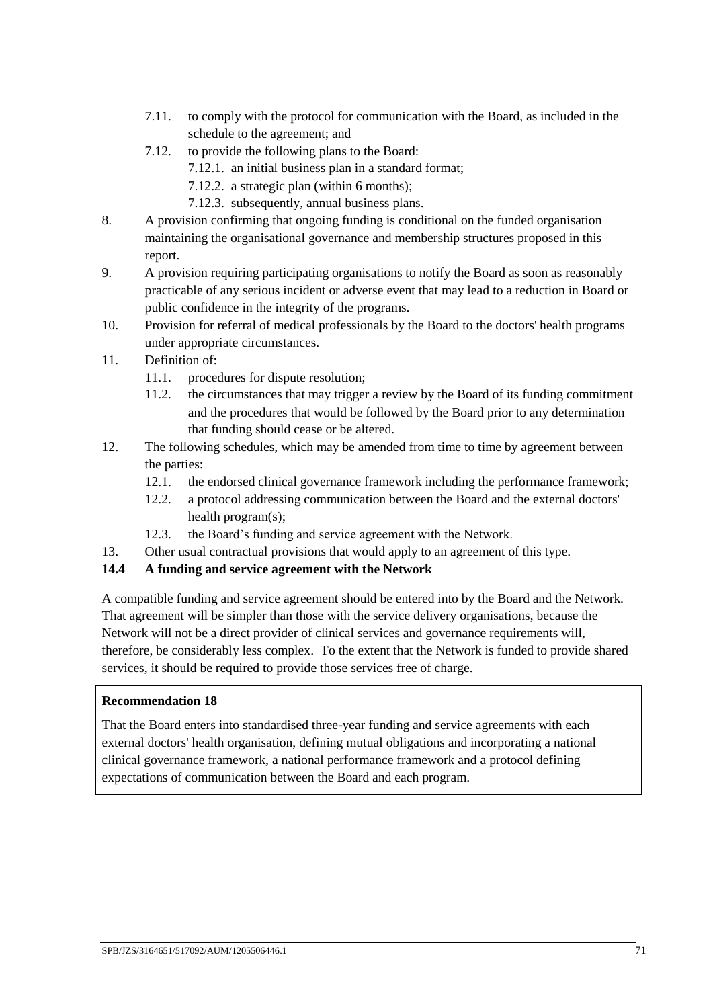- 7.11. to comply with the protocol for communication with the Board, as included in the schedule to the agreement; and
- 7.12. to provide the following plans to the Board:
	- 7.12.1. an initial business plan in a standard format;
	- 7.12.2. a strategic plan (within 6 months);
	- 7.12.3. subsequently, annual business plans.
- 8. A provision confirming that ongoing funding is conditional on the funded organisation maintaining the organisational governance and membership structures proposed in this report.
- 9. A provision requiring participating organisations to notify the Board as soon as reasonably practicable of any serious incident or adverse event that may lead to a reduction in Board or public confidence in the integrity of the programs.
- 10. Provision for referral of medical professionals by the Board to the doctors' health programs under appropriate circumstances.
- 11. Definition of:
	- 11.1. procedures for dispute resolution;
	- 11.2. the circumstances that may trigger a review by the Board of its funding commitment and the procedures that would be followed by the Board prior to any determination that funding should cease or be altered.
- 12. The following schedules, which may be amended from time to time by agreement between the parties:
	- 12.1. the endorsed clinical governance framework including the performance framework;
	- 12.2. a protocol addressing communication between the Board and the external doctors' health program(s);
	- 12.3. the Board's funding and service agreement with the Network.
- 13. Other usual contractual provisions that would apply to an agreement of this type.

#### **14.4 A funding and service agreement with the Network**

A compatible funding and service agreement should be entered into by the Board and the Network. That agreement will be simpler than those with the service delivery organisations, because the Network will not be a direct provider of clinical services and governance requirements will, therefore, be considerably less complex. To the extent that the Network is funded to provide shared services, it should be required to provide those services free of charge.

#### **Recommendation 18**

That the Board enters into standardised three-year funding and service agreements with each external doctors' health organisation, defining mutual obligations and incorporating a national clinical governance framework, a national performance framework and a protocol defining expectations of communication between the Board and each program.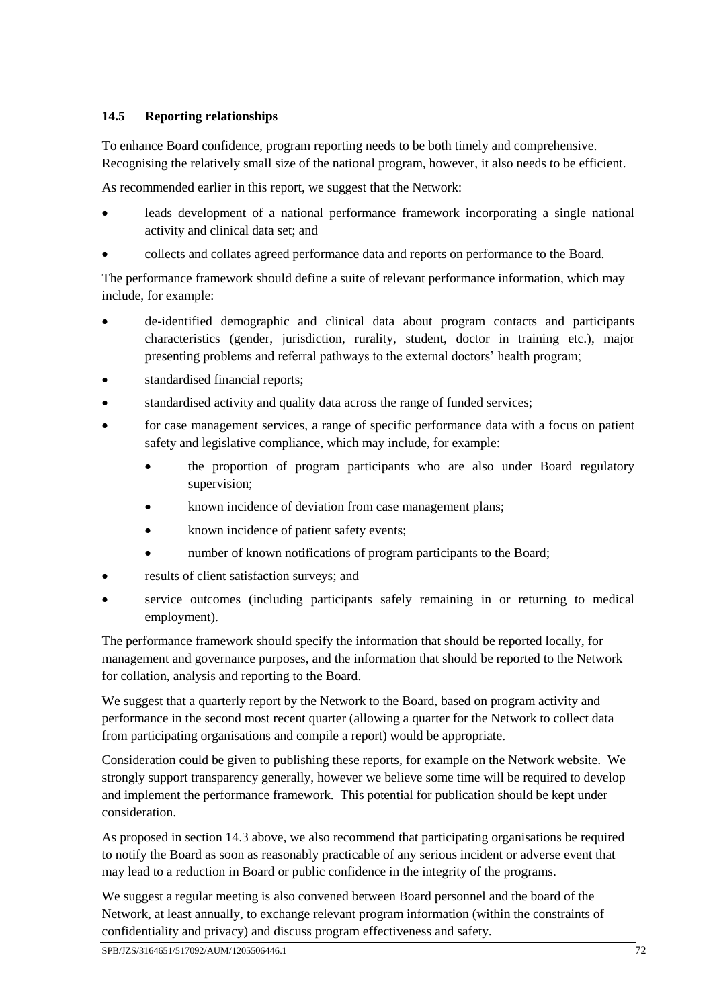# **14.5 Reporting relationships**

To enhance Board confidence, program reporting needs to be both timely and comprehensive. Recognising the relatively small size of the national program, however, it also needs to be efficient.

As recommended earlier in this report, we suggest that the Network:

- leads development of a national performance framework incorporating a single national activity and clinical data set; and
- collects and collates agreed performance data and reports on performance to the Board.

The performance framework should define a suite of relevant performance information, which may include, for example:

- de-identified demographic and clinical data about program contacts and participants characteristics (gender, jurisdiction, rurality, student, doctor in training etc.), major presenting problems and referral pathways to the external doctors' health program;
- standardised financial reports;
- standardised activity and quality data across the range of funded services;
- for case management services, a range of specific performance data with a focus on patient safety and legislative compliance, which may include, for example:
	- the proportion of program participants who are also under Board regulatory supervision;
	- known incidence of deviation from case management plans;
	- known incidence of patient safety events;
	- number of known notifications of program participants to the Board;
- results of client satisfaction surveys; and
- service outcomes (including participants safely remaining in or returning to medical employment).

The performance framework should specify the information that should be reported locally, for management and governance purposes, and the information that should be reported to the Network for collation, analysis and reporting to the Board.

We suggest that a quarterly report by the Network to the Board, based on program activity and performance in the second most recent quarter (allowing a quarter for the Network to collect data from participating organisations and compile a report) would be appropriate.

Consideration could be given to publishing these reports, for example on the Network website. We strongly support transparency generally, however we believe some time will be required to develop and implement the performance framework. This potential for publication should be kept under consideration.

As proposed in section [14.3](#page-70-0) above, we also recommend that participating organisations be required to notify the Board as soon as reasonably practicable of any serious incident or adverse event that may lead to a reduction in Board or public confidence in the integrity of the programs.

We suggest a regular meeting is also convened between Board personnel and the board of the Network, at least annually, to exchange relevant program information (within the constraints of confidentiality and privacy) and discuss program effectiveness and safety.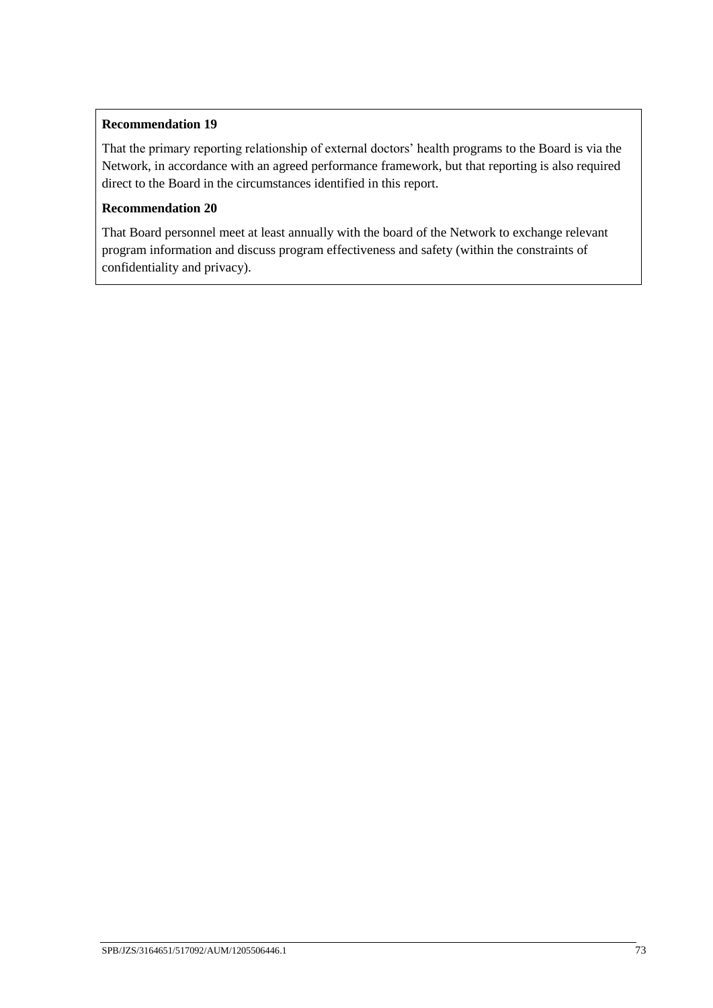#### **Recommendation 19**

That the primary reporting relationship of external doctors' health programs to the Board is via the Network, in accordance with an agreed performance framework, but that reporting is also required direct to the Board in the circumstances identified in this report.

#### **Recommendation 20**

That Board personnel meet at least annually with the board of the Network to exchange relevant program information and discuss program effectiveness and safety (within the constraints of confidentiality and privacy).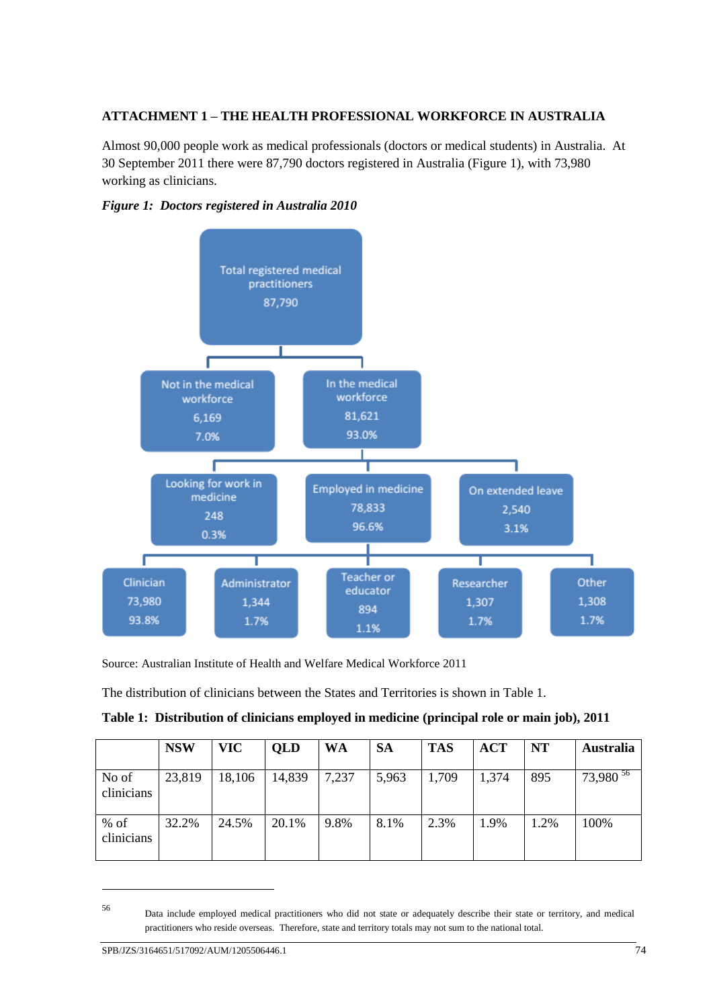### **ATTACHMENT 1 – THE HEALTH PROFESSIONAL WORKFORCE IN AUSTRALIA**

Almost 90,000 people work as medical professionals (doctors or medical students) in Australia. At 30 September 2011 there were 87,790 doctors registered in Australia (Figure 1), with 73,980 working as clinicians.





Source: Australian Institute of Health and Welfare Medical Workforce 2011

The distribution of clinicians between the States and Territories is shown in Table 1.

| Table 1: Distribution of clinicians employed in medicine (principal role or main job), 2011 |  |  |  |  |
|---------------------------------------------------------------------------------------------|--|--|--|--|
|                                                                                             |  |  |  |  |

|                      | <b>NSW</b> | <b>VIC</b> | <b>QLD</b> | WA    | <b>SA</b> | <b>TAS</b> | <b>ACT</b> | <b>NT</b> | <b>Australia</b> |
|----------------------|------------|------------|------------|-------|-----------|------------|------------|-----------|------------------|
| No of<br>clinicians  | 23,819     | 18,106     | 14,839     | 7,237 | 5,963     | 1,709      | 1,374      | 895       | $73,980^{36}$    |
| $%$ of<br>clinicians | 32.2%      | 24.5%      | 20.1%      | 9.8%  | 8.1%      | 2.3%       | 1.9%       | 1.2%      | 100%             |

<sup>56</sup> Data include employed medical practitioners who did not state or adequately describe their state or territory, and medical practitioners who reside overseas. Therefore, state and territory totals may not sum to the national total.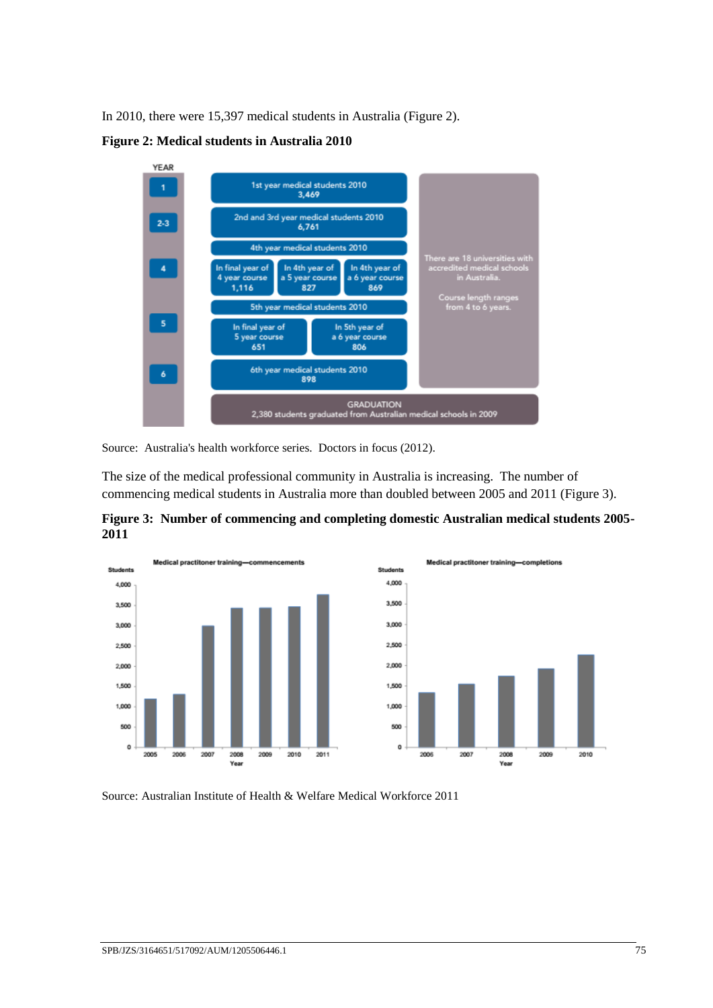In 2010, there were 15,397 medical students in Australia (Figure 2).

**Figure 2: Medical students in Australia 2010**



Source: Australia's health workforce series. Doctors in focus (2012).

The size of the medical professional community in Australia is increasing. The number of commencing medical students in Australia more than doubled between 2005 and 2011 (Figure 3).

**Figure 3: Number of commencing and completing domestic Australian medical students 2005- 2011**



Source: Australian Institute of Health & Welfare Medical Workforce 2011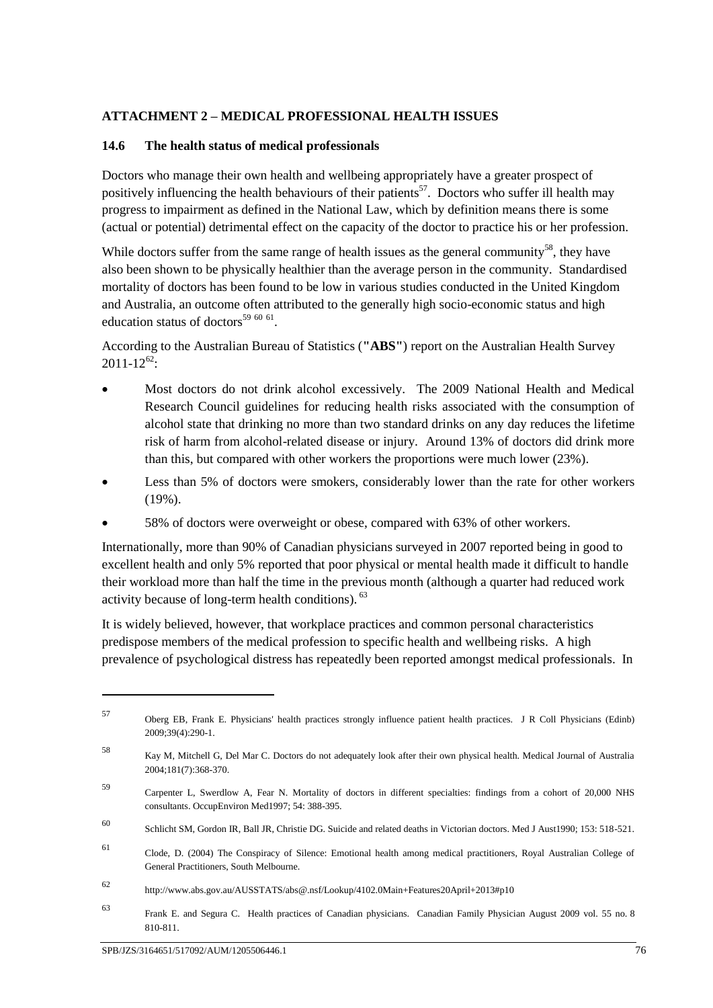#### **ATTACHMENT 2 – MEDICAL PROFESSIONAL HEALTH ISSUES**

#### **14.6 The health status of medical professionals**

Doctors who manage their own health and wellbeing appropriately have a greater prospect of positively influencing the health behaviours of their patients<sup>57</sup>. Doctors who suffer ill health may progress to impairment as defined in the National Law, which by definition means there is some (actual or potential) detrimental effect on the capacity of the doctor to practice his or her profession.

While doctors suffer from the same range of health issues as the general community<sup>58</sup>, they have also been shown to be physically healthier than the average person in the community. Standardised mortality of doctors has been found to be low in various studies conducted in the United Kingdom and Australia, an outcome often attributed to the generally high socio-economic status and high education status of doctors<sup>59 60 61</sup>.

According to the Australian Bureau of Statistics (**"ABS"**) report on the Australian Health Survey  $2011 - 12^{62}$ :

- Most doctors do not drink alcohol excessively. The 2009 National Health and Medical Research Council guidelines for reducing health risks associated with the consumption of alcohol state that drinking no more than two standard drinks on any day reduces the lifetime risk of harm from alcohol-related disease or injury. Around 13% of doctors did drink more than this, but compared with other workers the proportions were much lower (23%).
- Less than 5% of doctors were smokers, considerably lower than the rate for other workers (19%).
- 58% of doctors were overweight or obese, compared with 63% of other workers.

Internationally, more than 90% of Canadian physicians surveyed in 2007 reported being in good to excellent health and only 5% reported that poor physical or mental health made it difficult to handle their workload more than half the time in the previous month (although a quarter had reduced work activity because of long-term health conditions). <sup>63</sup>

It is widely believed, however, that workplace practices and common personal characteristics predispose members of the medical profession to specific health and wellbeing risks. A high prevalence of psychological distress has repeatedly been reported amongst medical professionals. In

<u>.</u>

<sup>57</sup> Oberg EB, Frank E. Physicians' health practices strongly influence patient health practices. J R Coll Physicians (Edinb) 2009;39(4):290-1.

<sup>58</sup> Kay M, Mitchell G, Del Mar C. Doctors do not adequately look after their own physical health. Medical Journal of Australia 2004;181(7):368-370.

<sup>59</sup> Carpenter L, Swerdlow A, Fear N. Mortality of doctors in different specialties: findings from a cohort of 20,000 NHS consultants. OccupEnviron Med1997; 54: 388-395.

<sup>60</sup> Schlicht SM, Gordon IR, Ball JR, Christie DG. Suicide and related deaths in Victorian doctors. Med J Aust1990; 153: 518-521.

<sup>61</sup> Clode, D. (2004) The Conspiracy of Silence: Emotional health among medical practitioners, Royal Australian College of General Practitioners, South Melbourne.

<sup>62</sup> http://www.abs.gov.au/AUSSTATS/abs@.nsf/Lookup/4102.0Main+Features20April+2013#p10

<sup>63</sup> Frank E. and Segura C. Health practices of Canadian physicians. Canadian Family Physician August 2009 vol. 55 no. <sup>8</sup> 810-811.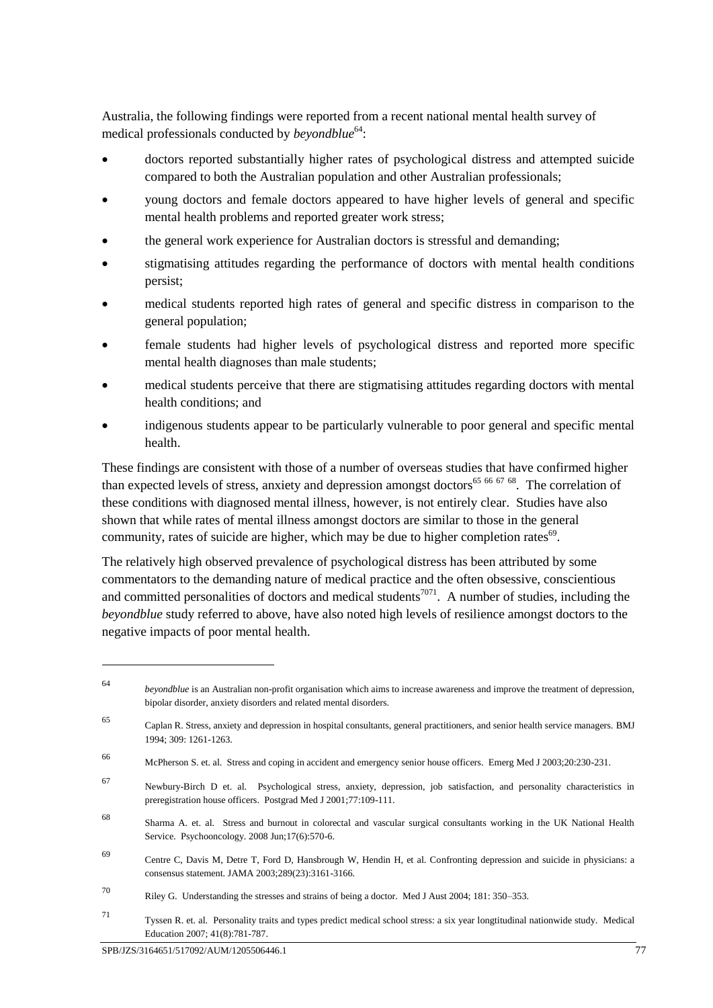Australia, the following findings were reported from a recent national mental health survey of medical professionals conducted by *beyondblue*<sup>64</sup>:

- doctors reported substantially higher rates of psychological distress and attempted suicide compared to both the Australian population and other Australian professionals;
- young doctors and female doctors appeared to have higher levels of general and specific mental health problems and reported greater work stress;
- the general work experience for Australian doctors is stressful and demanding;
- stigmatising attitudes regarding the performance of doctors with mental health conditions persist;
- medical students reported high rates of general and specific distress in comparison to the general population;
- female students had higher levels of psychological distress and reported more specific mental health diagnoses than male students;
- medical students perceive that there are stigmatising attitudes regarding doctors with mental health conditions; and
- indigenous students appear to be particularly vulnerable to poor general and specific mental health.

These findings are consistent with those of a number of overseas studies that have confirmed higher than expected levels of stress, anxiety and depression amongst doctors<sup>65 66 67 68</sup>. The correlation of these conditions with diagnosed mental illness, however, is not entirely clear. Studies have also shown that while rates of mental illness amongst doctors are similar to those in the general community, rates of suicide are higher, which may be due to higher completion rates<sup>69</sup>.

The relatively high observed prevalence of psychological distress has been attributed by some commentators to the demanding nature of medical practice and the often obsessive, conscientious and committed personalities of doctors and medical students<sup>7071</sup>. A number of studies, including the *beyondblue* study referred to above, have also noted high levels of resilience amongst doctors to the negative impacts of poor mental health.

<u>.</u>

<sup>64</sup> *beyondblue* is an Australian non-profit organisation which aims to increase awareness and improve the treatment of depression, bipolar disorder, anxiety disorders and related mental disorders.

<sup>65</sup> Caplan R. Stress, anxiety and depression in hospital consultants, general practitioners, and senior health service managers. BMJ 1994; 309: 1261-1263.

<sup>66</sup> McPherson S. et. al. Stress and coping in accident and emergency senior house officers. Emerg Med J 2003;20:230-231.

<sup>67</sup> Newbury-Birch D et. al. Psychological stress, anxiety, depression, job satisfaction, and personality characteristics in preregistration house officers. Postgrad Med J 2001;77:109-111.

<sup>68</sup> Sharma A. et. al. Stress and burnout in colorectal and vascular surgical consultants working in the UK National Health Service. Psychooncology. 2008 Jun;17(6):570-6.

<sup>69</sup> Centre C, Davis M, Detre T, Ford D, Hansbrough W, Hendin H, et al. Confronting depression and suicide in physicians: a consensus statement. JAMA 2003;289(23):3161-3166.

<sup>70</sup> Riley G. Understanding the stresses and strains of being a doctor. Med J Aust 2004; 181: 350–353.

<sup>71</sup> Tyssen R. et. al. Personality traits and types predict medical school stress: a six year longtitudinal nationwide study. Medical Education 2007; 41(8):781-787.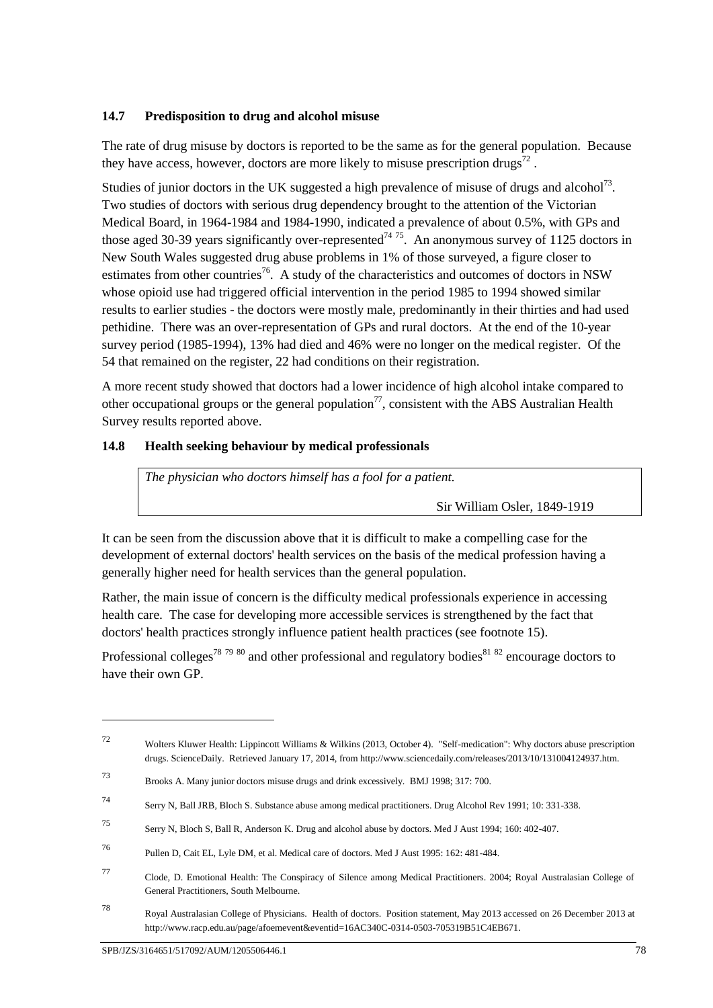#### **14.7 Predisposition to drug and alcohol misuse**

The rate of drug misuse by doctors is reported to be the same as for the general population. Because they have access, however, doctors are more likely to misuse prescription drugs<sup>72</sup>.

Studies of junior doctors in the UK suggested a high prevalence of misuse of drugs and alcohol<sup>73</sup>. Two studies of doctors with serious drug dependency brought to the attention of the Victorian Medical Board, in 1964-1984 and 1984-1990, indicated a prevalence of about 0.5%, with GPs and those aged 30-39 years significantly over-represented<sup> $74\frac{75}{5}$ </sup>. An anonymous survey of 1125 doctors in New South Wales suggested drug abuse problems in 1% of those surveyed, a figure closer to estimates from other countries<sup>76</sup>. A study of the characteristics and outcomes of doctors in NSW whose opioid use had triggered official intervention in the period 1985 to 1994 showed similar results to earlier studies - the doctors were mostly male, predominantly in their thirties and had used pethidine. There was an over-representation of GPs and rural doctors. At the end of the 10-year survey period (1985-1994), 13% had died and 46% were no longer on the medical register. Of the 54 that remained on the register, 22 had conditions on their registration.

A more recent study showed that doctors had a lower incidence of high alcohol intake compared to other occupational groups or the general population<sup>77</sup>, consistent with the ABS Australian Health Survey results reported above.

#### **14.8 Health seeking behaviour by medical professionals**

*The physician who doctors himself has a fool for a patient.* 

Sir William Osler, 1849-1919

It can be seen from the discussion above that it is difficult to make a compelling case for the development of external doctors' health services on the basis of the medical profession having a generally higher need for health services than the general population.

Rather, the main issue of concern is the difficulty medical professionals experience in accessing health care. The case for developing more accessible services is strengthened by the fact that doctors' health practices strongly influence patient health practices (see footnote 15).

Professional colleges<sup>78 79 80</sup> and other professional and regulatory bodies<sup>81 82</sup> encourage doctors to have their own GP.

<sup>72</sup> Wolters Kluwer Health: Lippincott Williams & Wilkins (2013, October 4). "Self-medication": Why doctors abuse prescription drugs. ScienceDaily. Retrieved January 17, 2014, from http://www.sciencedaily.com/releases/2013/10/131004124937.htm.

<sup>73</sup> Brooks A. Many junior doctors misuse drugs and drink excessively. BMJ 1998; 317: 700.

<sup>74</sup> Serry N, Ball JRB, Bloch S. Substance abuse among medical practitioners. Drug Alcohol Rev 1991; 10: 331-338.

<sup>75</sup> Serry N, Bloch S, Ball R, Anderson K. Drug and alcohol abuse by doctors. Med J Aust 1994; 160: 402-407.

<sup>76</sup> Pullen D, Cait EL, Lyle DM, et al. Medical care of doctors. Med J Aust 1995: 162: 481-484.

<sup>77</sup> Clode, D. Emotional Health: The Conspiracy of Silence among Medical Practitioners. 2004; Royal Australasian College of General Practitioners, South Melbourne.

<sup>78</sup> Royal Australasian College of Physicians. Health of doctors. Position statement, May 2013 accessed on 26 December 2013 at http://www.racp.edu.au/page/afoemevent&eventid=16AC340C-0314-0503-705319B51C4EB671.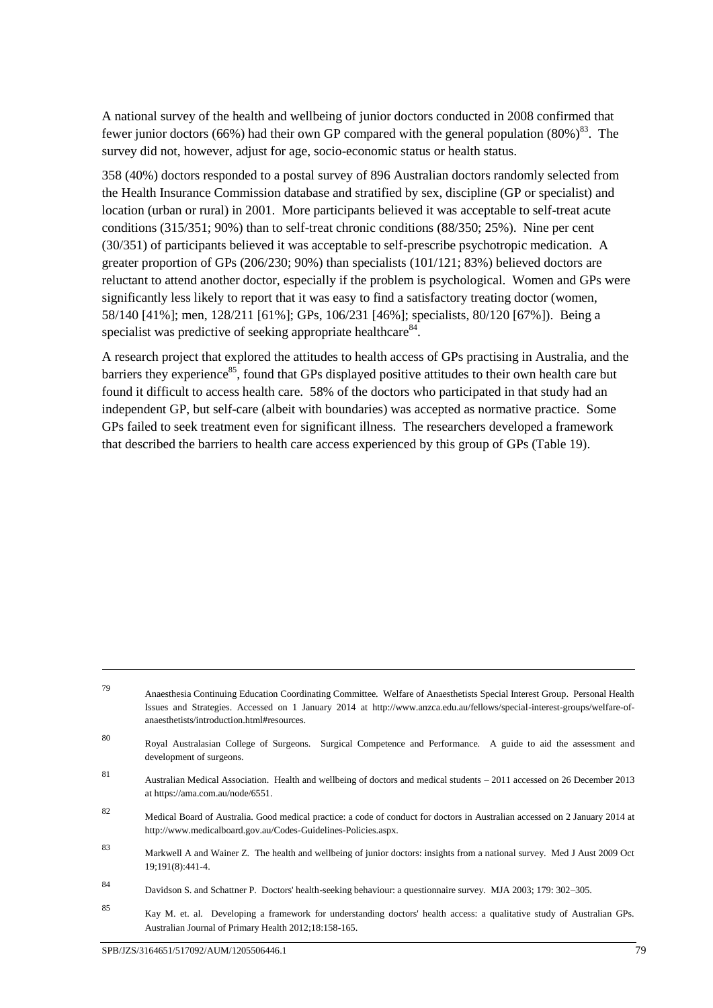A national survey of the health and wellbeing of junior doctors conducted in 2008 confirmed that fewer junior doctors (66%) had their own GP compared with the general population (80%)<sup>83</sup>. The survey did not, however, adjust for age, socio-economic status or health status.

358 (40%) doctors responded to a postal survey of 896 Australian doctors randomly selected from the Health Insurance Commission database and stratified by sex, discipline (GP or specialist) and location (urban or rural) in 2001. More participants believed it was acceptable to self-treat acute conditions (315/351; 90%) than to self-treat chronic conditions (88/350; 25%). Nine per cent (30/351) of participants believed it was acceptable to self-prescribe psychotropic medication. A greater proportion of GPs (206/230; 90%) than specialists (101/121; 83%) believed doctors are reluctant to attend another doctor, especially if the problem is psychological. Women and GPs were significantly less likely to report that it was easy to find a satisfactory treating doctor (women, 58/140 [41%]; men, 128/211 [61%]; GPs, 106/231 [46%]; specialists, 80/120 [67%]). Being a specialist was predictive of seeking appropriate healthcare<sup>84</sup>.

A research project that explored the attitudes to health access of GPs practising in Australia, and the barriers they experience<sup>85</sup>, found that GPs displayed positive attitudes to their own health care but found it difficult to access health care. 58% of the doctors who participated in that study had an independent GP, but self-care (albeit with boundaries) was accepted as normative practice. Some GPs failed to seek treatment even for significant illness. The researchers developed a framework that described the barriers to health care access experienced by this group of GPs (Table 19).

<sup>79</sup> Anaesthesia Continuing Education Coordinating Committee. Welfare of Anaesthetists Special Interest Group. Personal Health Issues and Strategies. Accessed on 1 January 2014 at http://www.anzca.edu.au/fellows/special-interest-groups/welfare-ofanaesthetists/introduction.html#resources.

<sup>80</sup> Royal Australasian College of Surgeons. Surgical Competence and Performance. A guide to aid the assessment and development of surgeons.

<sup>81</sup> Australian Medical Association. Health and wellbeing of doctors and medical students – 2011 accessed on 26 December 2013 at https://ama.com.au/node/6551.

<sup>82</sup> Medical Board of Australia. Good medical practice: a code of conduct for doctors in Australian accessed on 2 January 2014 at http://www.medicalboard.gov.au/Codes-Guidelines-Policies.aspx.

<sup>83</sup> Markwell A and Wainer Z. The health and wellbeing of junior doctors: insights from a national survey. Med J Aust 2009 Oct 19;191(8):441-4.

<sup>84</sup> Davidson S. and Schattner P. Doctors' health-seeking behaviour: a questionnaire survey. MJA 2003; 179: 302–305.

<sup>85</sup> Kay M. et. al. Developing a framework for understanding doctors' health access: a qualitative study of Australian GPs. Australian Journal of Primary Health 2012;18:158-165.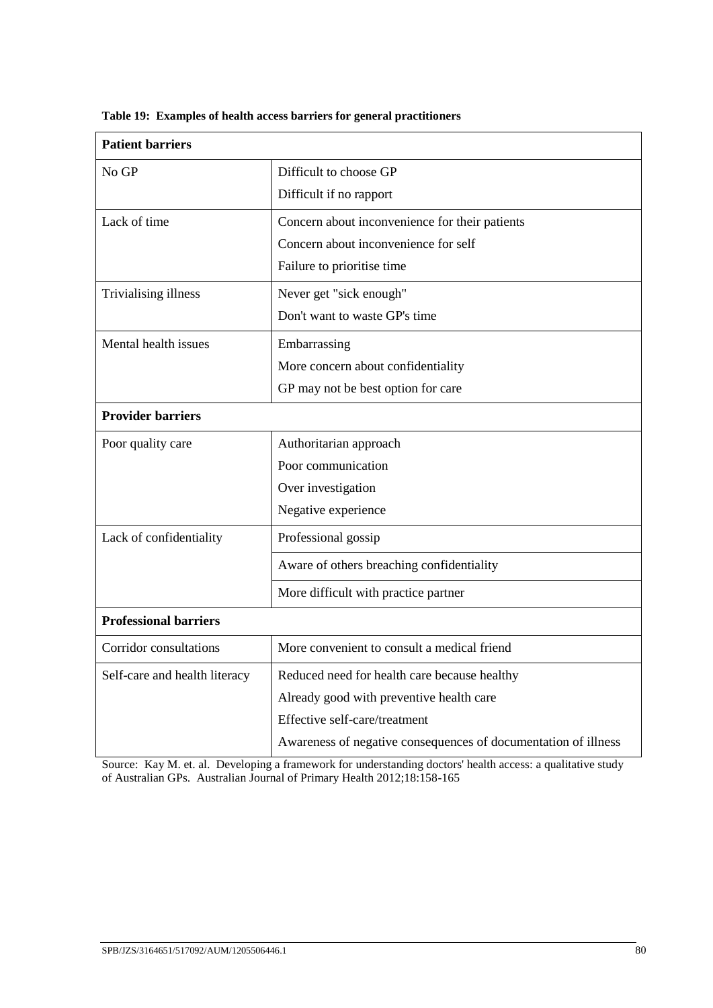| <b>Patient barriers</b>       |                                                                |
|-------------------------------|----------------------------------------------------------------|
| No GP                         | Difficult to choose GP                                         |
|                               | Difficult if no rapport                                        |
| Lack of time                  | Concern about inconvenience for their patients                 |
|                               | Concern about inconvenience for self                           |
|                               | Failure to prioritise time                                     |
| Trivialising illness          | Never get "sick enough"                                        |
|                               | Don't want to waste GP's time                                  |
| Mental health issues          | Embarrassing                                                   |
|                               | More concern about confidentiality                             |
|                               | GP may not be best option for care                             |
| <b>Provider barriers</b>      |                                                                |
| Poor quality care             | Authoritarian approach                                         |
|                               | Poor communication                                             |
|                               | Over investigation                                             |
|                               | Negative experience                                            |
| Lack of confidentiality       | Professional gossip                                            |
|                               | Aware of others breaching confidentiality                      |
|                               | More difficult with practice partner                           |
| <b>Professional barriers</b>  |                                                                |
| Corridor consultations        | More convenient to consult a medical friend                    |
| Self-care and health literacy | Reduced need for health care because healthy                   |
|                               | Already good with preventive health care                       |
|                               | Effective self-care/treatment                                  |
|                               | Awareness of negative consequences of documentation of illness |

**Table 19: Examples of health access barriers for general practitioners**

Source: Kay M. et. al. Developing a framework for understanding doctors' health access: a qualitative study of Australian GPs. Australian Journal of Primary Health 2012;18:158-165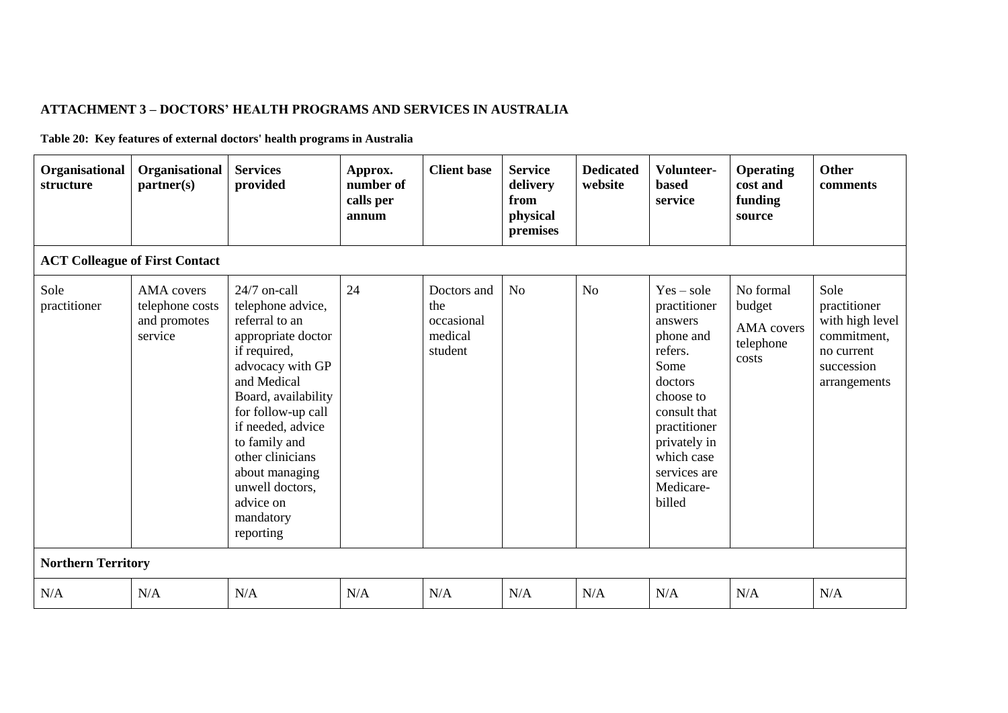# **ATTACHMENT 3 – DOCTORS' HEALTH PROGRAMS AND SERVICES IN AUSTRALIA**

**Table 20: Key features of external doctors' health programs in Australia**

| Organisational<br>structure | Organisational<br>partner(s)                                    | <b>Services</b><br>provided                                                                                                                                                                                                                                                                                     | Approx.<br>number of<br>calls per<br>annum | <b>Client base</b>                                     | <b>Service</b><br>delivery<br>from<br>physical<br>premises | <b>Dedicated</b><br>website | Volunteer-<br><b>based</b><br>service                                                                                                                                                                | <b>Operating</b><br>cost and<br>funding<br>source              | <b>Other</b><br>comments                                                                           |
|-----------------------------|-----------------------------------------------------------------|-----------------------------------------------------------------------------------------------------------------------------------------------------------------------------------------------------------------------------------------------------------------------------------------------------------------|--------------------------------------------|--------------------------------------------------------|------------------------------------------------------------|-----------------------------|------------------------------------------------------------------------------------------------------------------------------------------------------------------------------------------------------|----------------------------------------------------------------|----------------------------------------------------------------------------------------------------|
|                             | <b>ACT Colleague of First Contact</b>                           |                                                                                                                                                                                                                                                                                                                 |                                            |                                                        |                                                            |                             |                                                                                                                                                                                                      |                                                                |                                                                                                    |
| Sole<br>practitioner        | <b>AMA</b> covers<br>telephone costs<br>and promotes<br>service | 24/7 on-call<br>telephone advice,<br>referral to an<br>appropriate doctor<br>if required,<br>advocacy with GP<br>and Medical<br>Board, availability<br>for follow-up call<br>if needed, advice<br>to family and<br>other clinicians<br>about managing<br>unwell doctors,<br>advice on<br>mandatory<br>reporting | 24                                         | Doctors and<br>the<br>occasional<br>medical<br>student | N <sub>o</sub>                                             | N <sub>o</sub>              | $Yes - sole$<br>practitioner<br>answers<br>phone and<br>refers.<br>Some<br>doctors<br>choose to<br>consult that<br>practitioner<br>privately in<br>which case<br>services are<br>Medicare-<br>billed | No formal<br>budget<br><b>AMA</b> covers<br>telephone<br>costs | Sole<br>practitioner<br>with high level<br>commitment,<br>no current<br>succession<br>arrangements |
| <b>Northern Territory</b>   |                                                                 |                                                                                                                                                                                                                                                                                                                 |                                            |                                                        |                                                            |                             |                                                                                                                                                                                                      |                                                                |                                                                                                    |
| N/A                         | N/A                                                             | N/A                                                                                                                                                                                                                                                                                                             | N/A                                        | N/A                                                    | N/A                                                        | N/A                         | N/A                                                                                                                                                                                                  | N/A                                                            | N/A                                                                                                |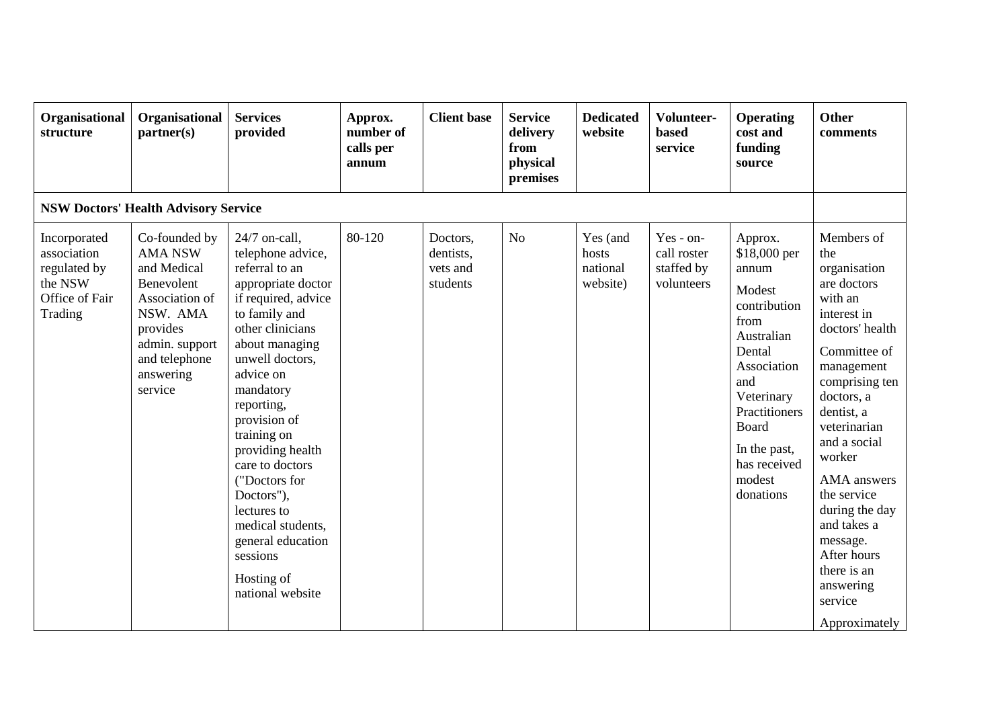| Organisational<br>structure                                                         | Organisational<br>partner(s)                                                                                                                                      | <b>Services</b><br>provided                                                                                                                                                                                                                                                                                                                                                                                                     | Approx.<br>number of<br>calls per<br>annum | <b>Client base</b>                            | <b>Service</b><br>delivery<br>from<br>physical<br>premises | <b>Dedicated</b><br>website               | Volunteer-<br><b>based</b><br>service                | <b>Operating</b><br>cost and<br>funding<br>source                                                                                                                                                               | <b>Other</b><br>comments                                                                                                                                                                                                                                                                                                                                              |  |  |
|-------------------------------------------------------------------------------------|-------------------------------------------------------------------------------------------------------------------------------------------------------------------|---------------------------------------------------------------------------------------------------------------------------------------------------------------------------------------------------------------------------------------------------------------------------------------------------------------------------------------------------------------------------------------------------------------------------------|--------------------------------------------|-----------------------------------------------|------------------------------------------------------------|-------------------------------------------|------------------------------------------------------|-----------------------------------------------------------------------------------------------------------------------------------------------------------------------------------------------------------------|-----------------------------------------------------------------------------------------------------------------------------------------------------------------------------------------------------------------------------------------------------------------------------------------------------------------------------------------------------------------------|--|--|
| <b>NSW Doctors' Health Advisory Service</b>                                         |                                                                                                                                                                   |                                                                                                                                                                                                                                                                                                                                                                                                                                 |                                            |                                               |                                                            |                                           |                                                      |                                                                                                                                                                                                                 |                                                                                                                                                                                                                                                                                                                                                                       |  |  |
| Incorporated<br>association<br>regulated by<br>the NSW<br>Office of Fair<br>Trading | Co-founded by<br><b>AMA NSW</b><br>and Medical<br>Benevolent<br>Association of<br>NSW. AMA<br>provides<br>admin. support<br>and telephone<br>answering<br>service | 24/7 on-call,<br>telephone advice,<br>referral to an<br>appropriate doctor<br>if required, advice<br>to family and<br>other clinicians<br>about managing<br>unwell doctors,<br>advice on<br>mandatory<br>reporting,<br>provision of<br>training on<br>providing health<br>care to doctors<br>("Doctors for<br>Doctors"),<br>lectures to<br>medical students,<br>general education<br>sessions<br>Hosting of<br>national website | 80-120                                     | Doctors,<br>dentists,<br>vets and<br>students | N <sub>o</sub>                                             | Yes (and<br>hosts<br>national<br>website) | Yes - on-<br>call roster<br>staffed by<br>volunteers | Approx.<br>\$18,000 per<br>annum<br>Modest<br>contribution<br>from<br>Australian<br>Dental<br>Association<br>and<br>Veterinary<br>Practitioners<br>Board<br>In the past,<br>has received<br>modest<br>donations | Members of<br>the<br>organisation<br>are doctors<br>with an<br>interest in<br>doctors' health<br>Committee of<br>management<br>comprising ten<br>doctors, a<br>dentist, a<br>veterinarian<br>and a social<br>worker<br>AMA answers<br>the service<br>during the day<br>and takes a<br>message.<br>After hours<br>there is an<br>answering<br>service<br>Approximately |  |  |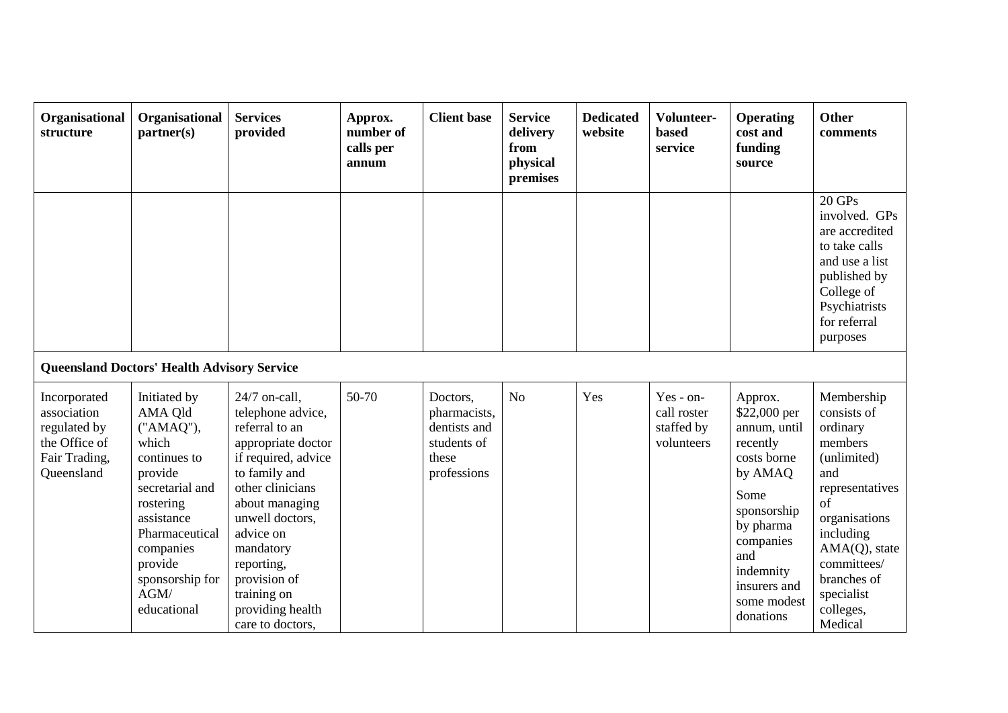| Organisational<br>structure                                                                 | Organisational<br>partner(s)                                                                                                                                                                               | <b>Services</b><br>provided                                                                                                                                                                                                                                                                | Approx.<br>number of<br>calls per<br>annum | <b>Client</b> base                                                              | <b>Service</b><br>delivery<br>from<br>physical<br>premises | <b>Dedicated</b><br>website | Volunteer-<br><b>based</b><br>service                | <b>Operating</b><br>cost and<br>funding<br>source                                                                                                                                              | <b>Other</b><br>comments                                                                                                                                                                                           |
|---------------------------------------------------------------------------------------------|------------------------------------------------------------------------------------------------------------------------------------------------------------------------------------------------------------|--------------------------------------------------------------------------------------------------------------------------------------------------------------------------------------------------------------------------------------------------------------------------------------------|--------------------------------------------|---------------------------------------------------------------------------------|------------------------------------------------------------|-----------------------------|------------------------------------------------------|------------------------------------------------------------------------------------------------------------------------------------------------------------------------------------------------|--------------------------------------------------------------------------------------------------------------------------------------------------------------------------------------------------------------------|
|                                                                                             |                                                                                                                                                                                                            |                                                                                                                                                                                                                                                                                            |                                            |                                                                                 |                                                            |                             |                                                      |                                                                                                                                                                                                | 20 GPs<br>involved. GPs<br>are accredited<br>to take calls<br>and use a list<br>published by<br>College of<br>Psychiatrists<br>for referral<br>purposes                                                            |
|                                                                                             | <b>Queensland Doctors' Health Advisory Service</b>                                                                                                                                                         |                                                                                                                                                                                                                                                                                            |                                            |                                                                                 |                                                            |                             |                                                      |                                                                                                                                                                                                |                                                                                                                                                                                                                    |
| Incorporated<br>association<br>regulated by<br>the Office of<br>Fair Trading,<br>Queensland | Initiated by<br>AMA Qld<br>("AMAQ"),<br>which<br>continues to<br>provide<br>secretarial and<br>rostering<br>assistance<br>Pharmaceutical<br>companies<br>provide<br>sponsorship for<br>AGM/<br>educational | 24/7 on-call,<br>telephone advice,<br>referral to an<br>appropriate doctor<br>if required, advice<br>to family and<br>other clinicians<br>about managing<br>unwell doctors,<br>advice on<br>mandatory<br>reporting,<br>provision of<br>training on<br>providing health<br>care to doctors, | 50-70                                      | Doctors,<br>pharmacists,<br>dentists and<br>students of<br>these<br>professions | N <sub>o</sub>                                             | Yes                         | Yes - on-<br>call roster<br>staffed by<br>volunteers | Approx.<br>\$22,000 per<br>annum, until<br>recently<br>costs borne<br>by AMAQ<br>Some<br>sponsorship<br>by pharma<br>companies<br>and<br>indemnity<br>insurers and<br>some modest<br>donations | Membership<br>consists of<br>ordinary<br>members<br>(unlimited)<br>and<br>representatives<br>of<br>organisations<br>including<br>AMA(Q), state<br>committees/<br>branches of<br>specialist<br>colleges,<br>Medical |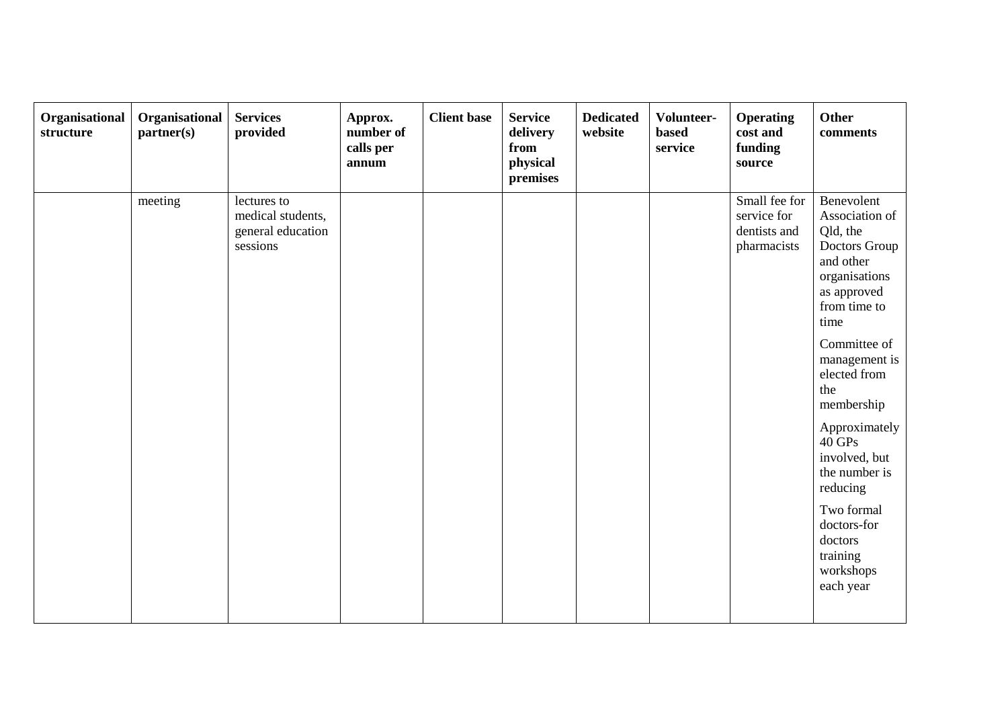| Organisational<br>Organisational<br>partner(s)<br>structure | <b>Services</b><br>provided                                       | Approx.<br>number of<br>calls per<br>annum | <b>Client</b> base | <b>Service</b><br>delivery<br>from<br>physical<br>premises | <b>Dedicated</b><br>website | Volunteer-<br><b>based</b><br>service | <b>Operating</b><br>cost and<br>funding<br>source           | Other<br>comments                                                                                                                                                                                                                                                                                                                                                       |
|-------------------------------------------------------------|-------------------------------------------------------------------|--------------------------------------------|--------------------|------------------------------------------------------------|-----------------------------|---------------------------------------|-------------------------------------------------------------|-------------------------------------------------------------------------------------------------------------------------------------------------------------------------------------------------------------------------------------------------------------------------------------------------------------------------------------------------------------------------|
| meeting                                                     | lectures to<br>medical students,<br>general education<br>sessions |                                            |                    |                                                            |                             |                                       | Small fee for<br>service for<br>dentists and<br>pharmacists | Benevolent<br>Association of<br>Qld, the<br>Doctors Group<br>and other<br>organisations<br>as approved<br>from time to<br>time<br>Committee of<br>management is<br>elected from<br>the<br>membership<br>Approximately<br>$40\,\mathrm{GPs}$<br>involved, but<br>the number is<br>reducing<br>Two formal<br>doctors-for<br>doctors<br>training<br>workshops<br>each year |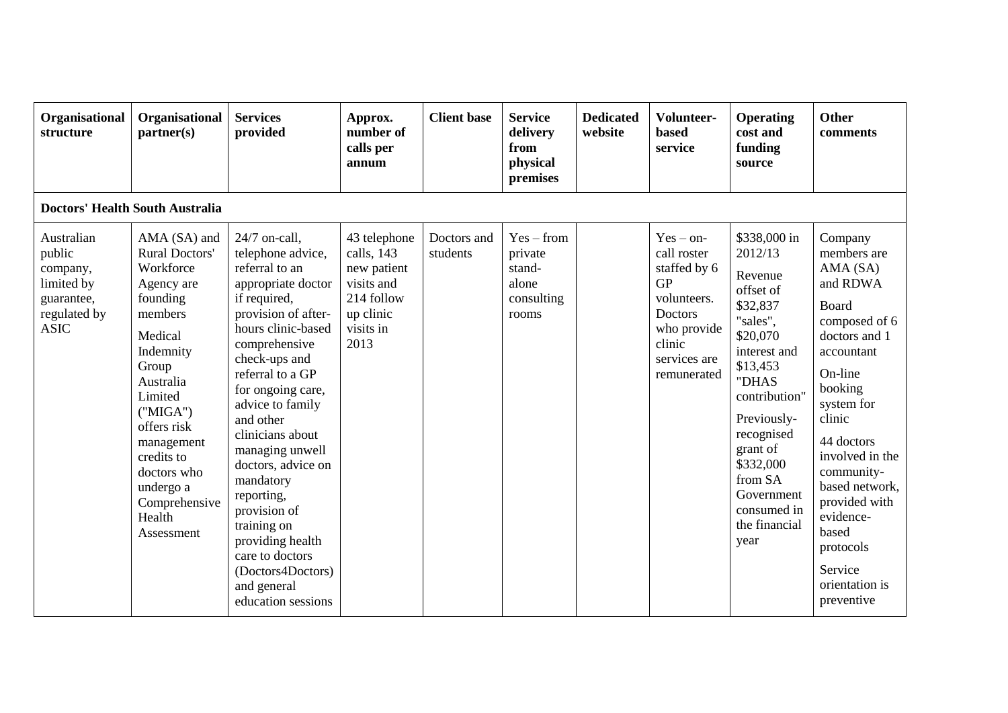| Organisational<br>structure                                                                 | Organisational<br>partner(s)                                                                                                                                                                                                                                          | <b>Services</b><br>provided                                                                                                                                                                                                                                                                                                                                                                                                                                                 | Approx.<br>number of<br>calls per<br>annum                                                              | <b>Client base</b>      | <b>Service</b><br>delivery<br>from<br>physical<br>premises        | <b>Dedicated</b><br>website | Volunteer-<br><b>based</b><br>service                                                                                                            | <b>Operating</b><br>cost and<br>funding<br>source                                                                                                                                                                                                                | <b>Other</b><br>comments                                                                                                                                                                                                                                                                                              |
|---------------------------------------------------------------------------------------------|-----------------------------------------------------------------------------------------------------------------------------------------------------------------------------------------------------------------------------------------------------------------------|-----------------------------------------------------------------------------------------------------------------------------------------------------------------------------------------------------------------------------------------------------------------------------------------------------------------------------------------------------------------------------------------------------------------------------------------------------------------------------|---------------------------------------------------------------------------------------------------------|-------------------------|-------------------------------------------------------------------|-----------------------------|--------------------------------------------------------------------------------------------------------------------------------------------------|------------------------------------------------------------------------------------------------------------------------------------------------------------------------------------------------------------------------------------------------------------------|-----------------------------------------------------------------------------------------------------------------------------------------------------------------------------------------------------------------------------------------------------------------------------------------------------------------------|
|                                                                                             | <b>Doctors' Health South Australia</b>                                                                                                                                                                                                                                |                                                                                                                                                                                                                                                                                                                                                                                                                                                                             |                                                                                                         |                         |                                                                   |                             |                                                                                                                                                  |                                                                                                                                                                                                                                                                  |                                                                                                                                                                                                                                                                                                                       |
| Australian<br>public<br>company,<br>limited by<br>guarantee,<br>regulated by<br><b>ASIC</b> | AMA (SA) and<br>Rural Doctors'<br>Workforce<br>Agency are<br>founding<br>members<br>Medical<br>Indemnity<br>Group<br>Australia<br>Limited<br>("MIGA")<br>offers risk<br>management<br>credits to<br>doctors who<br>undergo a<br>Comprehensive<br>Health<br>Assessment | 24/7 on-call,<br>telephone advice,<br>referral to an<br>appropriate doctor<br>if required,<br>provision of after-<br>hours clinic-based<br>comprehensive<br>check-ups and<br>referral to a GP<br>for ongoing care,<br>advice to family<br>and other<br>clinicians about<br>managing unwell<br>doctors, advice on<br>mandatory<br>reporting,<br>provision of<br>training on<br>providing health<br>care to doctors<br>(Doctors4Doctors)<br>and general<br>education sessions | 43 telephone<br>calls, 143<br>new patient<br>visits and<br>214 follow<br>up clinic<br>visits in<br>2013 | Doctors and<br>students | $Yes - from$<br>private<br>stand-<br>alone<br>consulting<br>rooms |                             | $Yes - on-$<br>call roster<br>staffed by 6<br><b>GP</b><br>volunteers.<br><b>Doctors</b><br>who provide<br>clinic<br>services are<br>remunerated | \$338,000 in<br>2012/13<br>Revenue<br>offset of<br>\$32,837<br>"sales",<br>\$20,070<br>interest and<br>\$13,453<br>"DHAS<br>contribution"<br>Previously-<br>recognised<br>grant of<br>\$332,000<br>from SA<br>Government<br>consumed in<br>the financial<br>year | Company<br>members are<br>AMA (SA)<br>and RDWA<br>Board<br>composed of 6<br>doctors and 1<br>accountant<br>On-line<br>booking<br>system for<br>clinic<br>44 doctors<br>involved in the<br>community-<br>based network,<br>provided with<br>evidence-<br>based<br>protocols<br>Service<br>orientation is<br>preventive |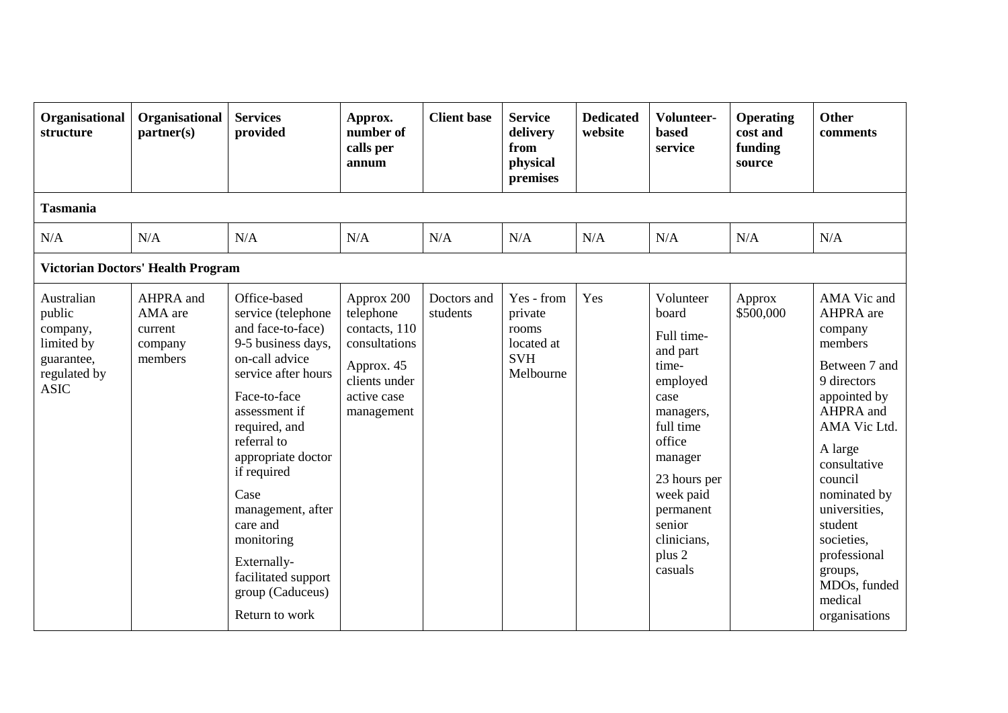| Organisational<br>structure                                                                 | Organisational<br>partner(s)                          | <b>Services</b><br>provided                                                                                                                                                                                                                                                                                                                                     | Approx.<br>number of<br>calls per<br>annum                                                                            | <b>Client base</b>      | <b>Service</b><br>delivery<br>from<br>physical<br>premises              | <b>Dedicated</b><br>website | Volunteer-<br><b>based</b><br>service                                                                                                                                                                            | <b>Operating</b><br>cost and<br>funding<br>source | <b>Other</b><br>comments                                                                                                                                                                                                                                                                           |
|---------------------------------------------------------------------------------------------|-------------------------------------------------------|-----------------------------------------------------------------------------------------------------------------------------------------------------------------------------------------------------------------------------------------------------------------------------------------------------------------------------------------------------------------|-----------------------------------------------------------------------------------------------------------------------|-------------------------|-------------------------------------------------------------------------|-----------------------------|------------------------------------------------------------------------------------------------------------------------------------------------------------------------------------------------------------------|---------------------------------------------------|----------------------------------------------------------------------------------------------------------------------------------------------------------------------------------------------------------------------------------------------------------------------------------------------------|
| <b>Tasmania</b>                                                                             |                                                       |                                                                                                                                                                                                                                                                                                                                                                 |                                                                                                                       |                         |                                                                         |                             |                                                                                                                                                                                                                  |                                                   |                                                                                                                                                                                                                                                                                                    |
| N/A                                                                                         | N/A                                                   | N/A                                                                                                                                                                                                                                                                                                                                                             | N/A                                                                                                                   | N/A                     | N/A                                                                     | N/A                         | N/A                                                                                                                                                                                                              | N/A                                               | N/A                                                                                                                                                                                                                                                                                                |
|                                                                                             | <b>Victorian Doctors' Health Program</b>              |                                                                                                                                                                                                                                                                                                                                                                 |                                                                                                                       |                         |                                                                         |                             |                                                                                                                                                                                                                  |                                                   |                                                                                                                                                                                                                                                                                                    |
| Australian<br>public<br>company,<br>limited by<br>guarantee,<br>regulated by<br><b>ASIC</b> | AHPRA and<br>AMA are<br>current<br>company<br>members | Office-based<br>service (telephone<br>and face-to-face)<br>9-5 business days,<br>on-call advice<br>service after hours<br>Face-to-face<br>assessment if<br>required, and<br>referral to<br>appropriate doctor<br>if required<br>Case<br>management, after<br>care and<br>monitoring<br>Externally-<br>facilitated support<br>group (Caduceus)<br>Return to work | Approx 200<br>telephone<br>contacts, 110<br>consultations<br>Approx. 45<br>clients under<br>active case<br>management | Doctors and<br>students | Yes - from<br>private<br>rooms<br>located at<br><b>SVH</b><br>Melbourne | Yes                         | Volunteer<br>board<br>Full time-<br>and part<br>time-<br>employed<br>case<br>managers,<br>full time<br>office<br>manager<br>23 hours per<br>week paid<br>permanent<br>senior<br>clinicians,<br>plus 2<br>casuals | Approx<br>\$500,000                               | AMA Vic and<br>AHPRA are<br>company<br>members<br>Between 7 and<br>9 directors<br>appointed by<br>AHPRA and<br>AMA Vic Ltd.<br>A large<br>consultative<br>council<br>nominated by<br>universities,<br>student<br>societies,<br>professional<br>groups,<br>MDOs, funded<br>medical<br>organisations |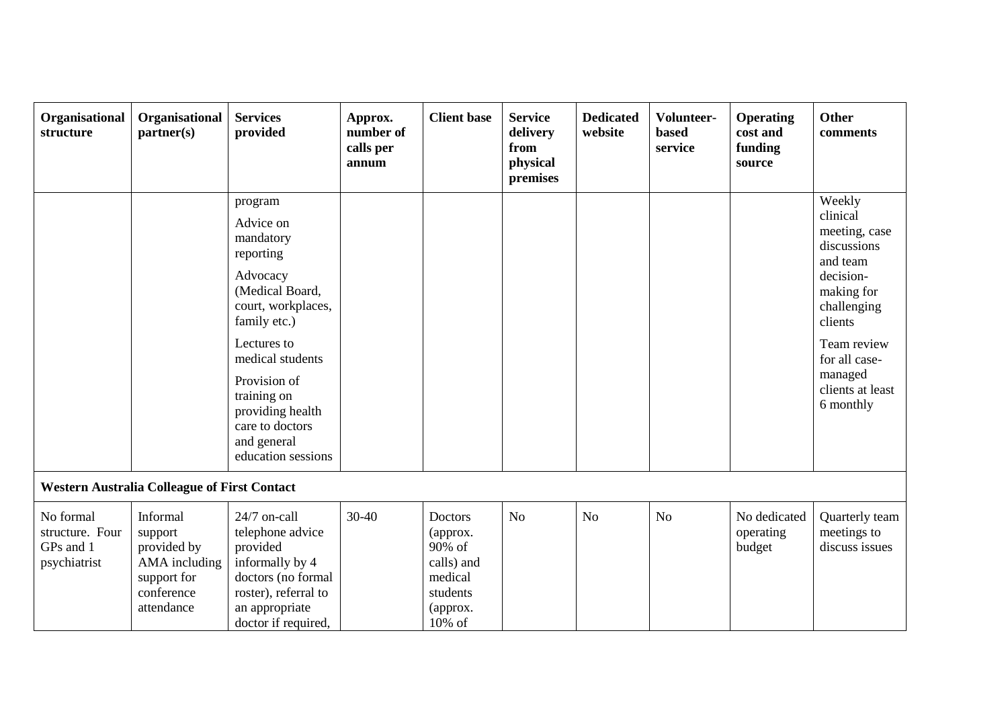| Organisational<br>structure                               | Organisational<br>partner(s)                                                                   | <b>Services</b><br>provided                                                                                                                                                                                                                                       | Approx.<br>number of<br>calls per<br>annum | <b>Client base</b>                                                                       | <b>Service</b><br>delivery<br>from<br>physical<br>premises | <b>Dedicated</b><br>website | Volunteer-<br><b>based</b><br>service | <b>Operating</b><br>cost and<br>funding<br>source | <b>Other</b><br>comments                                                                                                                                                                        |
|-----------------------------------------------------------|------------------------------------------------------------------------------------------------|-------------------------------------------------------------------------------------------------------------------------------------------------------------------------------------------------------------------------------------------------------------------|--------------------------------------------|------------------------------------------------------------------------------------------|------------------------------------------------------------|-----------------------------|---------------------------------------|---------------------------------------------------|-------------------------------------------------------------------------------------------------------------------------------------------------------------------------------------------------|
|                                                           |                                                                                                | program<br>Advice on<br>mandatory<br>reporting<br>Advocacy<br>(Medical Board,<br>court, workplaces,<br>family etc.)<br>Lectures to<br>medical students<br>Provision of<br>training on<br>providing health<br>care to doctors<br>and general<br>education sessions |                                            |                                                                                          |                                                            |                             |                                       |                                                   | Weekly<br>clinical<br>meeting, case<br>discussions<br>and team<br>decision-<br>making for<br>challenging<br>clients<br>Team review<br>for all case-<br>managed<br>clients at least<br>6 monthly |
|                                                           | <b>Western Australia Colleague of First Contact</b>                                            |                                                                                                                                                                                                                                                                   |                                            |                                                                                          |                                                            |                             |                                       |                                                   |                                                                                                                                                                                                 |
| No formal<br>structure. Four<br>GPs and 1<br>psychiatrist | Informal<br>support<br>provided by<br>AMA including<br>support for<br>conference<br>attendance | 24/7 on-call<br>telephone advice<br>provided<br>informally by 4<br>doctors (no formal<br>roster), referral to<br>an appropriate<br>doctor if required,                                                                                                            | $30-40$                                    | Doctors<br>(approx.<br>90% of<br>calls) and<br>medical<br>students<br>(approx.<br>10% of | N <sub>o</sub>                                             | N <sub>o</sub>              | N <sub>o</sub>                        | No dedicated<br>operating<br>budget               | Quarterly team<br>meetings to<br>discuss issues                                                                                                                                                 |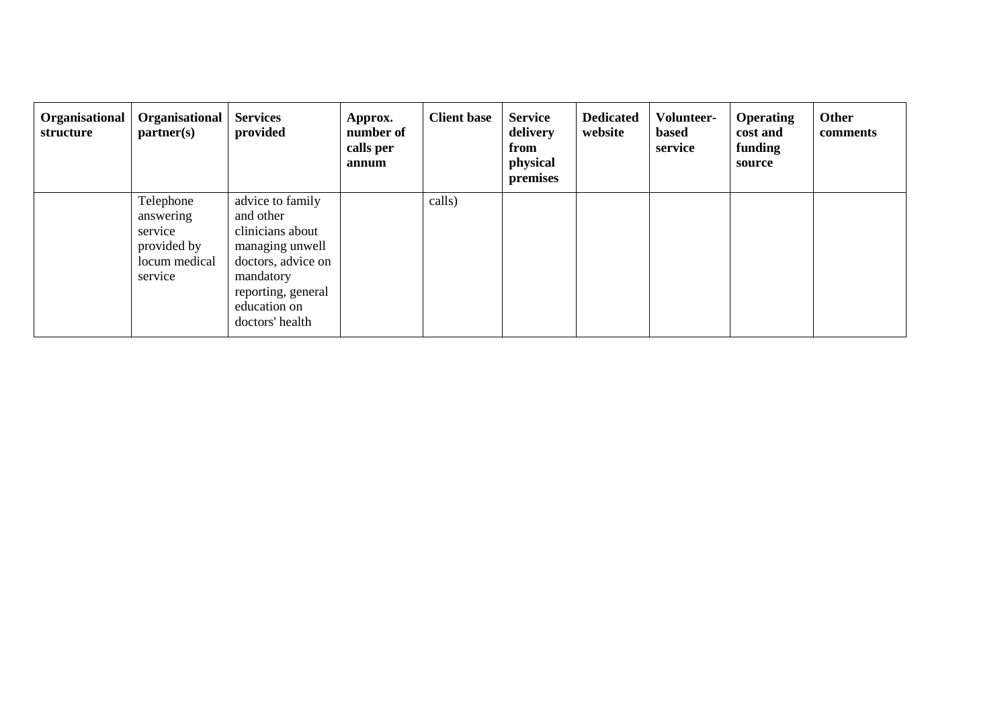| Organisational<br>structure | Organisational<br>partner(s)                                                 | <b>Services</b><br>provided                                                                                                                                      | Approx.<br>number of<br>calls per<br>annum | <b>Client base</b> | <b>Service</b><br>delivery<br>from<br>physical<br>premises | <b>Dedicated</b><br>website | Volunteer-<br>based<br>service | <b>Operating</b><br>cost and<br>funding<br>source | Other<br>comments |
|-----------------------------|------------------------------------------------------------------------------|------------------------------------------------------------------------------------------------------------------------------------------------------------------|--------------------------------------------|--------------------|------------------------------------------------------------|-----------------------------|--------------------------------|---------------------------------------------------|-------------------|
|                             | Telephone<br>answering<br>service<br>provided by<br>locum medical<br>service | advice to family<br>and other<br>clinicians about<br>managing unwell<br>doctors, advice on<br>mandatory<br>reporting, general<br>education on<br>doctors' health |                                            | calls)             |                                                            |                             |                                |                                                   |                   |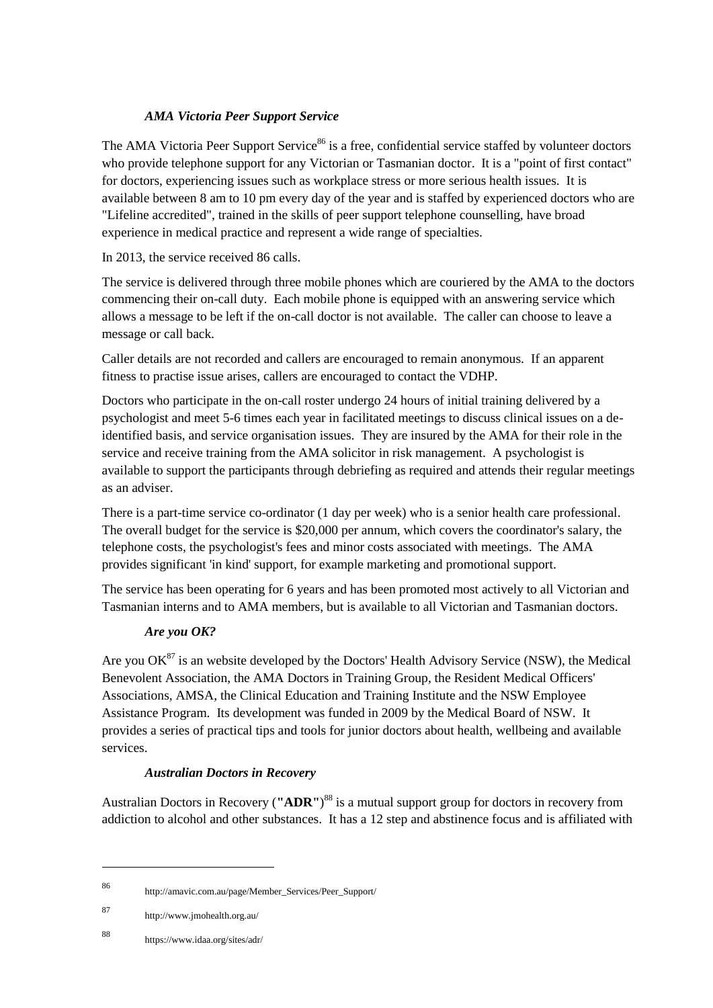## *AMA Victoria Peer Support Service*

The AMA Victoria Peer Support Service<sup>86</sup> is a free, confidential service staffed by volunteer doctors who provide telephone support for any Victorian or Tasmanian doctor. It is a "point of first contact" for doctors, experiencing issues such as workplace stress or more serious health issues. It is available between 8 am to 10 pm every day of the year and is staffed by experienced doctors who are "Lifeline accredited", trained in the skills of peer support telephone counselling, have broad experience in medical practice and represent a wide range of specialties.

### In 2013, the service received 86 calls.

The service is delivered through three mobile phones which are couriered by the AMA to the doctors commencing their on-call duty. Each mobile phone is equipped with an answering service which allows a message to be left if the on-call doctor is not available. The caller can choose to leave a message or call back.

Caller details are not recorded and callers are encouraged to remain anonymous. If an apparent fitness to practise issue arises, callers are encouraged to contact the VDHP.

Doctors who participate in the on-call roster undergo 24 hours of initial training delivered by a psychologist and meet 5-6 times each year in facilitated meetings to discuss clinical issues on a deidentified basis, and service organisation issues. They are insured by the AMA for their role in the service and receive training from the AMA solicitor in risk management. A psychologist is available to support the participants through debriefing as required and attends their regular meetings as an adviser.

There is a part-time service co-ordinator (1 day per week) who is a senior health care professional. The overall budget for the service is \$20,000 per annum, which covers the coordinator's salary, the telephone costs, the psychologist's fees and minor costs associated with meetings. The AMA provides significant 'in kind' support, for example marketing and promotional support.

The service has been operating for 6 years and has been promoted most actively to all Victorian and Tasmanian interns and to AMA members, but is available to all Victorian and Tasmanian doctors.

# *Are you OK?*

Are you  $OK^{87}$  is an website developed by the Doctors' Health Advisory Service (NSW), the Medical Benevolent Association, the AMA Doctors in Training Group, the Resident Medical Officers' Associations, AMSA, the Clinical Education and Training Institute and the NSW Employee Assistance Program. Its development was funded in 2009 by the Medical Board of NSW. It provides a series of practical tips and tools for junior doctors about health, wellbeing and available services.

#### *Australian Doctors in Recovery*

Australian Doctors in Recovery (**"ADR"**) <sup>88</sup> is a mutual support group for doctors in recovery from addiction to alcohol and other substances. It has a 12 step and abstinence focus and is affiliated with

<sup>86</sup> http://amavic.com.au/page/Member\_Services/Peer\_Support/

<sup>87</sup> http://www.jmohealth.org.au/

<sup>88</sup> https://www.idaa.org/sites/adr/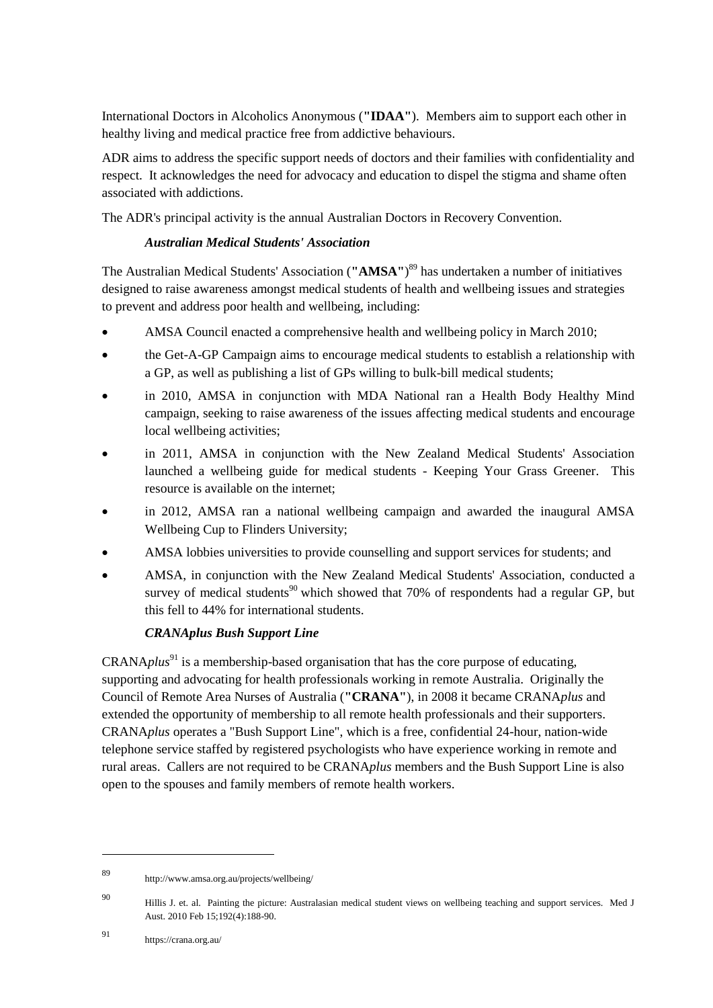International Doctors in Alcoholics Anonymous (**"IDAA"**). Members aim to support each other in healthy living and medical practice free from addictive behaviours.

ADR aims to address the specific support needs of doctors and their families with confidentiality and respect. It acknowledges the need for advocacy and education to dispel the stigma and shame often associated with addictions.

The ADR's principal activity is the annual Australian Doctors in Recovery Convention.

### *Australian Medical Students' Association*

The Australian Medical Students' Association (**"AMSA"**) <sup>89</sup> has undertaken a number of initiatives designed to raise awareness amongst medical students of health and wellbeing issues and strategies to prevent and address poor health and wellbeing, including:

- AMSA Council enacted a comprehensive health and wellbeing policy in March 2010;
- the Get-A-GP Campaign aims to encourage medical students to establish a relationship with a GP, as well as publishing a list of GPs willing to bulk-bill medical students;
- in 2010, AMSA in conjunction with MDA National ran a Health Body Healthy Mind campaign, seeking to raise awareness of the issues affecting medical students and encourage local wellbeing activities;
- in 2011, AMSA in conjunction with the New Zealand Medical Students' Association launched a wellbeing guide for medical students - Keeping Your Grass Greener. This resource is available on the internet;
- in 2012, AMSA ran a national wellbeing campaign and awarded the inaugural AMSA Wellbeing Cup to Flinders University;
- AMSA lobbies universities to provide counselling and support services for students; and
- AMSA, in conjunction with the New Zealand Medical Students' Association, conducted a survey of medical students<sup>90</sup> which showed that 70% of respondents had a regular GP, but this fell to 44% for international students.

#### *CRANAplus Bush Support Line*

CRANA*plus*<sup>91</sup> is a membership-based organisation that has the core purpose of educating, supporting and advocating for health professionals working in remote Australia. Originally the Council of Remote Area Nurses of Australia (**"CRANA"**), in 2008 it became CRANA*plus* and extended the opportunity of membership to all remote health professionals and their supporters. CRANA*plus* operates a "Bush Support Line", which is a free, confidential 24-hour, nation-wide telephone service staffed by registered psychologists who have experience working in remote and rural areas. Callers are not required to be CRANA*plus* members and the Bush Support Line is also open to the spouses and family members of remote health workers.

<sup>89</sup> http://www.amsa.org.au/projects/wellbeing/

<sup>90</sup> Hillis J. et. al. Painting the picture: Australasian medical student views on wellbeing teaching and support services. Med J Aust. 2010 Feb 15;192(4):188-90.

<sup>91</sup> https://crana.org.au/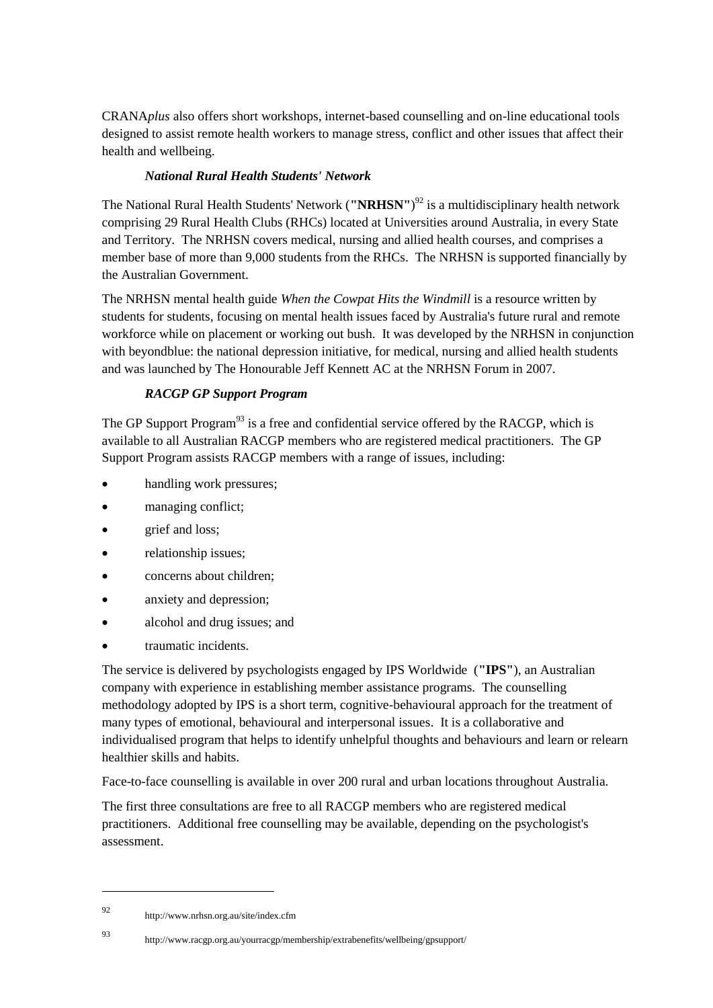CRANA*plus* also offers short workshops, internet-based counselling and on-line educational tools designed to assist remote health workers to manage stress, conflict and other issues that affect their health and wellbeing.

### *National Rural Health Students' Network*

The National Rural Health Students' Network (**"NRHSN"**) <sup>92</sup> is a multidisciplinary health network comprising 29 Rural Health Clubs (RHCs) located at Universities around Australia, in every State and Territory. The NRHSN covers medical, nursing and allied health courses, and comprises a member base of more than 9,000 students from the RHCs. The NRHSN is supported financially by the Australian Government.

The NRHSN mental health guide *When the Cowpat Hits the Windmill* is a resource written by students for students, focusing on mental health issues faced by Australia's future rural and remote workforce while on placement or working out bush. It was developed by the NRHSN in conjunction with beyondblue: the national depression initiative, for medical, nursing and allied health students and was launched by The Honourable Jeff Kennett AC at the NRHSN Forum in 2007.

# *RACGP GP Support Program*

The GP Support Program<sup>93</sup> is a free and confidential service offered by the RACGP, which is available to all Australian RACGP members who are registered medical practitioners. The GP Support Program assists RACGP members with a range of issues, including:

- handling work pressures;
- managing conflict;
- grief and loss;
- relationship issues;
- concerns about children;
- anxiety and depression;
- alcohol and drug issues; and
- traumatic incidents.

The service is delivered by psychologists engaged by IPS Worldwide (**"IPS"**), an Australian company with experience in establishing member assistance programs. The counselling methodology adopted by IPS is a short term, cognitive-behavioural approach for the treatment of many types of emotional, behavioural and interpersonal issues. It is a collaborative and individualised program that helps to identify unhelpful thoughts and behaviours and learn or relearn healthier skills and habits.

Face-to-face counselling is available in over 200 rural and urban locations throughout Australia.

The first three consultations are free to all RACGP members who are registered medical practitioners. Additional free counselling may be available, depending on the psychologist's assessment.

<sup>92</sup> http://www.nrhsn.org.au/site/index.cfm

<sup>93</sup> http://www.racgp.org.au/yourracgp/membership/extrabenefits/wellbeing/gpsupport/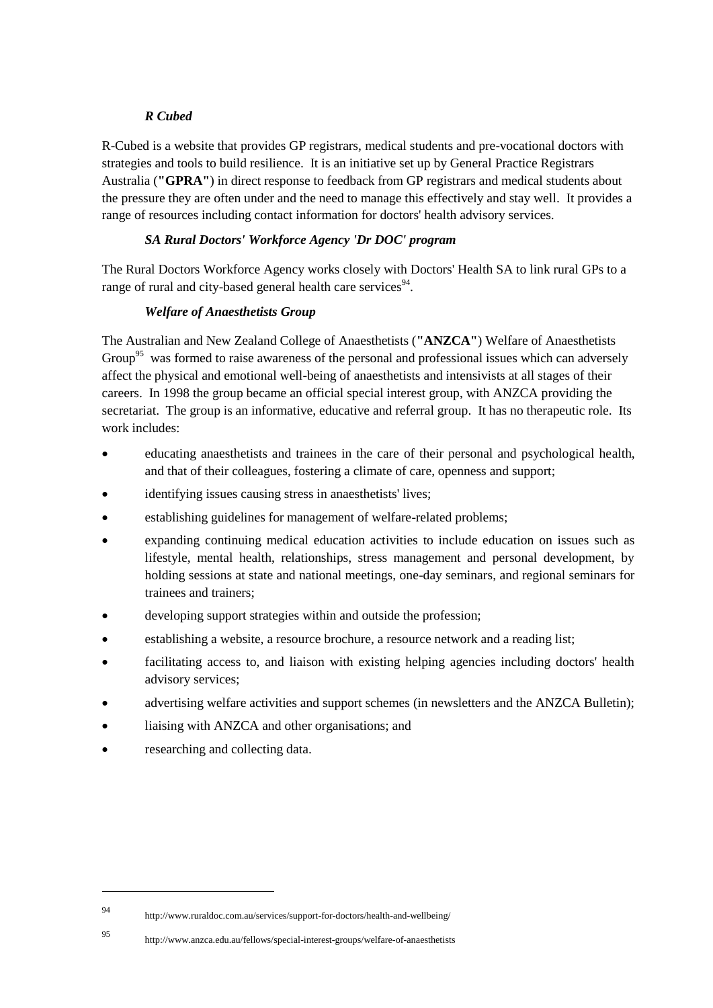### *R Cubed*

R-Cubed is a website that provides GP registrars, medical students and pre-vocational doctors with strategies and tools to build resilience. It is an initiative set up by General Practice Registrars Australia (**"GPRA"**) in direct response to feedback from GP registrars and medical students about the pressure they are often under and the need to manage this effectively and stay well. It provides a range of resources including contact information for doctors' health advisory services.

# *SA Rural Doctors' Workforce Agency 'Dr DOC' program*

The Rural Doctors Workforce Agency works closely with Doctors' Health SA to link rural GPs to a range of rural and city-based general health care services<sup>94</sup>.

### *Welfare of Anaesthetists Group*

The Australian and New Zealand College of Anaesthetists (**"ANZCA"**) Welfare of Anaesthetists Group<sup>95</sup> was formed to raise awareness of the personal and professional issues which can adversely affect the physical and emotional well-being of anaesthetists and intensivists at all stages of their careers. In 1998 the group became an official special interest group, with ANZCA providing the secretariat. The group is an informative, educative and referral group. It has no therapeutic role. Its work includes:

- educating anaesthetists and trainees in the care of their personal and psychological health, and that of their colleagues, fostering a climate of care, openness and support;
- identifying issues causing stress in anaesthetists' lives;
- establishing guidelines for management of welfare-related problems;
- expanding continuing medical education activities to include education on issues such as lifestyle, mental health, relationships, stress management and personal development, by holding sessions at state and national meetings, one-day seminars, and regional seminars for trainees and trainers;
- developing support strategies within and outside the profession;
- establishing a website, a resource brochure, a resource network and a reading list;
- facilitating access to, and liaison with existing helping agencies including doctors' health advisory services;
- advertising welfare activities and support schemes (in newsletters and the ANZCA Bulletin);
- liaising with ANZCA and other organisations; and
- researching and collecting data.

<sup>94</sup> http://www.ruraldoc.com.au/services/support-for-doctors/health-and-wellbeing/

<sup>95</sup> http://www.anzca.edu.au/fellows/special-interest-groups/welfare-of-anaesthetists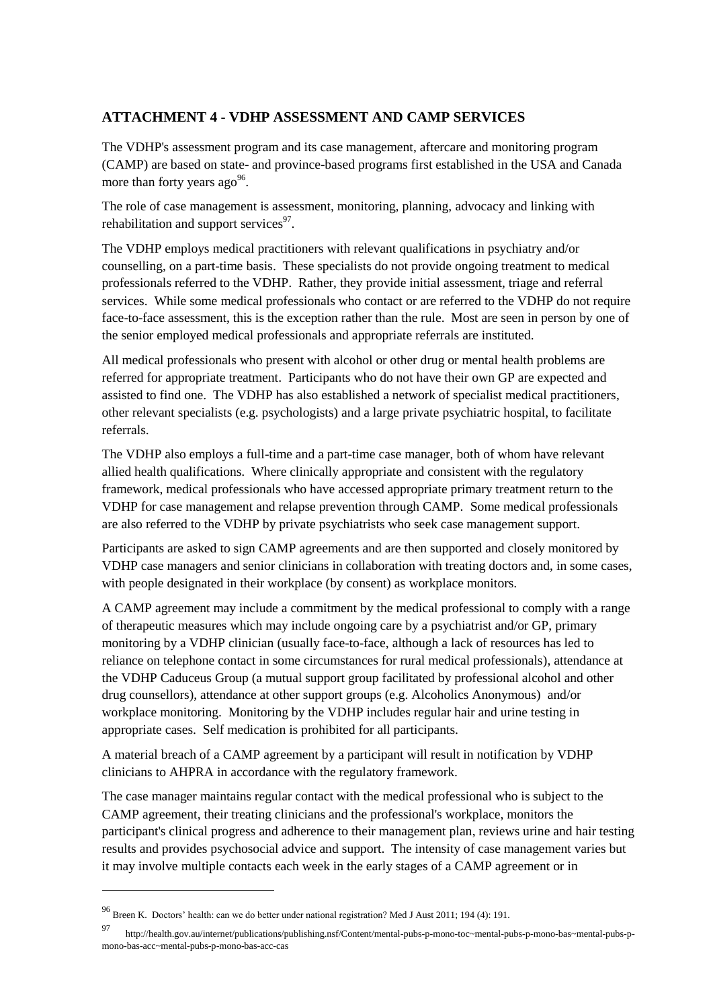# **ATTACHMENT 4 - VDHP ASSESSMENT AND CAMP SERVICES**

The VDHP's assessment program and its case management, aftercare and monitoring program (CAMP) are based on state- and province-based programs first established in the USA and Canada more than forty years  $ago^{96}$ .

The role of case management is assessment, monitoring, planning, advocacy and linking with rehabilitation and support services<sup>97</sup>.

The VDHP employs medical practitioners with relevant qualifications in psychiatry and/or counselling, on a part-time basis. These specialists do not provide ongoing treatment to medical professionals referred to the VDHP. Rather, they provide initial assessment, triage and referral services. While some medical professionals who contact or are referred to the VDHP do not require face-to-face assessment, this is the exception rather than the rule. Most are seen in person by one of the senior employed medical professionals and appropriate referrals are instituted.

All medical professionals who present with alcohol or other drug or mental health problems are referred for appropriate treatment. Participants who do not have their own GP are expected and assisted to find one. The VDHP has also established a network of specialist medical practitioners, other relevant specialists (e.g. psychologists) and a large private psychiatric hospital, to facilitate referrals.

The VDHP also employs a full-time and a part-time case manager, both of whom have relevant allied health qualifications. Where clinically appropriate and consistent with the regulatory framework, medical professionals who have accessed appropriate primary treatment return to the VDHP for case management and relapse prevention through CAMP. Some medical professionals are also referred to the VDHP by private psychiatrists who seek case management support.

Participants are asked to sign CAMP agreements and are then supported and closely monitored by VDHP case managers and senior clinicians in collaboration with treating doctors and, in some cases, with people designated in their workplace (by consent) as workplace monitors.

A CAMP agreement may include a commitment by the medical professional to comply with a range of therapeutic measures which may include ongoing care by a psychiatrist and/or GP, primary monitoring by a VDHP clinician (usually face-to-face, although a lack of resources has led to reliance on telephone contact in some circumstances for rural medical professionals), attendance at the VDHP Caduceus Group (a mutual support group facilitated by professional alcohol and other drug counsellors), attendance at other support groups (e.g. Alcoholics Anonymous) and/or workplace monitoring. Monitoring by the VDHP includes regular hair and urine testing in appropriate cases. Self medication is prohibited for all participants.

A material breach of a CAMP agreement by a participant will result in notification by VDHP clinicians to AHPRA in accordance with the regulatory framework.

The case manager maintains regular contact with the medical professional who is subject to the CAMP agreement, their treating clinicians and the professional's workplace, monitors the participant's clinical progress and adherence to their management plan, reviews urine and hair testing results and provides psychosocial advice and support. The intensity of case management varies but it may involve multiple contacts each week in the early stages of a CAMP agreement or in

<sup>96</sup> Breen K. Doctors' health: can we do better under national registration? Med J Aust 2011; 194 (4): 191.

<sup>97</sup> http://health.gov.au/internet/publications/publishing.nsf/Content/mental-pubs-p-mono-toc~mental-pubs-p-mono-bas~mental-pubs-pmono-bas-acc~mental-pubs-p-mono-bas-acc-cas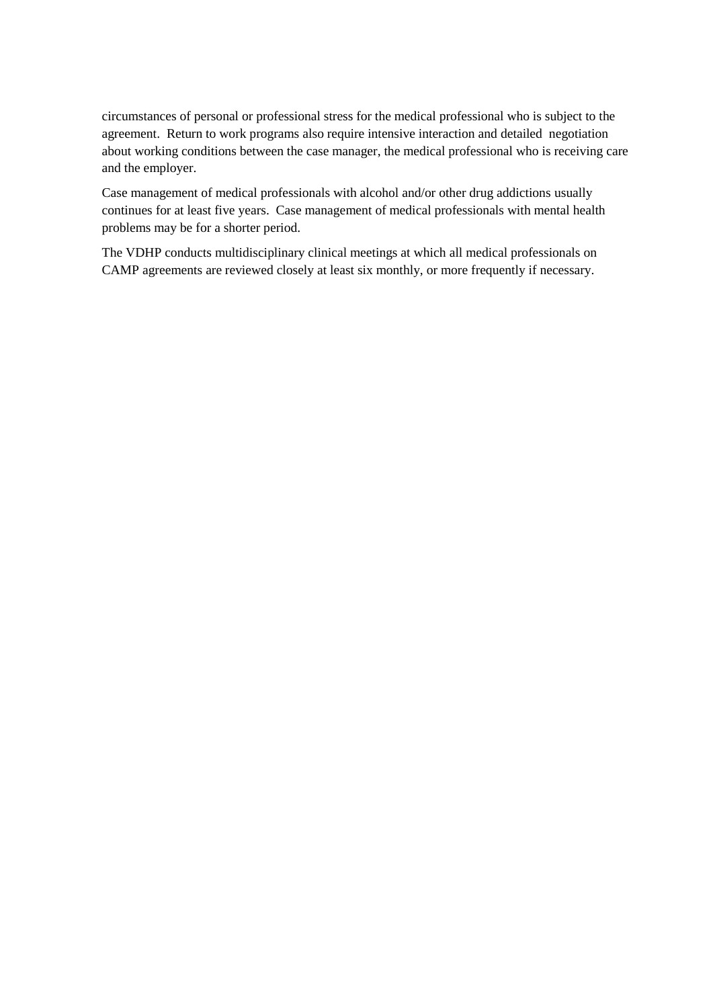circumstances of personal or professional stress for the medical professional who is subject to the agreement. Return to work programs also require intensive interaction and detailed negotiation about working conditions between the case manager, the medical professional who is receiving care and the employer.

Case management of medical professionals with alcohol and/or other drug addictions usually continues for at least five years. Case management of medical professionals with mental health problems may be for a shorter period.

The VDHP conducts multidisciplinary clinical meetings at which all medical professionals on CAMP agreements are reviewed closely at least six monthly, or more frequently if necessary.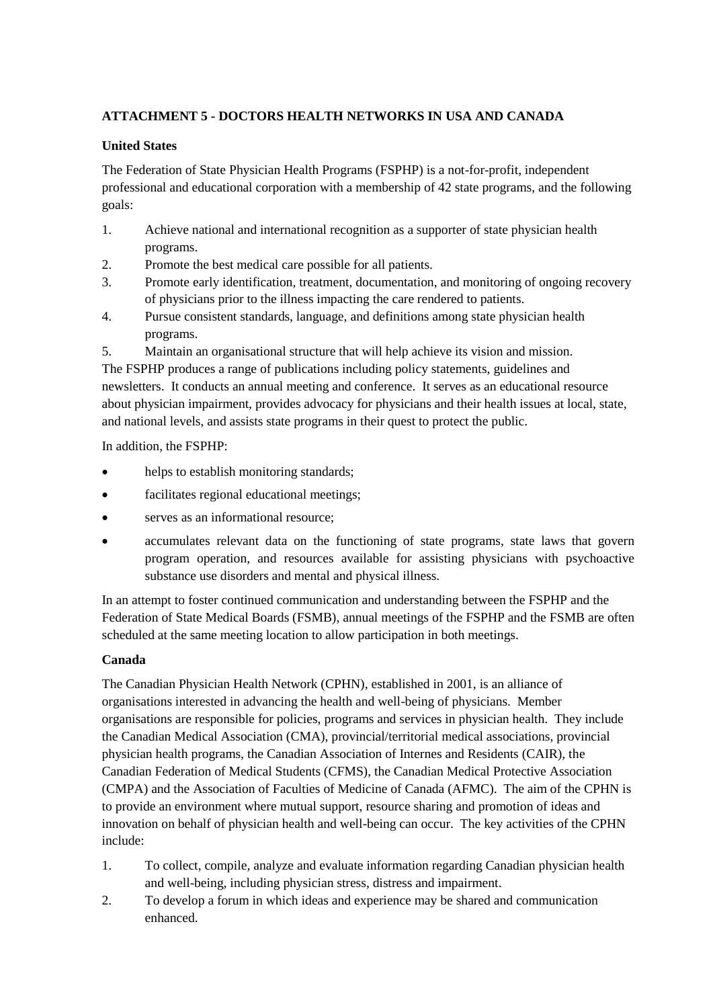# **ATTACHMENT 5 - DOCTORS HEALTH NETWORKS IN USA AND CANADA**

## **United States**

The Federation of State Physician Health Programs (FSPHP) is a not-for-profit, independent professional and educational corporation with a membership of 42 state programs, and the following goals:

- 1. Achieve national and international recognition as a supporter of state physician health programs.
- 2. Promote the best medical care possible for all patients.
- 3. Promote early identification, treatment, documentation, and monitoring of ongoing recovery of physicians prior to the illness impacting the care rendered to patients.
- 4. Pursue consistent standards, language, and definitions among state physician health programs.
- 5. Maintain an organisational structure that will help achieve its vision and mission.

The FSPHP produces a range of publications including policy statements, guidelines and newsletters. It conducts an annual meeting and conference. It serves as an educational resource about physician impairment, provides advocacy for physicians and their health issues at local, state, and national levels, and assists state programs in their quest to protect the public.

In addition, the FSPHP:

- helps to establish monitoring standards;
- facilitates regional educational meetings;
- serves as an informational resource;
- accumulates relevant data on the functioning of state programs, state laws that govern program operation, and resources available for assisting physicians with psychoactive substance use disorders and mental and physical illness.

In an attempt to foster continued communication and understanding between the FSPHP and the Federation of State Medical Boards (FSMB), annual meetings of the FSPHP and the FSMB are often scheduled at the same meeting location to allow participation in both meetings.

# **Canada**

The Canadian Physician Health Network (CPHN), established in 2001, is an alliance of organisations interested in advancing the health and well-being of physicians. Member organisations are responsible for policies, programs and services in physician health. They include the Canadian Medical Association (CMA), provincial/territorial medical associations, provincial physician health programs, the Canadian Association of Internes and Residents (CAIR), the Canadian Federation of Medical Students (CFMS), the Canadian Medical Protective Association (CMPA) and the Association of Faculties of Medicine of Canada (AFMC). The aim of the CPHN is to provide an environment where mutual support, resource sharing and promotion of ideas and innovation on behalf of physician health and well-being can occur. The key activities of the CPHN include:

- 1. To collect, compile, analyze and evaluate information regarding Canadian physician health and well-being, including physician stress, distress and impairment.
- 2. To develop a forum in which ideas and experience may be shared and communication enhanced.